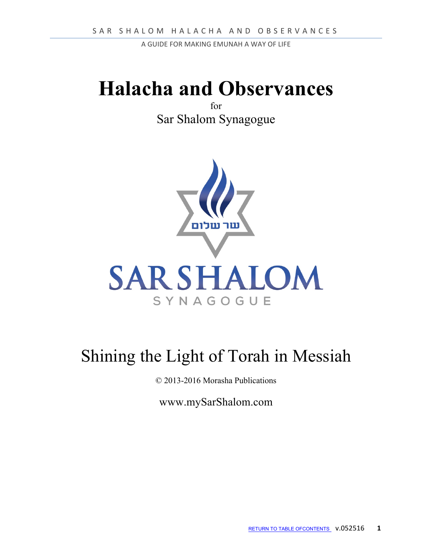# **Halacha and Observances**

for Sar Shalom Synagogue



# Shining the Light of Torah in Messiah

© 2013-2016 Morasha Publications

www.mySarShalom.com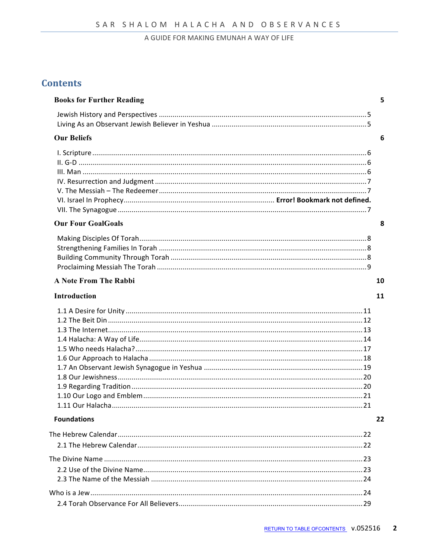# **Contents**

| <b>Books for Further Reading</b> | 5  |
|----------------------------------|----|
|                                  |    |
| <b>Our Beliefs</b>               | 6  |
|                                  |    |
|                                  |    |
| <b>Our Four GoalGoals</b>        | 8  |
|                                  |    |
| A Note From The Rabbi            | 10 |
| Introduction                     | 11 |
|                                  |    |
| <b>Foundations</b>               | 22 |
|                                  |    |
|                                  |    |
|                                  |    |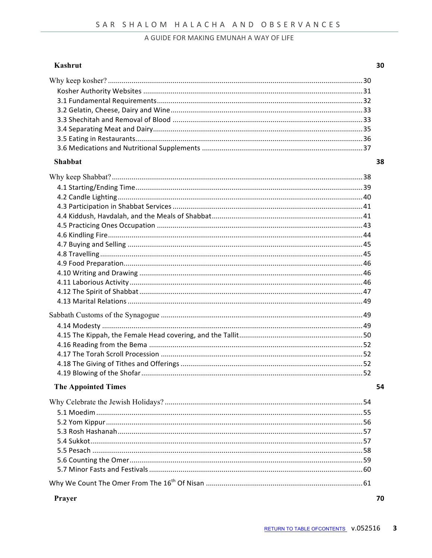#### Kashrut

| <b>Shabbat</b>             | 38 |
|----------------------------|----|
|                            |    |
|                            |    |
|                            |    |
|                            |    |
|                            |    |
|                            |    |
|                            |    |
|                            |    |
|                            |    |
|                            |    |
|                            |    |
|                            |    |
|                            |    |
|                            |    |
|                            |    |
|                            |    |
|                            |    |
|                            |    |
|                            |    |
|                            |    |
|                            |    |
| <b>The Appointed Times</b> | 54 |
|                            |    |
|                            |    |
|                            |    |
|                            |    |
|                            |    |
|                            |    |
|                            |    |
|                            |    |
|                            |    |
| Prayer                     | 70 |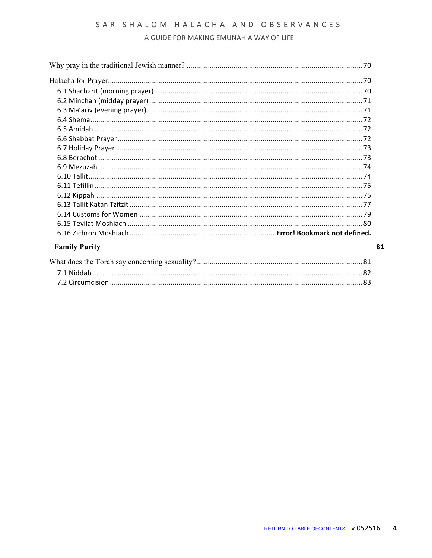| <b>Family Purity</b> | 81 |
|----------------------|----|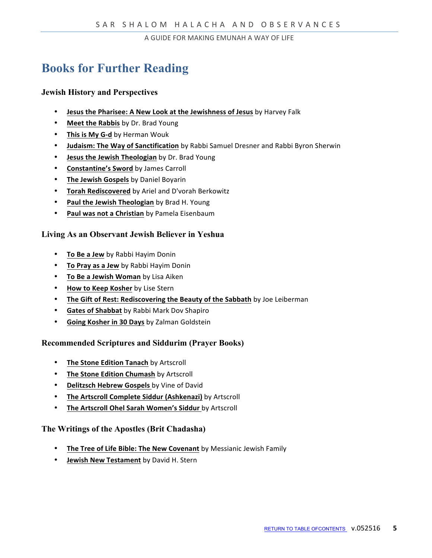# **Books for Further Reading**

# **Jewish History and Perspectives**

- **Jesus the Pharisee: A New Look at the Jewishness of Jesus** by Harvey Falk
- Meet the Rabbis by Dr. Brad Young
- **This is My G-d** by Herman Wouk
- Judaism: The Way of Sanctification by Rabbi Samuel Dresner and Rabbi Byron Sherwin
- **Jesus the Jewish Theologian** by Dr. Brad Young
- **Constantine's Sword** by James Carroll
- **The Jewish Gospels** by Daniel Boyarin
- **Torah Rediscovered** by Ariel and D'vorah Berkowitz
- **Paul the Jewish Theologian** by Brad H. Young
- **Paul was not a Christian** by Pamela Eisenbaum

#### **Living As an Observant Jewish Believer in Yeshua**

- **To Be a Jew** by Rabbi Hayim Donin
- To Pray as a Jew by Rabbi Hayim Donin
- **To Be a Jewish Woman** by Lisa Aiken
- **How to Keep Kosher** by Lise Stern
- **The Gift of Rest: Rediscovering the Beauty of the Sabbath** by Joe Leiberman
- **Gates of Shabbat** by Rabbi Mark Dov Shapiro
- **Going Kosher in 30 Days** by Zalman Goldstein

## **Recommended Scriptures and Siddurim (Prayer Books)**

- **The Stone Edition Tanach** by Artscroll
- **The Stone Edition Chumash** by Artscroll
- **Delitzsch Hebrew Gospels** by Vine of David
- **The Artscroll Complete Siddur (Ashkenazi)** by Artscroll
- **The Artscroll Ohel Sarah Women's Siddur** by Artscroll

#### **The Writings of the Apostles (Brit Chadasha)**

- **The Tree of Life Bible: The New Covenant** by Messianic Jewish Family
- **Jewish New Testament** by David H. Stern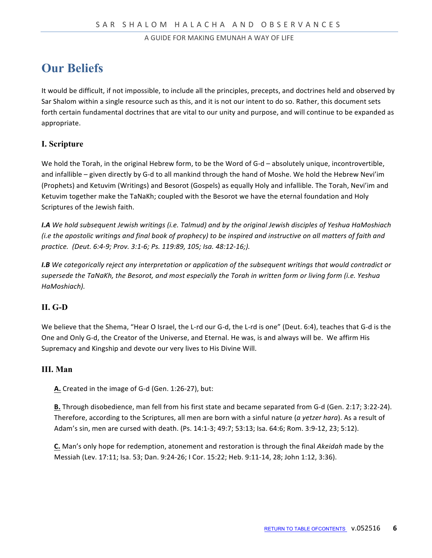# **Our Beliefs**

It would be difficult, if not impossible, to include all the principles, precepts, and doctrines held and observed by Sar Shalom within a single resource such as this, and it is not our intent to do so. Rather, this document sets forth certain fundamental doctrines that are vital to our unity and purpose, and will continue to be expanded as appropriate.

# **I. Scripture**

We hold the Torah, in the original Hebrew form, to be the Word of G-d – absolutely unique, incontrovertible, and infallible – given directly by G-d to all mankind through the hand of Moshe. We hold the Hebrew Nevi'im (Prophets) and Ketuvim (Writings) and Besorot (Gospels) as equally Holy and infallible. The Torah, Nevi'im and Ketuvim together make the TaNaKh; coupled with the Besorot we have the eternal foundation and Holy Scriptures of the Jewish faith.

*I.A* We hold subsequent Jewish writings (i.e. Talmud) and by the original Jewish disciples of Yeshua HaMoshiach *(i.e the apostolic writings and final book of prophecy)* to be inspired and instructive on all matters of faith and *practice. (Deut. 6:4-9; Prov. 3:1-6; Ps. 119:89, 105; Isa. 48:12-16;).*

*I.B* We categorically reject any interpretation or application of the subsequent writings that would contradict or supersede the TaNaKh, the Besorot, and most especially the Torah in written form or living form (i.e. Yeshua *HaMoshiach).*

# **II. G-D**

We believe that the Shema, "Hear O Israel, the L-rd our G-d, the L-rd is one" (Deut. 6:4), teaches that G-d is the One and Only G-d, the Creator of the Universe, and Eternal. He was, is and always will be. We affirm His Supremacy and Kingship and devote our very lives to His Divine Will.

# **III. Man**

**A.** Created in the image of G-d (Gen. 1:26-27), but:

**B.** Through disobedience, man fell from his first state and became separated from G-d (Gen. 2:17; 3:22-24). Therefore, according to the Scriptures, all men are born with a sinful nature (*a yetzer hara*). As a result of Adam's sin, men are cursed with death. (Ps. 14:1-3; 49:7; 53:13; Isa. 64:6; Rom. 3:9-12, 23; 5:12).

**C.** Man's only hope for redemption, atonement and restoration is through the final *Akeidah* made by the Messiah (Lev. 17:11; Isa. 53; Dan. 9:24-26; I Cor. 15:22; Heb. 9:11-14, 28; John 1:12, 3:36).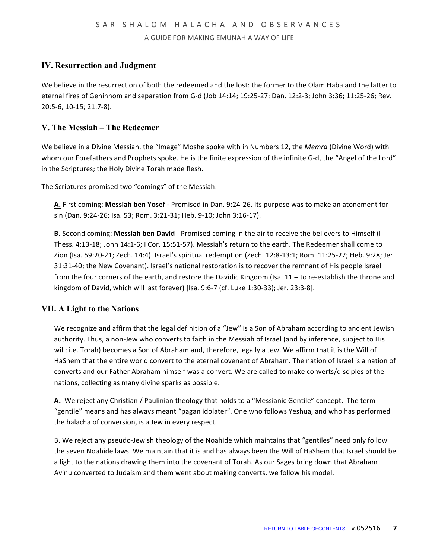### **IV. Resurrection and Judgment**

We believe in the resurrection of both the redeemed and the lost: the former to the Olam Haba and the latter to eternal fires of Gehinnom and separation from G-d (Job 14:14; 19:25-27; Dan. 12:2-3; John 3:36; 11:25-26; Rev. 20:5-6, 10-15; 21:7-8).

### **V. The Messiah – The Redeemer**

We believe in a Divine Messiah, the "Image" Moshe spoke with in Numbers 12, the *Memra* (Divine Word) with whom our Forefathers and Prophets spoke. He is the finite expression of the infinite G-d, the "Angel of the Lord" in the Scriptures; the Holy Divine Torah made flesh.

The Scriptures promised two "comings" of the Messiah:

A. First coming: Messiah ben Yosef - Promised in Dan. 9:24-26. Its purpose was to make an atonement for sin (Dan. 9:24-26; Isa. 53; Rom. 3:21-31; Heb. 9-10; John 3:16-17).

**B.** Second coming: Messiah ben David - Promised coming in the air to receive the believers to Himself (I Thess. 4:13-18; John 14:1-6; I Cor. 15:51-57). Messiah's return to the earth. The Redeemer shall come to Zion (Isa. 59:20-21; Zech. 14:4). Israel's spiritual redemption (Zech. 12:8-13:1; Rom. 11:25-27; Heb. 9:28; Jer. 31:31-40; the New Covenant). Israel's national restoration is to recover the remnant of His people Israel from the four corners of the earth, and restore the Davidic Kingdom (Isa.  $11 -$  to re-establish the throne and kingdom of David, which will last forever) [Isa. 9:6-7 (cf. Luke 1:30-33); Jer. 23:3-8].

#### **VII. A Light to the Nations**

We recognize and affirm that the legal definition of a "Jew" is a Son of Abraham according to ancient Jewish authority. Thus, a non-Jew who converts to faith in the Messiah of Israel (and by inference, subject to His will; i.e. Torah) becomes a Son of Abraham and, therefore, legally a Jew. We affirm that it is the Will of HaShem that the entire world convert to the eternal covenant of Abraham. The nation of Israel is a nation of converts and our Father Abraham himself was a convert. We are called to make converts/disciples of the nations, collecting as many divine sparks as possible.

**A.** We reject any Christian / Paulinian theology that holds to a "Messianic Gentile" concept. The term "gentile" means and has always meant "pagan idolater". One who follows Yeshua, and who has performed the halacha of conversion, is a Jew in every respect.

B. We reject any pseudo-Jewish theology of the Noahide which maintains that "gentiles" need only follow the seven Noahide laws. We maintain that it is and has always been the Will of HaShem that Israel should be a light to the nations drawing them into the covenant of Torah. As our Sages bring down that Abraham Avinu converted to Judaism and them went about making converts, we follow his model.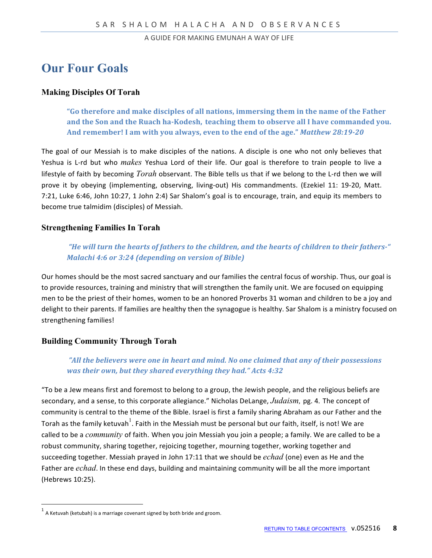# **Our Four Goals**

#### **Making Disciples Of Torah**

"Go therefore and make disciples of all nations, immersing them in the name of the Father and the Son and the Ruach ha-Kodesh, teaching them to observe all I have commanded you. And remember! I am with you always, even to the end of the age." *Matthew 28:19-20* 

The goal of our Messiah is to make disciples of the nations. A disciple is one who not only believes that Yeshua is L-rd but who *makes* Yeshua Lord of their life. Our goal is therefore to train people to live a lifestyle of faith by becoming *Torah* observant. The Bible tells us that if we belong to the L-rd then we will prove it by obeying (implementing, observing, living-out) His commandments. (Ezekiel 11: 19-20, Matt. 7:21, Luke 6:46, John 10:27, 1 John 2:4) Sar Shalom's goal is to encourage, train, and equip its members to become true talmidim (disciples) of Messiah.

#### **Strengthening Families In Torah**

# "He will turn the hearts of fathers to the children, and the hearts of children to their fathers-" *Malachi 4:6 or 3:24 (depending on version of Bible)*

Our homes should be the most sacred sanctuary and our families the central focus of worship. Thus, our goal is to provide resources, training and ministry that will strengthen the family unit. We are focused on equipping men to be the priest of their homes, women to be an honored Proverbs 31 woman and children to be a joy and delight to their parents. If families are healthy then the synagogue is healthy. Sar Shalom is a ministry focused on strengthening families!

## **Building Community Through Torah**

# "All the believers were one in heart and mind. No one claimed that any of their possessions *was their own, but they shared everything they had." Acts 4:32*

"To be a Jew means first and foremost to belong to a group, the Jewish people, and the religious beliefs are secondary, and a sense, to this corporate allegiance." Nicholas DeLange, *Judaism*, pg. 4. The concept of community is central to the theme of the Bible. Israel is first a family sharing Abraham as our Father and the Torah as the family ketuvah $^{\rm l}$  . Faith in the Messiah must be personal but our faith, itself, is not! We are called to be a *community* of faith. When you join Messiah you join a people; a family. We are called to be a robust community, sharing together, rejoicing together, mourning together, working together and succeeding together. Messiah prayed in John 17:11 that we should be *echad* (one) even as He and the Father are *echad*. In these end days, building and maintaining community will be all the more important (Hebrews 10:25). 

 $1$  A Ketuvah (ketubah) is a marriage covenant signed by both bride and groom.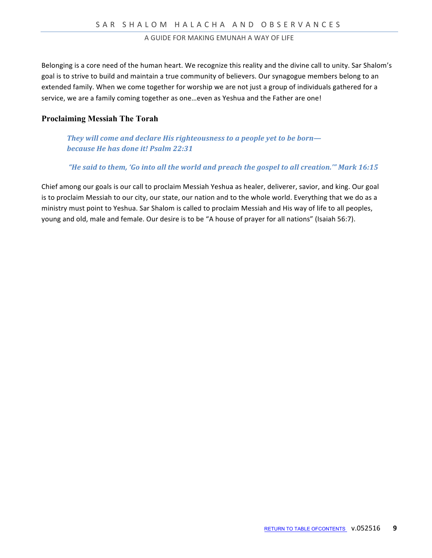Belonging is a core need of the human heart. We recognize this reality and the divine call to unity. Sar Shalom's goal is to strive to build and maintain a true community of believers. Our synagogue members belong to an extended family. When we come together for worship we are not just a group of individuals gathered for a service, we are a family coming together as one...even as Yeshua and the Father are one!

#### **Proclaiming Messiah The Torah**

*They* will come and declare His righteousness to a people yet to be born*because He has done it! Psalm 22:31*

#### *"He said to them, 'Go into all the world and preach the gospel to all creation.'" Mark 16:15*

Chief among our goals is our call to proclaim Messiah Yeshua as healer, deliverer, savior, and king. Our goal is to proclaim Messiah to our city, our state, our nation and to the whole world. Everything that we do as a ministry must point to Yeshua. Sar Shalom is called to proclaim Messiah and His way of life to all peoples, young and old, male and female. Our desire is to be "A house of prayer for all nations" (Isaiah 56:7).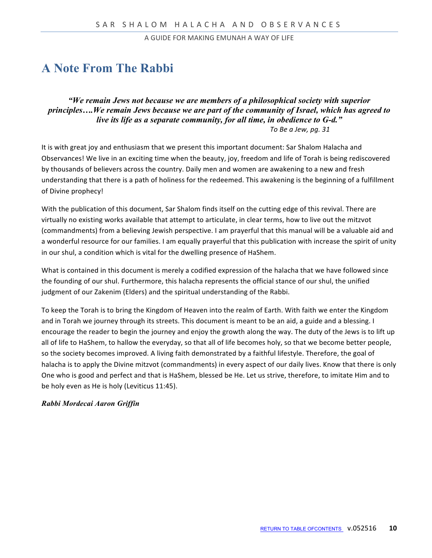# **A Note From The Rabbi**

*"We remain Jews not because we are members of a philosophical society with superior principles….We remain Jews because we are part of the community of Israel, which has agreed to live its life as a separate community, for all time, in obedience to G-d." To Be a Jew, pg. 31*

It is with great joy and enthusiasm that we present this important document: Sar Shalom Halacha and Observances! We live in an exciting time when the beauty, joy, freedom and life of Torah is being rediscovered by thousands of believers across the country. Daily men and women are awakening to a new and fresh understanding that there is a path of holiness for the redeemed. This awakening is the beginning of a fulfillment of Divine prophecy!

With the publication of this document, Sar Shalom finds itself on the cutting edge of this revival. There are virtually no existing works available that attempt to articulate, in clear terms, how to live out the mitzvot (commandments) from a believing Jewish perspective. I am prayerful that this manual will be a valuable aid and a wonderful resource for our families. I am equally prayerful that this publication with increase the spirit of unity in our shul, a condition which is vital for the dwelling presence of HaShem.

What is contained in this document is merely a codified expression of the halacha that we have followed since the founding of our shul. Furthermore, this halacha represents the official stance of our shul, the unified judgment of our Zakenim (Elders) and the spiritual understanding of the Rabbi.

To keep the Torah is to bring the Kingdom of Heaven into the realm of Earth. With faith we enter the Kingdom and in Torah we journey through its streets. This document is meant to be an aid, a guide and a blessing. I encourage the reader to begin the journey and enjoy the growth along the way. The duty of the Jews is to lift up all of life to HaShem, to hallow the everyday, so that all of life becomes holy, so that we become better people, so the society becomes improved. A living faith demonstrated by a faithful lifestyle. Therefore, the goal of halacha is to apply the Divine mitzvot (commandments) in every aspect of our daily lives. Know that there is only One who is good and perfect and that is HaShem, blessed be He. Let us strive, therefore, to imitate Him and to be holy even as He is holy (Leviticus 11:45).

#### *Rabbi Mordecai Aaron Griffin*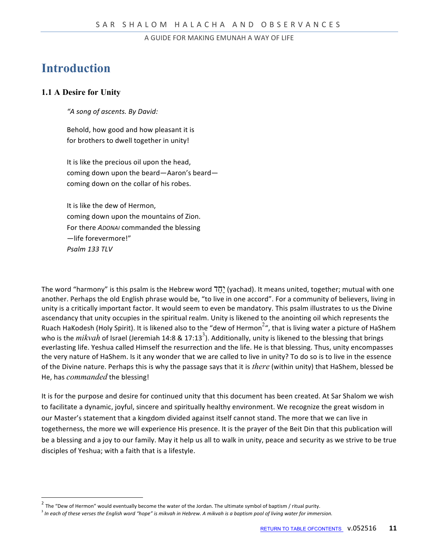# **Introduction**

### **1.1 A Desire for Unity**

*"A song of ascents. By David:*

Behold, how good and how pleasant it is for brothers to dwell together in unity!

It is like the precious oil upon the head, coming down upon the beard-Aaron's beardcoming down on the collar of his robes.

It is like the dew of Hermon, coming down upon the mountains of Zion. For there *ADONAI* commanded the blessing —life forevermore!" *Psalm 133 TLV*

The word "harmony" is this psalm is the Hebrew word  $\overline{11}$ " (yachad). It means united, together; mutual with one another. Perhaps the old English phrase would be, "to live in one accord". For a community of believers, living in unity is a critically important factor. It would seem to even be mandatory. This psalm illustrates to us the Divine ascendancy that unity occupies in the spiritual realm. Unity is likened to the anointing oil which represents the Ruach HaKodesh (Holy Spirit). It is likened also to the "dew of Hermon<sup>2</sup>", that is living water a picture of HaShem who is the  $m\bar{k}vah$  of Israel (Jeremiah 14:8 & 17:13<sup>3</sup>). Additionally, unity is likened to the blessing that brings everlasting life. Yeshua called Himself the resurrection and the life. He is that blessing. Thus, unity encompasses the very nature of HaShem. Is it any wonder that we are called to live in unity? To do so is to live in the essence of the Divine nature. Perhaps this is why the passage says that it is *there* (within unity) that HaShem, blessed be He, has *commanded* the blessing!

It is for the purpose and desire for continued unity that this document has been created. At Sar Shalom we wish to facilitate a dynamic, joyful, sincere and spiritually healthy environment. We recognize the great wisdom in our Master's statement that a kingdom divided against itself cannot stand. The more that we can live in togetherness, the more we will experience His presence. It is the prayer of the Beit Din that this publication will be a blessing and a joy to our family. May it help us all to walk in unity, peace and security as we strive to be true disciples of Yeshua; with a faith that is a lifestyle.

 $^2$  The "Dew of Hermon" would eventually become the water of the Jordan. The ultimate symbol of baptism / ritual purity.

<sup>&</sup>lt;sup>3</sup> In each of these verses the English word "hope" is mikvah in Hebrew. A mikvah is a baptism pool of living water for immersion.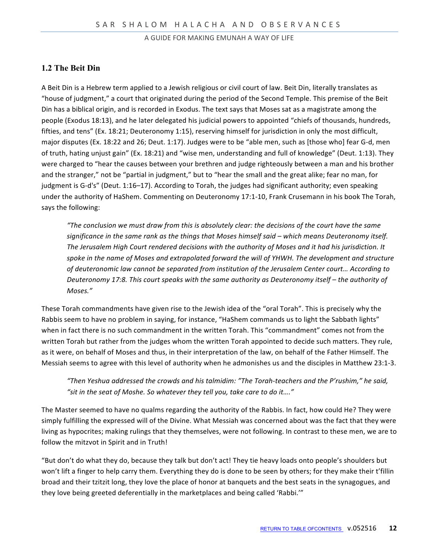### **1.2 The Beit Din**

A Beit Din is a Hebrew term applied to a Jewish religious or civil court of law. Beit Din, literally translates as "house of judgment," a court that originated during the period of the Second Temple. This premise of the Beit Din has a biblical origin, and is recorded in Exodus. The text says that Moses sat as a magistrate among the people (Exodus 18:13), and he later delegated his judicial powers to appointed "chiefs of thousands, hundreds, fifties, and tens" (Ex. 18:21; Deuteronomy 1:15), reserving himself for jurisdiction in only the most difficult, major disputes (Ex. 18:22 and 26; Deut. 1:17). Judges were to be "able men, such as [those who] fear G-d, men of truth, hating unjust gain" (Ex. 18:21) and "wise men, understanding and full of knowledge" (Deut. 1:13). They were charged to "hear the causes between your brethren and judge righteously between a man and his brother and the stranger," not be "partial in judgment," but to "hear the small and the great alike; fear no man, for judgment is G-d's" (Deut. 1:16–17). According to Torah, the judges had significant authority; even speaking under the authority of HaShem. Commenting on Deuteronomy 17:1-10, Frank Crusemann in his book The Torah, says the following:

*"The conclusion we must draw from this is absolutely clear: the decisions of the court have the same*  significance in the same rank as the things that Moses himself said – which means Deuteronomy itself. The Jerusalem High Court rendered decisions with the authority of Moses and it had his jurisdiction. It spoke in the name of Moses and extrapolated forward the will of YHWH. The development and structure of deuteronomic law cannot be separated from institution of the Jerusalem Center court... According to *Deuteronomy 17:8. This court speaks with the same authority as Deuteronomy itself – the authority of Moses."*

These Torah commandments have given rise to the Jewish idea of the "oral Torah". This is precisely why the Rabbis seem to have no problem in saying, for instance, "HaShem commands us to light the Sabbath lights" when in fact there is no such commandment in the written Torah. This "commandment" comes not from the written Torah but rather from the judges whom the written Torah appointed to decide such matters. They rule, as it were, on behalf of Moses and thus, in their interpretation of the law, on behalf of the Father Himself. The Messiah seems to agree with this level of authority when he admonishes us and the disciples in Matthew 23:1-3.

*"Then Yeshua addressed the crowds and his talmidim: "The Torah-teachers and the P'rushim," he said,*  "sit in the seat of Moshe. So whatever they tell you, take care to do it...."

The Master seemed to have no qualms regarding the authority of the Rabbis. In fact, how could He? They were simply fulfilling the expressed will of the Divine. What Messiah was concerned about was the fact that they were living as hypocrites; making rulings that they themselves, were not following. In contrast to these men, we are to follow the mitzvot in Spirit and in Truth!

"But don't do what they do, because they talk but don't act! They tie heavy loads onto people's shoulders but won't lift a finger to help carry them. Everything they do is done to be seen by others; for they make their t'fillin broad and their tzitzit long, they love the place of honor at banquets and the best seats in the synagogues, and they love being greeted deferentially in the marketplaces and being called 'Rabbi.'"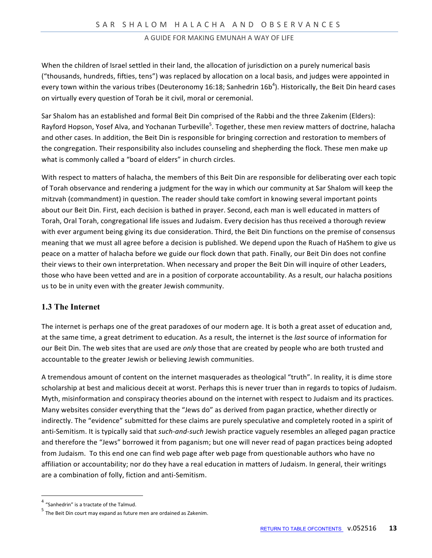When the children of Israel settled in their land, the allocation of jurisdiction on a purely numerical basis ("thousands, hundreds, fifties, tens") was replaced by allocation on a local basis, and judges were appointed in every town within the various tribes (Deuteronomy 16:18; Sanhedrin 16b<sup>4</sup>). Historically, the Beit Din heard cases on virtually every question of Torah be it civil, moral or ceremonial.

Sar Shalom has an established and formal Beit Din comprised of the Rabbi and the three Zakenim (Elders): Rayford Hopson, Yosef Alva, and Yochanan Turbeville<sup>5</sup>. Together, these men review matters of doctrine, halacha and other cases. In addition, the Beit Din is responsible for bringing correction and restoration to members of the congregation. Their responsibility also includes counseling and shepherding the flock. These men make up what is commonly called a "board of elders" in church circles.

With respect to matters of halacha, the members of this Beit Din are responsible for deliberating over each topic of Torah observance and rendering a judgment for the way in which our community at Sar Shalom will keep the mitzvah (commandment) in question. The reader should take comfort in knowing several important points about our Beit Din. First, each decision is bathed in prayer. Second, each man is well educated in matters of Torah, Oral Torah, congregational life issues and Judaism. Every decision has thus received a thorough review with ever argument being giving its due consideration. Third, the Beit Din functions on the premise of consensus meaning that we must all agree before a decision is published. We depend upon the Ruach of HaShem to give us peace on a matter of halacha before we guide our flock down that path. Finally, our Beit Din does not confine their views to their own interpretation. When necessary and proper the Beit Din will inquire of other Leaders, those who have been vetted and are in a position of corporate accountability. As a result, our halacha positions us to be in unity even with the greater Jewish community.

## **1.3 The Internet**

The internet is perhaps one of the great paradoxes of our modern age. It is both a great asset of education and, at the same time, a great detriment to education. As a result, the internet is the *last* source of information for our Beit Din. The web sites that are used are *only* those that are created by people who are both trusted and accountable to the greater Jewish or believing Jewish communities.

A tremendous amount of content on the internet masquerades as theological "truth". In reality, it is dime store scholarship at best and malicious deceit at worst. Perhaps this is never truer than in regards to topics of Judaism. Myth, misinformation and conspiracy theories abound on the internet with respect to Judaism and its practices. Many websites consider everything that the "Jews do" as derived from pagan practice, whether directly or indirectly. The "evidence" submitted for these claims are purely speculative and completely rooted in a spirit of anti-Semitism. It is typically said that *such-and-such* Jewish practice vaguely resembles an alleged pagan practice and therefore the "Jews" borrowed it from paganism; but one will never read of pagan practices being adopted from Judaism. To this end one can find web page after web page from questionable authors who have no affiliation or accountability; nor do they have a real education in matters of Judaism. In general, their writings are a combination of folly, fiction and anti-Semitism.

  $4$  "Sanhedrin" is a tractate of the Talmud.

 $<sup>5</sup>$  The Beit Din court may expand as future men are ordained as Zakenim.</sup>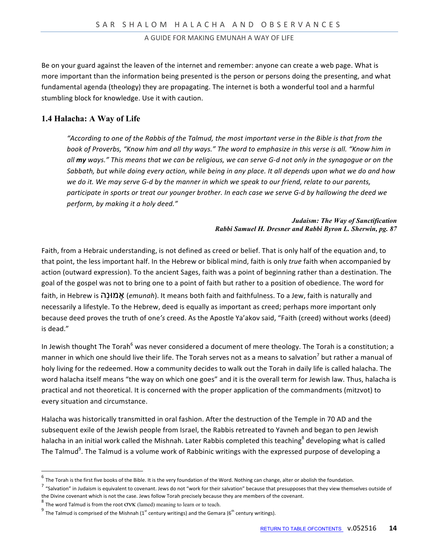Be on your guard against the leaven of the internet and remember: anyone can create a web page. What is more important than the information being presented is the person or persons doing the presenting, and what fundamental agenda (theology) they are propagating. The internet is both a wonderful tool and a harmful stumbling block for knowledge. Use it with caution.

# **1.4 Halacha: A Way of Life**

"According to one of the Rabbis of the Talmud, the most important verse in the Bible is that from the book of Proverbs, "Know him and all thy ways." The word to emphasize in this verse is all. "Know him in *all my* ways." This means that we can be religious, we can serve G-d not only in the synagogue or on the Sabbath, but while doing every action, while being in any place. It all depends upon what we do and how we do it. We may serve G-d by the manner in which we speak to our friend, relate to our parents, *participate in sports or treat our younger brother. In each case we serve G-d by hallowing the deed we perform, by making it a holy deed."*

#### *Judaism: The Way of Sanctification Rabbi Samuel H. Dresner and Rabbi Byron L. Sherwin, pg. 87*

Faith, from a Hebraic understanding, is not defined as creed or belief. That is only half of the equation and, to that point, the less important half. In the Hebrew or biblical mind, faith is only *true* faith when accompanied by action (outward expression). To the ancient Sages, faith was a point of beginning rather than a destination. The goal of the gospel was not to bring one to a point of faith but rather to a position of obedience. The word for faith, in Hebrew is אָ**מוּנַה, (emunah).** It means both faith and faithfulness. To a Jew, faith is naturally and necessarily a lifestyle. To the Hebrew, deed is equally as important as creed; perhaps more important only because deed proves the truth of one's creed. As the Apostle Ya'akov said, "Faith (creed) without works (deed) is dead."

In Jewish thought The Torah<sup>6</sup> was never considered a document of mere theology. The Torah is a constitution; a manner in which one should live their life. The Torah serves not as a means to salvation<sup>7</sup> but rather a manual of holy living for the redeemed. How a community decides to walk out the Torah in daily life is called halacha. The word halacha itself means "the way on which one goes" and it is the overall term for Jewish law. Thus, halacha is practical and not theoretical. It is concerned with the proper application of the commandments (mitzvot) to every situation and circumstance.

Halacha was historically transmitted in oral fashion. After the destruction of the Temple in 70 AD and the subsequent exile of the Jewish people from Israel, the Rabbis retreated to Yavneh and began to pen Jewish halacha in an initial work called the Mishnah. Later Rabbis completed this teaching<sup>8</sup> developing what is called The Talmud<sup>9</sup>. The Talmud is a volume work of Rabbinic writings with the expressed purpose of developing a

 $^6$  The Torah is the first five books of the Bible. It is the very foundation of the Word. Nothing can change, alter or abolish the foundation.

 $^7$  "Salvation" in Judaism is equivalent to covenant. Jews do not "work for their salvation" because that presupposes that they view themselves outside of the Divine covenant which is not the case. Jews follow Torah precisely because they are members of the covenant.

<sup>&</sup>lt;sup>8</sup> The word Talmud is from the root  $\sigma$ VK (lamed) meaning to learn or to teach.<br><sup>9</sup> The Talmud is comprised of the Mishnah (1<sup>st</sup> century writings) and the Gemara (6<sup>th</sup> century writings).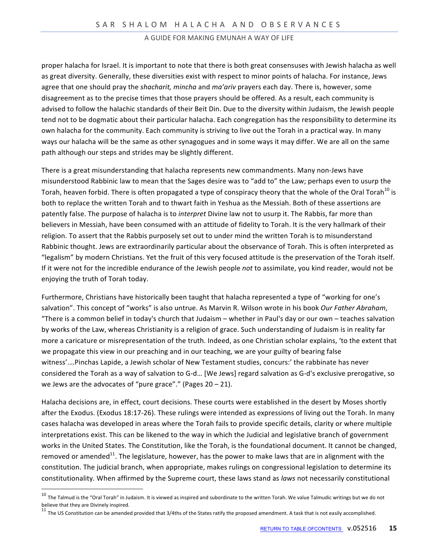proper halacha for Israel. It is important to note that there is both great consensuses with Jewish halacha as well as great diversity. Generally, these diversities exist with respect to minor points of halacha. For instance, Jews agree that one should pray the *shacharit, mincha* and *ma'ariv* prayers each day. There is, however, some disagreement as to the precise times that those prayers should be offered. As a result, each community is advised to follow the halachic standards of their Beit Din. Due to the diversity within Judaism, the Jewish people tend not to be dogmatic about their particular halacha. Each congregation has the responsibility to determine its own halacha for the community. Each community is striving to live out the Torah in a practical way. In many ways our halacha will be the same as other synagogues and in some ways it may differ. We are all on the same path although our steps and strides may be slightly different.

There is a great misunderstanding that halacha represents new commandments. Many non-Jews have misunderstood Rabbinic law to mean that the Sages desire was to "add to" the Law; perhaps even to usurp the Torah, heaven forbid. There is often propagated a type of conspiracy theory that the whole of the Oral Torah<sup>10</sup> is both to replace the written Torah and to thwart faith in Yeshua as the Messiah. Both of these assertions are patently false. The purpose of halacha is to *interpret* Divine law not to usurp it. The Rabbis, far more than believers in Messiah, have been consumed with an attitude of fidelity to Torah. It is the very hallmark of their religion. To assert that the Rabbis purposely set out to under mind the written Torah is to misunderstand Rabbinic thought. Jews are extraordinarily particular about the observance of Torah. This is often interpreted as "legalism" by modern Christians. Yet the fruit of this very focused attitude is the preservation of the Torah itself. If it were not for the incredible endurance of the Jewish people not to assimilate, you kind reader, would not be enjoying the truth of Torah today.

Furthermore, Christians have historically been taught that halacha represented a type of "working for one's salvation". This concept of "works" is also untrue. As Marvin R. Wilson wrote in his book Our Father Abraham, "There is a common belief in today's church that Judaism – whether in Paul's day or our own – teaches salvation by works of the Law, whereas Christianity is a religion of grace. Such understanding of Judaism is in reality far more a caricature or misrepresentation of the truth. Indeed, as one Christian scholar explains, 'to the extent that we propagate this view in our preaching and in our teaching, we are your guilty of bearing false witness'....Pinchas Lapide, a Jewish scholar of New Testament studies, concurs:' the rabbinate has never considered the Torah as a way of salvation to G-d... [We Jews] regard salvation as G-d's exclusive prerogative, so we Jews are the advocates of "pure grace"." (Pages  $20 - 21$ ).

Halacha decisions are, in effect, court decisions. These courts were established in the desert by Moses shortly after the Exodus. (Exodus 18:17-26). These rulings were intended as expressions of living out the Torah. In many cases halacha was developed in areas where the Torah fails to provide specific details, clarity or where multiple interpretations exist. This can be likened to the way in which the Judicial and legislative branch of government works in the United States. The Constitution, like the Torah, is the foundational document. It cannot be changed, removed or amended<sup>11</sup>. The legislature, however, has the power to make laws that are in alignment with the constitution. The judicial branch, when appropriate, makes rulings on congressional legislation to determine its constitutionality. When affirmed by the Supreme court, these laws stand as *laws* not necessarily constitutional

 $^{10}$  The Talmud is the "Oral Torah" in Judaism. It is viewed as inspired and subordinate to the written Torah. We value Talmudic writings but we do not believe that they are Divinely inspired.<br><sup>11</sup> The US Constitution can be amended provided that 3/4ths of the States ratify the proposed amendment. A task that is not easily accomplished.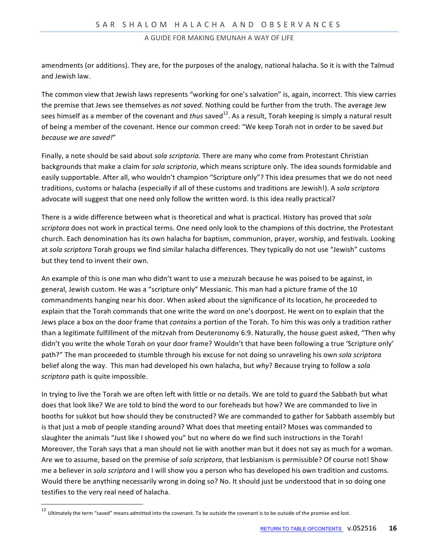amendments (or additions). They are, for the purposes of the analogy, national halacha. So it is with the Talmud and Jewish law. 

The common view that Jewish laws represents "working for one's salvation" is, again, incorrect. This view carries the premise that Jews see themselves as *not saved*. Nothing could be further from the truth. The average Jew sees himself as a member of the covenant and *thus* saved<sup>12</sup>. As a result, Torah keeping is simply a natural result of being a member of the covenant. Hence our common creed: "We keep Torah not in order to be saved but *because we are saved!*"

Finally, a note should be said about *sola scriptoria*. There are many who come from Protestant Christian backgrounds that make a claim for *sola scriptoria*, which means scripture only. The idea sounds formidable and easily supportable. After all, who wouldn't champion "Scripture only"? This idea presumes that we do not need traditions, customs or halacha (especially if all of these customs and traditions are Jewish!). A *sola scriptora* advocate will suggest that one need only follow the written word. Is this idea really practical?

There is a wide difference between what is theoretical and what is practical. History has proved that *sola* scriptora does not work in practical terms. One need only look to the champions of this doctrine, the Protestant church. Each denomination has its own halacha for baptism, communion, prayer, worship, and festivals. Looking at sola scriptora Torah groups we find similar halacha differences. They typically do not use "Jewish" customs but they tend to invent their own.

An example of this is one man who didn't want to use a mezuzah because he was poised to be against, in general, Jewish custom. He was a "scripture only" Messianic. This man had a picture frame of the 10 commandments hanging near his door. When asked about the significance of its location, he proceeded to explain that the Torah commands that one write the word on one's doorpost. He went on to explain that the Jews place a box on the door frame that *contains* a portion of the Torah. To him this was only a tradition rather than a legitimate fulfillment of the mitzvah from Deuteronomy 6:9. Naturally, the house guest asked, "Then why didn't you write the whole Torah on your door frame? Wouldn't that have been following a true 'Scripture only' path?" The man proceeded to stumble through his excuse for not doing so unraveling his own *sola scriptora* belief along the way. This man had developed his own halacha, but why? Because trying to follow a *sola* scriptora path is quite impossible.

In trying to live the Torah we are often left with little or no details. We are told to guard the Sabbath but what does that look like? We are told to bind the word to our foreheads but how? We are commanded to live in booths for sukkot but how should they be constructed? We are commanded to gather for Sabbath assembly but is that just a mob of people standing around? What does that meeting entail? Moses was commanded to slaughter the animals "Just like I showed you" but no where do we find such instructions in the Torah! Moreover, the Torah says that a man should not lie with another man but it does not say as much for a woman. Are we to assume, based on the premise of *sola scriptora*, that lesbianism is permissible? Of course not! Show me a believer in *sola scriptora* and I will show you a person who has developed his own tradition and customs. Would there be anything necessarily wrong in doing so? No. It should just be understood that in so doing one testifies to the very real need of halacha.

 $12$  Ultimately the term "saved" means admitted into the covenant. To be outside the covenant is to be outside of the promise and lost.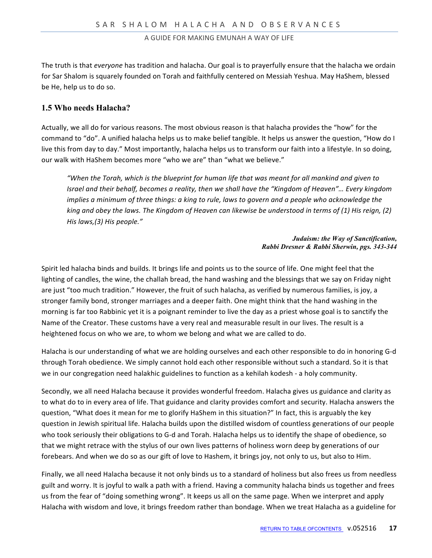The truth is that *everyone* has tradition and halacha. Our goal is to prayerfully ensure that the halacha we ordain for Sar Shalom is squarely founded on Torah and faithfully centered on Messiah Yeshua. May HaShem, blessed be He, help us to do so.

### **1.5 Who needs Halacha?**

Actually, we all do for various reasons. The most obvious reason is that halacha provides the "how" for the command to "do". A unified halacha helps us to make belief tangible. It helps us answer the question, "How do I live this from day to day." Most importantly, halacha helps us to transform our faith into a lifestyle. In so doing, our walk with HaShem becomes more "who we are" than "what we believe."

*"When the Torah, which is the blueprint for human life that was meant for all mankind and given to Israel* and their behalf, becomes a reality, then we shall have the "Kingdom of Heaven"... Every kingdom *implies a minimum of three things: a king to rule, laws to govern and a people who acknowledge the* king and obey the laws. The Kingdom of Heaven can likewise be understood in terms of (1) His reign, (2) *His laws,(3) His people."*

#### *Judaism: the Way of Sanctification, Rabbi Dresner & Rabbi Sherwin, pgs. 343-344*

Spirit led halacha binds and builds. It brings life and points us to the source of life. One might feel that the lighting of candles, the wine, the challah bread, the hand washing and the blessings that we say on Friday night are just "too much tradition." However, the fruit of such halacha, as verified by numerous families, is joy, a stronger family bond, stronger marriages and a deeper faith. One might think that the hand washing in the morning is far too Rabbinic yet it is a poignant reminder to live the day as a priest whose goal is to sanctify the Name of the Creator. These customs have a very real and measurable result in our lives. The result is a heightened focus on who we are, to whom we belong and what we are called to do.

Halacha is our understanding of what we are holding ourselves and each other responsible to do in honoring G-d through Torah obedience. We simply cannot hold each other responsible without such a standard. So it is that we in our congregation need halakhic guidelines to function as a kehilah kodesh - a holy community.

Secondly, we all need Halacha because it provides wonderful freedom. Halacha gives us guidance and clarity as to what do to in every area of life. That guidance and clarity provides comfort and security. Halacha answers the question, "What does it mean for me to glorify HaShem in this situation?" In fact, this is arguably the key question in Jewish spiritual life. Halacha builds upon the distilled wisdom of countless generations of our people who took seriously their obligations to G-d and Torah. Halacha helps us to identify the shape of obedience, so that we might retrace with the stylus of our own lives patterns of holiness worn deep by generations of our forebears. And when we do so as our gift of love to Hashem, it brings joy, not only to us, but also to Him.

Finally, we all need Halacha because it not only binds us to a standard of holiness but also frees us from needless guilt and worry. It is joyful to walk a path with a friend. Having a community halacha binds us together and frees us from the fear of "doing something wrong". It keeps us all on the same page. When we interpret and apply Halacha with wisdom and love, it brings freedom rather than bondage. When we treat Halacha as a guideline for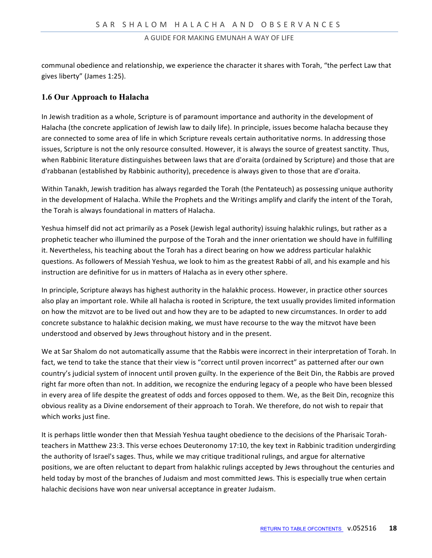communal obedience and relationship, we experience the character it shares with Torah, "the perfect Law that gives liberty" (James 1:25).

## **1.6 Our Approach to Halacha**

In Jewish tradition as a whole, Scripture is of paramount importance and authority in the development of Halacha (the concrete application of Jewish law to daily life). In principle, issues become halacha because they are connected to some area of life in which Scripture reveals certain authoritative norms. In addressing those issues, Scripture is not the only resource consulted. However, it is always the source of greatest sanctity. Thus, when Rabbinic literature distinguishes between laws that are d'oraita (ordained by Scripture) and those that are d'rabbanan (established by Rabbinic authority), precedence is always given to those that are d'oraita.

Within Tanakh, Jewish tradition has always regarded the Torah (the Pentateuch) as possessing unique authority in the development of Halacha. While the Prophets and the Writings amplify and clarify the intent of the Torah, the Torah is always foundational in matters of Halacha.

Yeshua himself did not act primarily as a Posek (Jewish legal authority) issuing halakhic rulings, but rather as a prophetic teacher who illumined the purpose of the Torah and the inner orientation we should have in fulfilling it. Nevertheless, his teaching about the Torah has a direct bearing on how we address particular halakhic questions. As followers of Messiah Yeshua, we look to him as the greatest Rabbi of all, and his example and his instruction are definitive for us in matters of Halacha as in every other sphere.

In principle, Scripture always has highest authority in the halakhic process. However, in practice other sources also play an important role. While all halacha is rooted in Scripture, the text usually provides limited information on how the mitzvot are to be lived out and how they are to be adapted to new circumstances. In order to add concrete substance to halakhic decision making, we must have recourse to the way the mitzvot have been understood and observed by Jews throughout history and in the present.

We at Sar Shalom do not automatically assume that the Rabbis were incorrect in their interpretation of Torah. In fact, we tend to take the stance that their view is "correct until proven incorrect" as patterned after our own country's judicial system of innocent until proven guilty. In the experience of the Beit Din, the Rabbis are proved right far more often than not. In addition, we recognize the enduring legacy of a people who have been blessed in every area of life despite the greatest of odds and forces opposed to them. We, as the Beit Din, recognize this obvious reality as a Divine endorsement of their approach to Torah. We therefore, do not wish to repair that which works just fine.

It is perhaps little wonder then that Messiah Yeshua taught obedience to the decisions of the Pharisaic Torahteachers in Matthew 23:3. This verse echoes Deuteronomy 17:10, the key text in Rabbinic tradition undergirding the authority of Israel's sages. Thus, while we may critique traditional rulings, and argue for alternative positions, we are often reluctant to depart from halakhic rulings accepted by Jews throughout the centuries and held today by most of the branches of Judaism and most committed Jews. This is especially true when certain halachic decisions have won near universal acceptance in greater Judaism.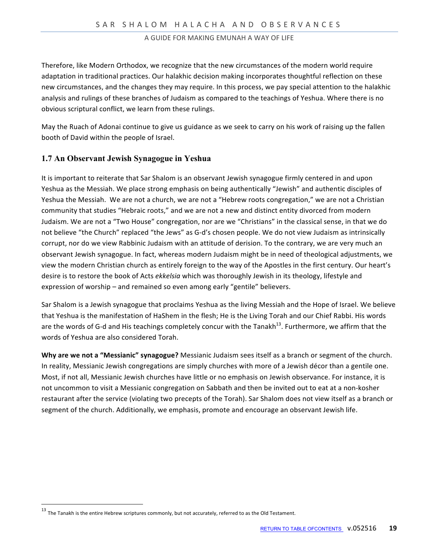Therefore, like Modern Orthodox, we recognize that the new circumstances of the modern world require adaptation in traditional practices. Our halakhic decision making incorporates thoughtful reflection on these new circumstances, and the changes they may require. In this process, we pay special attention to the halakhic analysis and rulings of these branches of Judaism as compared to the teachings of Yeshua. Where there is no obvious scriptural conflict, we learn from these rulings.

May the Ruach of Adonai continue to give us guidance as we seek to carry on his work of raising up the fallen booth of David within the people of Israel.

## **1.7 An Observant Jewish Synagogue in Yeshua**

It is important to reiterate that Sar Shalom is an observant Jewish synagogue firmly centered in and upon Yeshua as the Messiah. We place strong emphasis on being authentically "Jewish" and authentic disciples of Yeshua the Messiah. We are not a church, we are not a "Hebrew roots congregation," we are not a Christian community that studies "Hebraic roots," and we are not a new and distinct entity divorced from modern Judaism. We are not a "Two House" congregation, nor are we "Christians" in the classical sense, in that we do not believe "the Church" replaced "the Jews" as G-d's chosen people. We do not view Judaism as intrinsically corrupt, nor do we view Rabbinic Judaism with an attitude of derision. To the contrary, we are very much an observant Jewish synagogue. In fact, whereas modern Judaism might be in need of theological adjustments, we view the modern Christian church as entirely foreign to the way of the Apostles in the first century. Our heart's desire is to restore the book of Acts *ekkelsia* which was thoroughly Jewish in its theology, lifestyle and expression of worship – and remained so even among early "gentile" believers.

Sar Shalom is a Jewish synagogue that proclaims Yeshua as the living Messiah and the Hope of Israel. We believe that Yeshua is the manifestation of HaShem in the flesh; He is the Living Torah and our Chief Rabbi. His words are the words of G-d and His teachings completely concur with the Tanakh<sup>13</sup>. Furthermore, we affirm that the words of Yeshua are also considered Torah.

**Why are we not a "Messianic" synagogue?** Messianic Judaism sees itself as a branch or segment of the church. In reality, Messianic Jewish congregations are simply churches with more of a Jewish décor than a gentile one. Most, if not all, Messianic Jewish churches have little or no emphasis on Jewish observance. For instance, it is not uncommon to visit a Messianic congregation on Sabbath and then be invited out to eat at a non-kosher restaurant after the service (violating two precepts of the Torah). Sar Shalom does not view itself as a branch or segment of the church. Additionally, we emphasis, promote and encourage an observant Jewish life.

 $13$  The Tanakh is the entire Hebrew scriptures commonly, but not accurately, referred to as the Old Testament.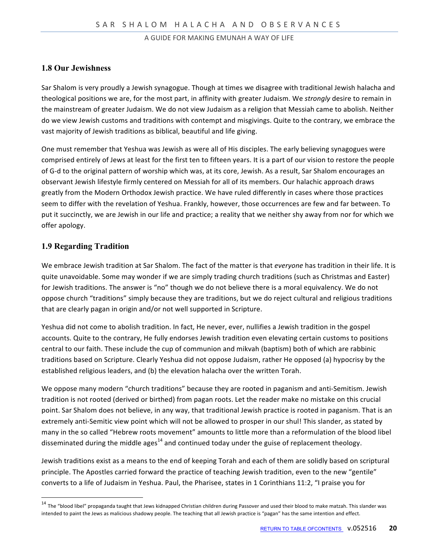# **1.8 Our Jewishness**

Sar Shalom is very proudly a Jewish synagogue. Though at times we disagree with traditional Jewish halacha and theological positions we are, for the most part, in affinity with greater Judaism. We *strongly* desire to remain in the mainstream of greater Judaism. We do not view Judaism as a religion that Messiah came to abolish. Neither do we view Jewish customs and traditions with contempt and misgivings. Quite to the contrary, we embrace the vast majority of Jewish traditions as biblical, beautiful and life giving.

One must remember that Yeshua was Jewish as were all of His disciples. The early believing synagogues were comprised entirely of Jews at least for the first ten to fifteen years. It is a part of our vision to restore the people of G-d to the original pattern of worship which was, at its core, Jewish. As a result, Sar Shalom encourages an observant Jewish lifestyle firmly centered on Messiah for all of its members. Our halachic approach draws greatly from the Modern Orthodox Jewish practice. We have ruled differently in cases where those practices seem to differ with the revelation of Yeshua. Frankly, however, those occurrences are few and far between. To put it succinctly, we are Jewish in our life and practice; a reality that we neither shy away from nor for which we offer apology.

# **1.9 Regarding Tradition**

 

We embrace Jewish tradition at Sar Shalom. The fact of the matter is that *everyone* has tradition in their life. It is quite unavoidable. Some may wonder if we are simply trading church traditions (such as Christmas and Easter) for Jewish traditions. The answer is "no" though we do not believe there is a moral equivalency. We do not oppose church "traditions" simply because they are traditions, but we do reject cultural and religious traditions that are clearly pagan in origin and/or not well supported in Scripture.

Yeshua did not come to abolish tradition. In fact, He never, ever, nullifies a Jewish tradition in the gospel accounts. Quite to the contrary, He fully endorses Jewish tradition even elevating certain customs to positions central to our faith. These include the cup of communion and mikvah (baptism) both of which are rabbinic traditions based on Scripture. Clearly Yeshua did not oppose Judaism, rather He opposed (a) hypocrisy by the established religious leaders, and (b) the elevation halacha over the written Torah.

We oppose many modern "church traditions" because they are rooted in paganism and anti-Semitism. Jewish tradition is not rooted (derived or birthed) from pagan roots. Let the reader make no mistake on this crucial point. Sar Shalom does not believe, in any way, that traditional Jewish practice is rooted in paganism. That is an extremely anti-Semitic view point which will not be allowed to prosper in our shul! This slander, as stated by many in the so called "Hebrew roots movement" amounts to little more than a reformulation of the blood libel disseminated during the middle ages<sup>14</sup> and continued today under the guise of replacement theology.

Jewish traditions exist as a means to the end of keeping Torah and each of them are solidly based on scriptural principle. The Apostles carried forward the practice of teaching Jewish tradition, even to the new "gentile" converts to a life of Judaism in Yeshua. Paul, the Pharisee, states in 1 Corinthians 11:2, "I praise you for

 $14$  The "blood libel" propaganda taught that Jews kidnapped Christian children during Passover and used their blood to make matzah. This slander was intended to paint the Jews as malicious shadowy people. The teaching that all Jewish practice is "pagan" has the same intention and effect.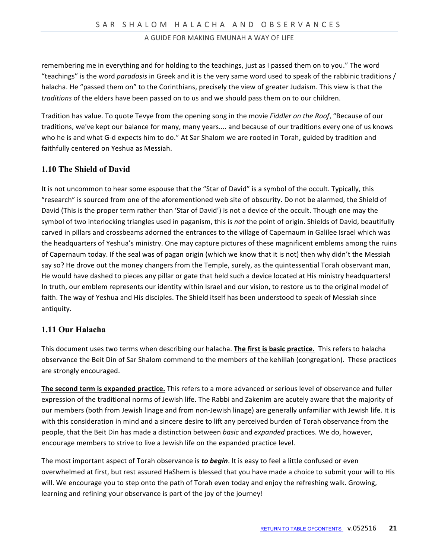remembering me in everything and for holding to the teachings, just as I passed them on to you." The word "teachings" is the word *paradosis* in Greek and it is the very same word used to speak of the rabbinic traditions / halacha. He "passed them on" to the Corinthians, precisely the view of greater Judaism. This view is that the traditions of the elders have been passed on to us and we should pass them on to our children.

Tradition has value. To quote Tevye from the opening song in the movie Fiddler on the Roof, "Because of our traditions, we've kept our balance for many, many years.... and because of our traditions every one of us knows who he is and what G-d expects him to do." At Sar Shalom we are rooted in Torah, guided by tradition and faithfully centered on Yeshua as Messiah.

## **1.10 The Shield of David**

It is not uncommon to hear some espouse that the "Star of David" is a symbol of the occult. Typically, this "research" is sourced from one of the aforementioned web site of obscurity. Do not be alarmed, the Shield of David (This is the proper term rather than 'Star of David') is not a device of the occult. Though one may the symbol of two interlocking triangles used in paganism, this is not the point of origin. Shields of David, beautifully carved in pillars and crossbeams adorned the entrances to the village of Capernaum in Galilee Israel which was the headquarters of Yeshua's ministry. One may capture pictures of these magnificent emblems among the ruins of Capernaum today. If the seal was of pagan origin (which we know that it is not) then why didn't the Messiah say so? He drove out the money changers from the Temple, surely, as the quintessential Torah observant man, He would have dashed to pieces any pillar or gate that held such a device located at His ministry headquarters! In truth, our emblem represents our identity within Israel and our vision, to restore us to the original model of faith. The way of Yeshua and His disciples. The Shield itself has been understood to speak of Messiah since antiquity. 

# **1.11 Our Halacha**

This document uses two terms when describing our halacha. The first is basic practice. This refers to halacha observance the Beit Din of Sar Shalom commend to the members of the kehillah (congregation). These practices are strongly encouraged.

**The second term is expanded practice.** This refers to a more advanced or serious level of observance and fuller expression of the traditional norms of Jewish life. The Rabbi and Zakenim are acutely aware that the majority of our members (both from Jewish linage and from non-Jewish linage) are generally unfamiliar with Jewish life. It is with this consideration in mind and a sincere desire to lift any perceived burden of Torah observance from the people, that the Beit Din has made a distinction between *basic* and *expanded* practices. We do, however, encourage members to strive to live a Jewish life on the expanded practice level.

The most important aspect of Torah observance is *to begin*. It is easy to feel a little confused or even overwhelmed at first, but rest assured HaShem is blessed that you have made a choice to submit your will to His will. We encourage you to step onto the path of Torah even today and enjoy the refreshing walk. Growing, learning and refining your observance is part of the joy of the journey!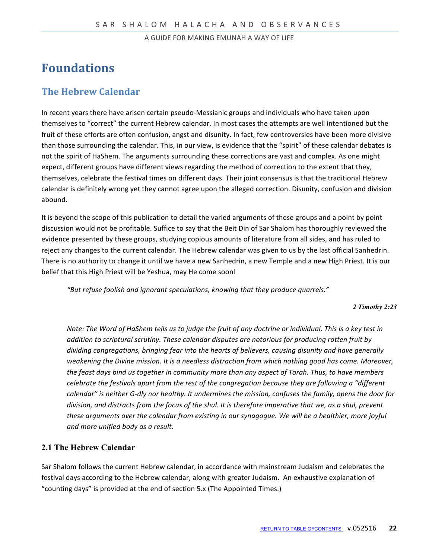# **Foundations**

# **The Hebrew Calendar**

In recent years there have arisen certain pseudo-Messianic groups and individuals who have taken upon themselves to "correct" the current Hebrew calendar. In most cases the attempts are well intentioned but the fruit of these efforts are often confusion, angst and disunity. In fact, few controversies have been more divisive than those surrounding the calendar. This, in our view, is evidence that the "spirit" of these calendar debates is not the spirit of HaShem. The arguments surrounding these corrections are vast and complex. As one might expect, different groups have different views regarding the method of correction to the extent that they, themselves, celebrate the festival times on different days. Their joint consensus is that the traditional Hebrew calendar is definitely wrong yet they cannot agree upon the alleged correction. Disunity, confusion and division abound. 

It is beyond the scope of this publication to detail the varied arguments of these groups and a point by point discussion would not be profitable. Suffice to say that the Beit Din of Sar Shalom has thoroughly reviewed the evidence presented by these groups, studying copious amounts of literature from all sides, and has ruled to reject any changes to the current calendar. The Hebrew calendar was given to us by the last official Sanhedrin. There is no authority to change it until we have a new Sanhedrin, a new Temple and a new High Priest. It is our belief that this High Priest will be Yeshua, may He come soon!

"But refuse foolish and ignorant speculations, knowing that they produce quarrels."

*2 Timothy 2:23*

*Note:* The Word of HaShem tells us to judge the fruit of any doctrine or individual. This is a key test in *addition* to scriptural scrutiny. These calendar disputes are notorious for producing rotten fruit by dividing congregations, bringing fear into the hearts of believers, causing disunity and have generally weakening the Divine mission. It is a needless distraction from which nothing good has come. Moreover, the feast days bind us together in community more than any aspect of Torah. Thus, to have members *celebrate the festivals apart from the rest of the congregation because they are following a "different calendar"* is neither G-dly nor healthy. It undermines the mission, confuses the family, opens the door for division, and distracts from the focus of the shul. It is therefore imperative that we, as a shul, prevent *these arguments over the calendar from existing in our synagogue. We will be a healthier, more joyful* and more unified body as a result.

# **2.1 The Hebrew Calendar**

Sar Shalom follows the current Hebrew calendar, in accordance with mainstream Judaism and celebrates the festival days according to the Hebrew calendar, along with greater Judaism. An exhaustive explanation of "counting days" is provided at the end of section 5.x (The Appointed Times.)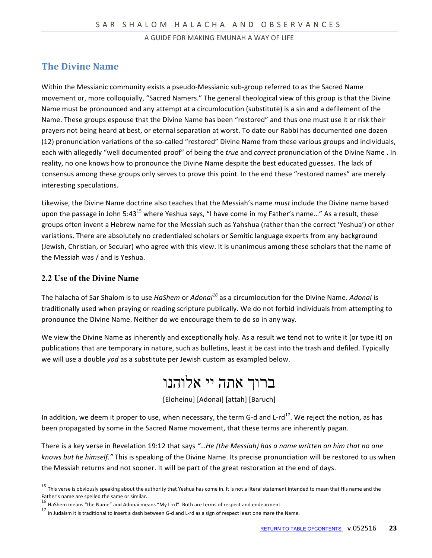# **The Divine Name**

Within the Messianic community exists a pseudo-Messianic sub-group referred to as the Sacred Name movement or, more colloquially, "Sacred Namers." The general theological view of this group is that the Divine Name must be pronounced and any attempt at a circumlocution (substitute) is a sin and a defilement of the Name. These groups espouse that the Divine Name has been "restored" and thus one must use it or risk their prayers not being heard at best, or eternal separation at worst. To date our Rabbi has documented one dozen (12) pronunciation variations of the so-called "restored" Divine Name from these various groups and individuals, each with allegedly "well documented proof" of being the *true* and *correct* pronunciation of the Divine Name. In reality, no one knows how to pronounce the Divine Name despite the best educated guesses. The lack of consensus among these groups only serves to prove this point. In the end these "restored names" are merely interesting speculations. 

Likewise, the Divine Name doctrine also teaches that the Messiah's name *must* include the Divine name based upon the passage in John 5:43<sup>15</sup> where Yeshua says, "I have come in my Father's name..." As a result, these groups often invent a Hebrew name for the Messiah such as Yahshua (rather than the correct 'Yeshua') or other variations. There are absolutely no credentialed scholars or Semitic language experts from any background (Jewish, Christian, or Secular) who agree with this view. It is unanimous among these scholars that the name of the Messiah was / and is Yeshua.

# **2.2 Use of the Divine Name**

 

The halacha of Sar Shalom is to use *HaShem* or *Adonai*<sup>16</sup> as a circumlocution for the Divine Name. *Adonai* is traditionally used when praying or reading scripture publically. We do not forbid individuals from attempting to pronounce the Divine Name. Neither do we encourage them to do so in any way.

We view the Divine Name as inherently and exceptionally holy. As a result we tend not to write it (or type it) on publications that are temporary in nature, such as bulletins, least it be cast into the trash and defiled. Typically we will use a double *yod* as a substitute per Jewish custom as exampled below.

# ברוך אתה יי אלוהנו

[Eloheinu] [Adonai] [attah] [Baruch]

In addition, we deem it proper to use, when necessary, the term G-d and L-rd<sup>17</sup>. We reject the notion, as has been propagated by some in the Sacred Name movement, that these terms are inherently pagan.

There is a key verse in Revelation 19:12 that says "...He (the Messiah) has a name written on him that no one knows but he himself." This is speaking of the Divine Name. Its precise pronunciation will be restored to us when the Messiah returns and not sooner. It will be part of the great restoration at the end of days.

 $15$  This verse is obviously speaking about the authority that Yeshua has come in. It is not a literal statement intended to mean that His name and the Father's name are spelled the same or similar.

 $^{16}$  HaShem means "the Name" and Adonai means "My L-rd". Both are terms of respect and endearment.

 $17$  In Judaism it is traditional to insert a dash between G-d and L-rd as a sign of respect least one mare the Name.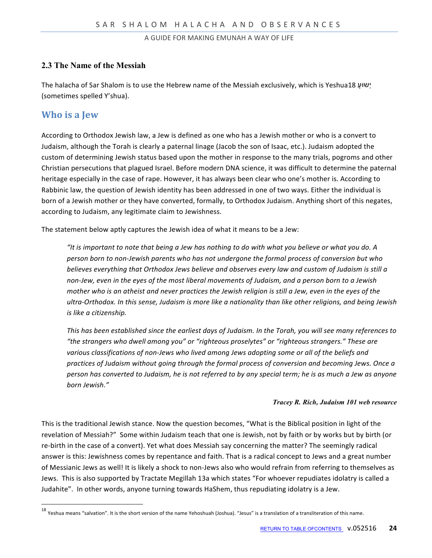# **2.3 The Name of the Messiah**

 

The halacha of Sar Shalom is to use the Hebrew name of the Messiah exclusively, which is Yeshua18 יָשוּעַ (sometimes spelled Y'shua).

# **Who** is a Jew

According to Orthodox Jewish law, a Jew is defined as one who has a Jewish mother or who is a convert to Judaism, although the Torah is clearly a paternal linage (Jacob the son of Isaac, etc.). Judaism adopted the custom of determining Jewish status based upon the mother in response to the many trials, pogroms and other Christian persecutions that plagued Israel. Before modern DNA science, it was difficult to determine the paternal heritage especially in the case of rape. However, it has always been clear who one's mother is. According to Rabbinic law, the question of Jewish identity has been addressed in one of two ways. Either the individual is born of a Jewish mother or they have converted, formally, to Orthodox Judaism. Anything short of this negates, according to Judaism, any legitimate claim to Jewishness.

The statement below aptly captures the Jewish idea of what it means to be a Jew:

"It is important to note that being a Jew has nothing to do with what you believe or what you do. A *person born to non-Jewish parents who has not undergone the formal process of conversion but who believes* everything that Orthodox Jews believe and observes every law and custom of Judaism is still a non-Jew, even in the eyes of the most liberal movements of Judaism, and a person born to a Jewish *mother* who is an atheist and never practices the Jewish religion is still a Jew, even in the eyes of the ultra-Orthodox. In this sense, Judaism is more like a nationality than like other religions, and being Jewish *is like a citizenship.*

*This* has been established since the earliest days of Judaism. In the Torah, you will see many references to *"the strangers who dwell among you" or "righteous proselytes" or "righteous strangers." These are*  various classifications of non-Jews who lived among Jews adopting some or all of the beliefs and *practices of Judaism without going through the formal process of conversion and becoming Jews. Once a person has converted to Judaism, he is not referred to by any special term; he is as much a Jew as anyone born Jewish."*

#### *Tracey R. Rich, Judaism 101 web resource*

This is the traditional Jewish stance. Now the question becomes, "What is the Biblical position in light of the revelation of Messiah?" Some within Judaism teach that one is Jewish, not by faith or by works but by birth (or re-birth in the case of a convert). Yet what does Messiah say concerning the matter? The seemingly radical answer is this: Jewishness comes by repentance and faith. That is a radical concept to Jews and a great number of Messianic Jews as well! It is likely a shock to non-Jews also who would refrain from referring to themselves as Jews. This is also supported by Tractate Megillah 13a which states "For whoever repudiates idolatry is called a Judahite". In other words, anyone turning towards HaShem, thus repudiating idolatry is a Jew.

 $18$  Yeshua means "salvation". It is the short version of the name Yehoshuah (Joshua). "Jesus" is a translation of a transliteration of this name.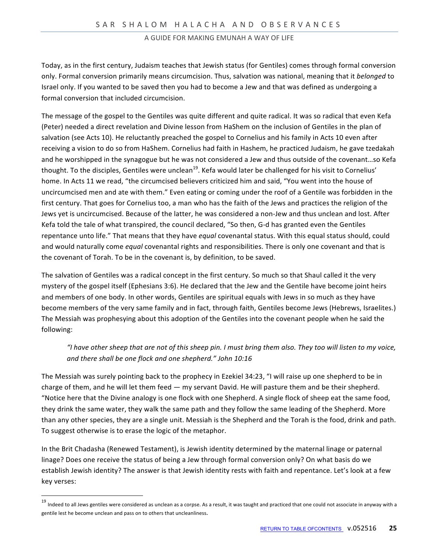Today, as in the first century, Judaism teaches that Jewish status (for Gentiles) comes through formal conversion only. Formal conversion primarily means circumcision. Thus, salvation was national, meaning that it *belonged* to Israel only. If you wanted to be saved then you had to become a Jew and that was defined as undergoing a formal conversion that included circumcision.

The message of the gospel to the Gentiles was quite different and quite radical. It was so radical that even Kefa (Peter) needed a direct revelation and Divine lesson from HaShem on the inclusion of Gentiles in the plan of salvation (see Acts 10). He reluctantly preached the gospel to Cornelius and his family in Acts 10 even after receiving a vision to do so from HaShem. Cornelius had faith in Hashem, he practiced Judaism, he gave tzedakah and he worshipped in the synagogue but he was not considered a Jew and thus outside of the covenant...so Kefa thought. To the disciples, Gentiles were unclean<sup>19</sup>. Kefa would later be challenged for his visit to Cornelius' home. In Acts 11 we read, "the circumcised believers criticized him and said, "You went into the house of uncircumcised men and ate with them." Even eating or coming under the roof of a Gentile was forbidden in the first century. That goes for Cornelius too, a man who has the faith of the Jews and practices the religion of the Jews yet is uncircumcised. Because of the latter, he was considered a non-Jew and thus unclean and lost. After Kefa told the tale of what transpired, the council declared, "So then, G-d has granted even the Gentiles repentance unto life." That means that they have *equal* covenantal status. With this equal status should, could and would naturally come *equal* covenantal rights and responsibilities. There is only one covenant and that is the covenant of Torah. To be in the covenant is, by definition, to be saved.

The salvation of Gentiles was a radical concept in the first century. So much so that Shaul called it the very mystery of the gospel itself (Ephesians 3:6). He declared that the Jew and the Gentile have become joint heirs and members of one body. In other words, Gentiles are spiritual equals with Jews in so much as they have become members of the very same family and in fact, through faith, Gentiles become Jews (Hebrews, Israelites.) The Messiah was prophesying about this adoption of the Gentiles into the covenant people when he said the following:

# *"I have other sheep that are not of this sheep pin. I must bring them also. They too will listen to my voice, and there shall be one flock and one shepherd." John 10:16*

The Messiah was surely pointing back to the prophecy in Ezekiel 34:23, "I will raise up one shepherd to be in charge of them, and he will let them feed — my servant David. He will pasture them and be their shepherd. "Notice here that the Divine analogy is one flock with one Shepherd. A single flock of sheep eat the same food, they drink the same water, they walk the same path and they follow the same leading of the Shepherd. More than any other species, they are a single unit. Messiah is the Shepherd and the Torah is the food, drink and path. To suggest otherwise is to erase the logic of the metaphor.

In the Brit Chadasha (Renewed Testament), is Jewish identity determined by the maternal linage or paternal linage? Does one receive the status of being a Jew through formal conversion only? On what basis do we establish Jewish identity? The answer is that Jewish identity rests with faith and repentance. Let's look at a few key verses:

<sup>&</sup>lt;sup>19</sup> Indeed to all Jews gentiles were considered as unclean as a corpse. As a result, it was taught and practiced that one could not associate in anyway with a gentile lest he become unclean and pass on to others that uncleanliness.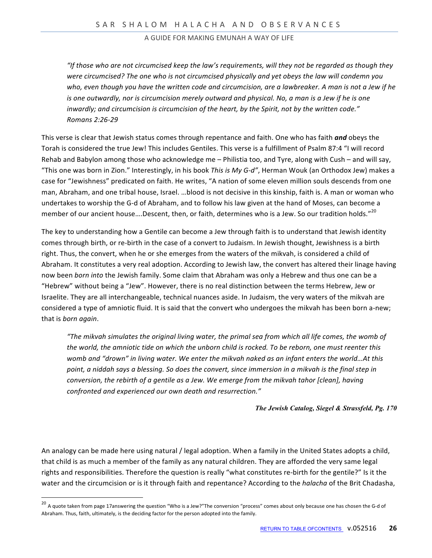"If those who are not circumcised keep the law's requirements, will they not be regarded as though they were circumcised? The one who is not circumcised physically and yet obeys the law will condemn you who, even though you have the written code and circumcision, are a lawbreaker. A man is not a Jew if he *is* one outwardly, nor is circumcision merely outward and physical. No, a man is a Jew if he is one inwardly; and circumcision is circumcision of the heart, by the Spirit, not by the written code." *Romans 2:26-29*

This verse is clear that Jewish status comes through repentance and faith. One who has faith **and** obeys the Torah is considered the true Jew! This includes Gentiles. This verse is a fulfillment of Psalm 87:4 "I will record Rehab and Babylon among those who acknowledge me  $-$  Philistia too, and Tyre, along with Cush  $-$  and will say, "This one was born in Zion." Interestingly, in his book This is My G-d", Herman Wouk (an Orthodox Jew) makes a case for "Jewishness" predicated on faith. He writes, "A nation of some eleven million souls descends from one man, Abraham, and one tribal house, Israel. ...blood is not decisive in this kinship, faith is. A man or woman who undertakes to worship the G-d of Abraham, and to follow his law given at the hand of Moses, can become a member of our ancient house....Descent, then, or faith, determines who is a Jew. So our tradition holds."<sup>20</sup>

The key to understanding how a Gentile can become a Jew through faith is to understand that Jewish identity comes through birth, or re-birth in the case of a convert to Judaism. In Jewish thought, Jewishness is a birth right. Thus, the convert, when he or she emerges from the waters of the mikvah, is considered a child of Abraham. It constitutes a very real adoption. According to Jewish law, the convert has altered their linage having now been *born into* the Jewish family. Some claim that Abraham was only a Hebrew and thus one can be a "Hebrew" without being a "Jew". However, there is no real distinction between the terms Hebrew, Jew or Israelite. They are all interchangeable, technical nuances aside. In Judaism, the very waters of the mikvah are considered a type of amniotic fluid. It is said that the convert who undergoes the mikvah has been born a-new; that is *born again*.

*"The mikvah simulates the original living water, the primal sea from which all life comes, the womb of*  the world, the amniotic tide on which the unborn child is rocked. To be reborn, one must reenter this womb and "drown" in living water. We enter the mikvah naked as an infant enters the world...At this *point, a niddah says a blessing. So does the convert, since immersion in a mikvah is the final step in conversion, the rebirth of a gentile as a Jew. We emerge from the mikvah tahor [clean], having confronted and experienced our own death and resurrection."*

*The Jewish Catalog, Siegel & Strassfeld, Pg. 170*

An analogy can be made here using natural / legal adoption. When a family in the United States adopts a child, that child is as much a member of the family as any natural children. They are afforded the very same legal rights and responsibilities. Therefore the question is really "what constitutes re-birth for the gentile?" Is it the water and the circumcision or is it through faith and repentance? According to the *halacha* of the Brit Chadasha,

 $^{20}$  A quote taken from page 17answering the question "Who is a Jew?"The conversion "process" comes about only because one has chosen the G-d of Abraham. Thus, faith, ultimately, is the deciding factor for the person adopted into the family.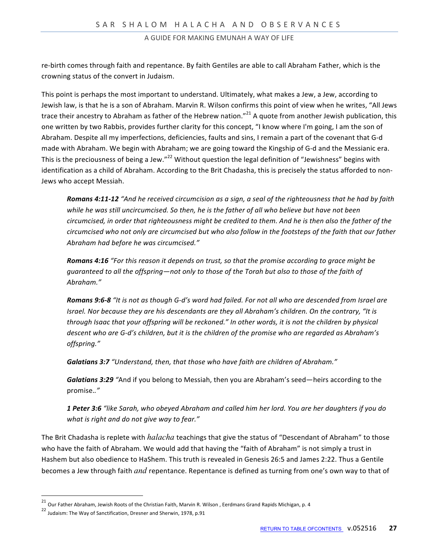re-birth comes through faith and repentance. By faith Gentiles are able to call Abraham Father, which is the crowning status of the convert in Judaism.

This point is perhaps the most important to understand. Ultimately, what makes a Jew, a Jew, according to Jewish law, is that he is a son of Abraham. Marvin R. Wilson confirms this point of view when he writes, "All Jews trace their ancestry to Abraham as father of the Hebrew nation."<sup>21</sup> A quote from another Jewish publication, this one written by two Rabbis, provides further clarity for this concept, "I know where I'm going, I am the son of Abraham. Despite all my imperfections, deficiencies, faults and sins, I remain a part of the covenant that G-d made with Abraham. We begin with Abraham; we are going toward the Kingship of G-d and the Messianic era. This is the preciousness of being a Jew."<sup>22</sup> Without question the legal definition of "Jewishness" begins with identification as a child of Abraham. According to the Brit Chadasha, this is precisely the status afforded to non-Jews who accept Messiah.

*Romans* 4:11-12 "And he received circumcision as a sign, a seal of the righteousness that he had by faith while he was still uncircumcised. So then, he is the father of all who believe but have not been circumcised, in order that righteousness might be credited to them. And he is then also the father of the *circumcised* who not only are circumcised but who also follow in the footsteps of the faith that our father *Abraham had before he was circumcised."*

**Romans 4:16** "For this reason it depends on trust, so that the promise according to grace might be guaranteed to all the offspring—not only to those of the Torah but also to those of the faith of *Abraham."*

**Romans 9:6-8** "It is not as though G-d's word had failed. For not all who are descended from Israel are *Israel.* Nor because they are his descendants are they all Abraham's children. On the contrary, "It is *through Isaac that your offspring will be reckoned." In other words, it is not the children by physical* descent who are G-d's children, but it is the children of the promise who are regarded as Abraham's *offspring."*

Galatians 3:7 "Understand, then, that those who have faith are children of Abraham."

Galatians 3:29 "And if you belong to Messiah, then you are Abraham's seed—heirs according to the promise.*."*

**1 Peter 3:6** "like Sarah, who obeyed Abraham and called him her lord. You are her daughters if you do what is right and do not give way to fear."

The Brit Chadasha is replete with *halacha* teachings that give the status of "Descendant of Abraham" to those who have the faith of Abraham. We would add that having the "faith of Abraham" is not simply a trust in Hashem but also obedience to HaShem. This truth is revealed in Genesis 26:5 and James 2:22. Thus a Gentile becomes a Jew through faith *and* repentance. Repentance is defined as turning from one's own way to that of

 $21$  Our Father Abraham, Jewish Roots of the Christian Faith, Marvin R. Wilson, Eerdmans Grand Rapids Michigan, p. 4

 $22$  Judaism: The Way of Sanctification, Dresner and Sherwin, 1978, p.91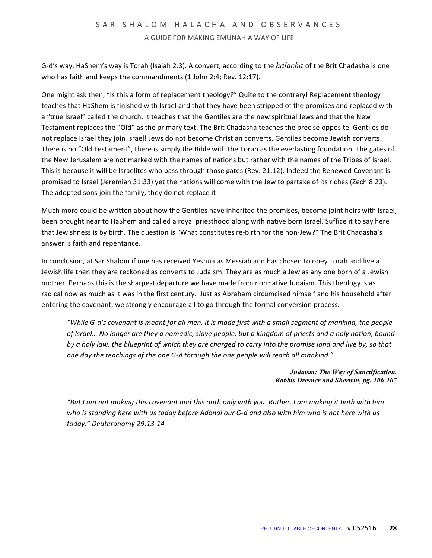G-d's way. HaShem's way is Torah (Isaiah 2:3). A convert, according to the *halacha* of the Brit Chadasha is one who has faith and keeps the commandments (1 John 2:4; Rev. 12:17).

One might ask then, "Is this a form of replacement theology?" Quite to the contrary! Replacement theology teaches that HaShem is finished with Israel and that they have been stripped of the promises and replaced with a "true Israel" called the church. It teaches that the Gentiles are the new spiritual Jews and that the New Testament replaces the "Old" as the primary text. The Brit Chadasha teaches the precise opposite. Gentiles do not replace Israel they join Israel! Jews do not become Christian converts, Gentiles become Jewish converts! There is no "Old Testament", there is simply the Bible with the Torah as the everlasting foundation. The gates of the New Jerusalem are not marked with the names of nations but rather with the names of the Tribes of Israel. This is because it will be Israelites who pass through those gates (Rev. 21:12). Indeed the Renewed Covenant is promised to Israel (Jeremiah 31:33) yet the nations will come with the Jew to partake of its riches (Zech 8:23). The adopted sons join the family, they do not replace it!

Much more could be written about how the Gentiles have inherited the promises, become joint heirs with Israel, been brought near to HaShem and called a royal priesthood along with native born Israel. Suffice it to say here that Jewishness is by birth. The question is "What constitutes re-birth for the non-Jew?" The Brit Chadasha's answer is faith and repentance.

In conclusion, at Sar Shalom if one has received Yeshua as Messiah and has chosen to obey Torah and live a Jewish life then they are reckoned as converts to Judaism. They are as much a Jew as any one born of a Jewish mother. Perhaps this is the sharpest departure we have made from normative Judaism. This theology is as radical now as much as it was in the first century. Just as Abraham circumcised himself and his household after entering the covenant, we strongly encourage all to go through the formal conversion process.

*"While* G-d's covenant is meant for all men, it is made first with a small segment of mankind, the people of Israel... No longer are they a nomadic, slave people, but a kingdom of priests and a holy nation, bound *by* a holy law, the blueprint of which they are charged to carry into the promise land and live by, so that one day the teachings of the one G-d through the one people will reach all mankind."

#### *Judaism: The Way of Sanctification, Rabbis Dresner and Sherwin, pg. 106-107*

"But I am not making this covenant and this oath only with you. Rather, I am making it both with him who is standing here with us today before Adonai our G-d and also with him who is not here with us *today." Deuteronomy 29:13-14*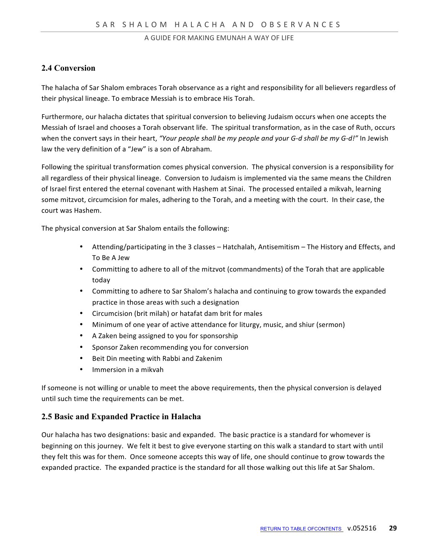# **2.4 Conversion**

The halacha of Sar Shalom embraces Torah observance as a right and responsibility for all believers regardless of their physical lineage. To embrace Messiah is to embrace His Torah.

Furthermore, our halacha dictates that spiritual conversion to believing Judaism occurs when one accepts the Messiah of Israel and chooses a Torah observant life. The spiritual transformation, as in the case of Ruth, occurs when the convert says in their heart, "Your people shall be my people and your G-d shall be my G-d!" In Jewish law the very definition of a "Jew" is a son of Abraham.

Following the spiritual transformation comes physical conversion. The physical conversion is a responsibility for all regardless of their physical lineage. Conversion to Judaism is implemented via the same means the Children of Israel first entered the eternal covenant with Hashem at Sinai. The processed entailed a mikvah, learning some mitzvot, circumcision for males, adhering to the Torah, and a meeting with the court. In their case, the court was Hashem.

The physical conversion at Sar Shalom entails the following:

- Attending/participating in the 3 classes Hatchalah, Antisemitism The History and Effects, and To Be A Jew
- Committing to adhere to all of the mitzvot (commandments) of the Torah that are applicable today
- Committing to adhere to Sar Shalom's halacha and continuing to grow towards the expanded practice in those areas with such a designation
- Circumcision (brit milah) or hatafat dam brit for males
- Minimum of one year of active attendance for liturgy, music, and shiur (sermon)
- A Zaken being assigned to you for sponsorship
- Sponsor Zaken recommending you for conversion
- Beit Din meeting with Rabbi and Zakenim
- Immersion in a mikvah

If someone is not willing or unable to meet the above requirements, then the physical conversion is delayed until such time the requirements can be met.

## **2.5 Basic and Expanded Practice in Halacha**

Our halacha has two designations: basic and expanded. The basic practice is a standard for whomever is beginning on this journey. We felt it best to give everyone starting on this walk a standard to start with until they felt this was for them. Once someone accepts this way of life, one should continue to grow towards the expanded practice. The expanded practice is the standard for all those walking out this life at Sar Shalom.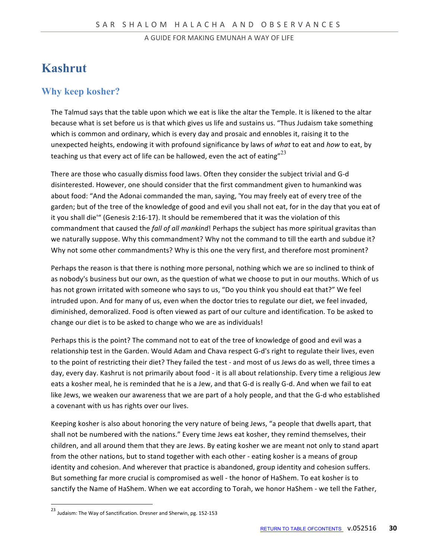# **Kashrut**

# **Why keep kosher?**

The Talmud says that the table upon which we eat is like the altar the Temple. It is likened to the altar because what is set before us is that which gives us life and sustains us. "Thus Judaism take something which is common and ordinary, which is every day and prosaic and ennobles it, raising it to the unexpected heights, endowing it with profound significance by laws of what to eat and how to eat, by teaching us that every act of life can be hallowed, even the act of eating" $^{23}$ 

There are those who casually dismiss food laws. Often they consider the subject trivial and G-d disinterested. However, one should consider that the first commandment given to humankind was about food: "And the Adonai commanded the man, saying, 'You may freely eat of every tree of the garden; but of the tree of the knowledge of good and evil you shall not eat, for in the day that you eat of it you shall die'" (Genesis 2:16-17). It should be remembered that it was the violation of this commandment that caused the *fall of all mankind*! Perhaps the subject has more spiritual gravitas than we naturally suppose. Why this commandment? Why not the command to till the earth and subdue it? Why not some other commandments? Why is this one the very first, and therefore most prominent?

Perhaps the reason is that there is nothing more personal, nothing which we are so inclined to think of as nobody's business but our own, as the question of what we choose to put in our mouths. Which of us has not grown irritated with someone who says to us, "Do you think you should eat that?" We feel intruded upon. And for many of us, even when the doctor tries to regulate our diet, we feel invaded, diminished, demoralized. Food is often viewed as part of our culture and identification. To be asked to change our diet is to be asked to change who we are as individuals!

Perhaps this is the point? The command not to eat of the tree of knowledge of good and evil was a relationship test in the Garden. Would Adam and Chava respect G-d's right to regulate their lives, even to the point of restricting their diet? They failed the test - and most of us Jews do as well, three times a day, every day. Kashrut is not primarily about food - it is all about relationship. Every time a religious Jew eats a kosher meal, he is reminded that he is a Jew, and that G-d is really G-d. And when we fail to eat like Jews, we weaken our awareness that we are part of a holy people, and that the G-d who established a covenant with us has rights over our lives.

Keeping kosher is also about honoring the very nature of being Jews, "a people that dwells apart, that shall not be numbered with the nations." Every time Jews eat kosher, they remind themselves, their children, and all around them that they are Jews. By eating kosher we are meant not only to stand apart from the other nations, but to stand together with each other - eating kosher is a means of group identity and cohesion. And wherever that practice is abandoned, group identity and cohesion suffers. But something far more crucial is compromised as well - the honor of HaShem. To eat kosher is to sanctify the Name of HaShem. When we eat according to Torah, we honor HaShem - we tell the Father,

<u> Andrew Maria (1989)</u>

<sup>&</sup>lt;sup>23</sup> Judaism: The Way of Sanctification. Dresner and Sherwin, pg. 152-153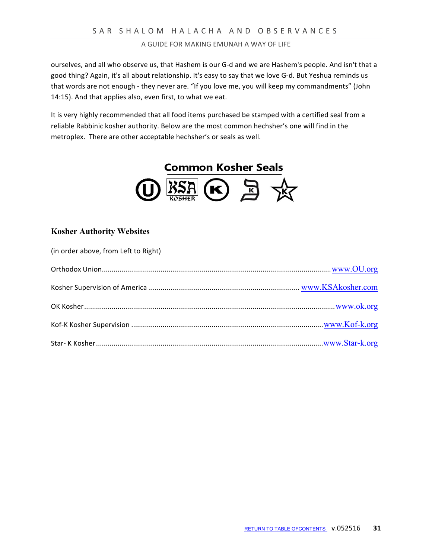ourselves, and all who observe us, that Hashem is our G-d and we are Hashem's people. And isn't that a good thing? Again, it's all about relationship. It's easy to say that we love G-d. But Yeshua reminds us that words are not enough - they never are. "If you love me, you will keep my commandments" (John 14:15). And that applies also, even first, to what we eat.

It is very highly recommended that all food items purchased be stamped with a certified seal from a reliable Rabbinic kosher authority. Below are the most common hechsher's one will find in the metroplex. There are other acceptable hechsher's or seals as well.



#### **Kosher Authority Websites**

| (in order above, from Left to Right) |  |
|--------------------------------------|--|
|                                      |  |
|                                      |  |
|                                      |  |
|                                      |  |
|                                      |  |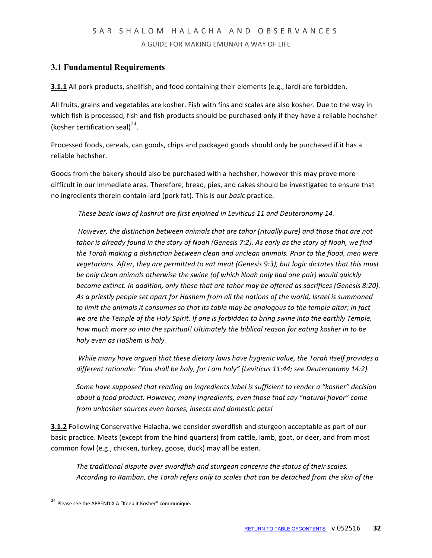#### **3.1 Fundamental Requirements**

**3.1.1** All pork products, shellfish, and food containing their elements (e.g., lard) are forbidden.

All fruits, grains and vegetables are kosher. Fish with fins and scales are also kosher. Due to the way in which fish is processed, fish and fish products should be purchased only if they have a reliable hechsher (kosher certification seal) $^{24}$ .

Processed foods, cereals, can goods, chips and packaged goods should only be purchased if it has a reliable hechsher.

Goods from the bakery should also be purchased with a hechsher, however this may prove more difficult in our immediate area. Therefore, bread, pies, and cakes should be investigated to ensure that no ingredients therein contain lard (pork fat). This is our *basic* practice.

*These basic laws of kashrut are first enjoined in Leviticus 11 and Deuteronomy 14.* 

However, the distinction between animals that are tahor (ritually pure) and those that are not tahor is already found in the story of Noah (Genesis 7:2). As early as the story of Noah, we find the Torah making a distinction between clean and unclean animals. Prior to the flood, men were vegetarians. After, they are permitted to eat meat (Genesis 9:3), but logic dictates that this must be only clean animals otherwise the swine (of which Noah only had one pair) would quickly *become extinct.* In addition, only those that are tahor may be offered as sacrifices (Genesis 8:20). As a priestly people set apart for Hashem from all the nations of the world, Israel is summoned *to* limit the animals it consumes so that its table may be analogous to the temple altar; in fact we are the Temple of the Holy Spirit. If one is forbidden to bring swine into the earthly Temple, how much more so into the spiritual! Ultimately the biblical reason for eating kosher in to be *holy* even as HaShem is holy.

*While many have argued that these dietary laws have hygienic value, the Torah itself provides a* different rationale: "You shall be holy, for I am holy" (Leviticus 11:44; see Deuteronomy 14:2).

Some have supposed that reading an ingredients label is sufficient to render a "kosher" decision *about a food product. However, many ingredients, even those that say "natural flavor" come from unkosher sources even horses, insects and domestic pets!* 

**3.1.2** Following Conservative Halacha, we consider swordfish and sturgeon acceptable as part of our basic practice. Meats (except from the hind quarters) from cattle, lamb, goat, or deer, and from most common fowl (e.g., chicken, turkey, goose, duck) may all be eaten.

The traditional dispute over swordfish and sturgeon concerns the status of their scales. According to Ramban, the Torah refers only to scales that can be detached from the skin of the

<u> Andrew Maria (1989)</u>

 $24$  Please see the APPENDIX A "Keep it Kosher" communique.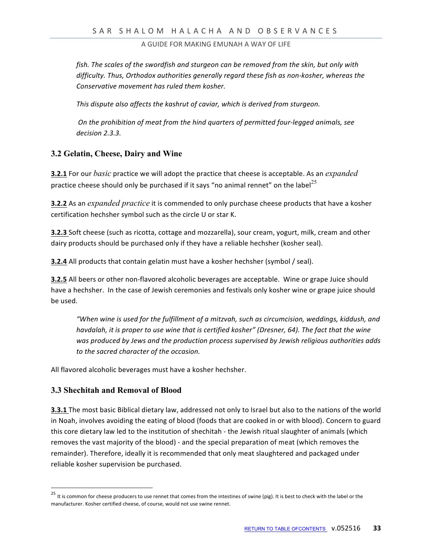*fish.* The scales of the swordfish and sturgeon can be removed from the skin, but only with difficulty. Thus, Orthodox authorities generally regard these fish as non-kosher, whereas the Conservative movement has ruled them kosher.

This dispute also affects the kashrut of caviar, which is derived from sturgeon.

*On* the prohibition of meat from the hind quarters of permitted four-legged animals, see *decision 2.3.3.*

#### **3.2 Gelatin, Cheese, Dairy and Wine**

**3.2.1** For our *basic* practice we will adopt the practice that cheese is acceptable. As an *expanded* practice cheese should only be purchased if it says "no animal rennet" on the label<sup>25</sup>

**3.2.2** As an *expanded practice* it is commended to only purchase cheese products that have a kosher certification hechsher symbol such as the circle U or star K.

**3.2.3** Soft cheese (such as ricotta, cottage and mozzarella), sour cream, yogurt, milk, cream and other dairy products should be purchased only if they have a reliable hechsher (kosher seal).

**3.2.4** All products that contain gelatin must have a kosher hechsher (symbol / seal).

**3.2.5** All beers or other non-flavored alcoholic beverages are acceptable. Wine or grape Juice should have a hechsher. In the case of Jewish ceremonies and festivals only kosher wine or grape juice should be used.

*"When wine is used for the fulfillment of a mitzvah, such as circumcision, weddings, kiddush, and havdalah, it is proper to use wine that is certified kosher"* (Dresner, 64). The fact that the wine was produced by Jews and the production process supervised by Jewish religious authorities adds *to the sacred character of the occasion.*

All flavored alcoholic beverages must have a kosher hechsher.

#### **3.3 Shechitah and Removal of Blood**

<u> Andrew Maria (1989)</u>

**3.3.1** The most basic Biblical dietary law, addressed not only to Israel but also to the nations of the world in Noah, involves avoiding the eating of blood (foods that are cooked in or with blood). Concern to guard this core dietary law led to the institution of shechitah - the Jewish ritual slaughter of animals (which removes the vast majority of the blood) - and the special preparation of meat (which removes the remainder). Therefore, ideally it is recommended that only meat slaughtered and packaged under reliable kosher supervision be purchased.

 $25$  It is common for cheese producers to use rennet that comes from the intestines of swine (pig). It is best to check with the label or the manufacturer. Kosher certified cheese, of course, would not use swine rennet.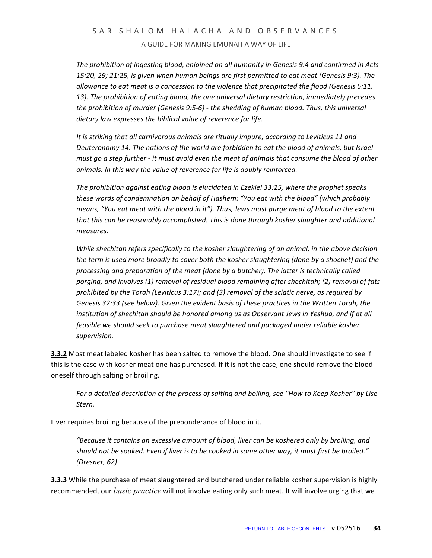The prohibition of ingesting blood, enjoined on all humanity in Genesis 9:4 and confirmed in Acts 15:20, 29; 21:25, is given when human beings are first permitted to eat meat (Genesis 9:3). The allowance to eat meat is a concession to the violence that precipitated the flood (Genesis 6:11, 13). The prohibition of eating blood, the one universal dietary restriction, immediately precedes the prohibition of murder (Genesis 9:5-6) - the shedding of human blood. Thus, this universal dietary law expresses the biblical value of reverence for life.

It is striking that all carnivorous animals are ritually impure, according to Leviticus 11 and Deuteronomy 14. The nations of the world are forbidden to eat the blood of animals, but Israel *must go a step further - it must avoid even the meat of animals that consume the blood of other* animals. In this way the value of reverence for life is doubly reinforced.

The prohibition against eating blood is elucidated in Ezekiel 33:25, where the prophet speaks *these words of condemnation on behalf of Hashem: "You eat with the blood" (which probably means,* "You eat meat with the blood in it"). Thus, Jews must purge meat of blood to the extent that this can be reasonably accomplished. This is done through kosher slaughter and additional *measures.*

*While shechitah refers specifically to the kosher slaughtering of an animal, in the above decision* the term is used more broadly to cover both the kosher slaughtering (done by a shochet) and the processing and preparation of the meat (done by a butcher). The latter is technically called porging, and involves (1) removal of residual blood remaining after shechitah; (2) removal of fats prohibited by the Torah (Leviticus 3:17); and (3) removal of the sciatic nerve, as required by Genesis 32:33 (see below). Given the evident basis of these practices in the Written Torah, the *institution* of shechitah should be honored among us as Observant Jews in Yeshua, and if at all feasible we should seek to purchase meat slaughtered and packaged under reliable kosher *supervision.*

**3.3.2** Most meat labeled kosher has been salted to remove the blood. One should investigate to see if this is the case with kosher meat one has purchased. If it is not the case, one should remove the blood oneself through salting or broiling.

*For a detailed description of the process of salting and boiling, see "How to Keep Kosher" by Lise Stern.*

Liver requires broiling because of the preponderance of blood in it.

*"Because it contains an excessive amount of blood, liver can be koshered only by broiling, and* should not be soaked. Even if liver is to be cooked in some other way, it must first be broiled." *(Dresner, 62)*

**3.3.3** While the purchase of meat slaughtered and butchered under reliable kosher supervision is highly recommended, our *basic practice* will not involve eating only such meat. It will involve urging that we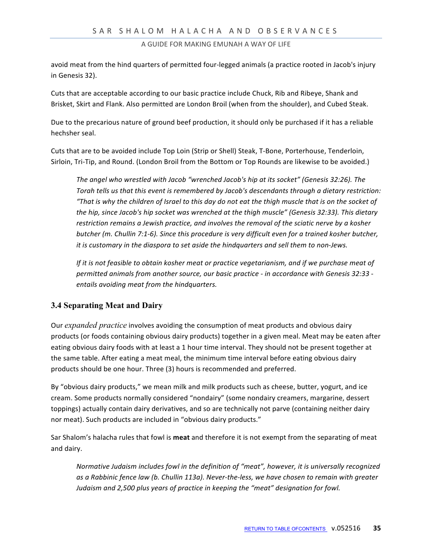avoid meat from the hind quarters of permitted four-legged animals (a practice rooted in Jacob's injury in Genesis 32).

Cuts that are acceptable according to our basic practice include Chuck, Rib and Ribeye, Shank and Brisket, Skirt and Flank. Also permitted are London Broil (when from the shoulder), and Cubed Steak.

Due to the precarious nature of ground beef production, it should only be purchased if it has a reliable hechsher seal.

Cuts that are to be avoided include Top Loin (Strip or Shell) Steak, T-Bone, Porterhouse, Tenderloin, Sirloin, Tri-Tip, and Round. (London Broil from the Bottom or Top Rounds are likewise to be avoided.)

The angel who wrestled with Jacob "wrenched Jacob's hip at its socket" (Genesis 32:26). The Torah tells us that this event is remembered by Jacob's descendants through a dietary restriction: *"That is* why the children of Israel to this day do not eat the thigh muscle that is on the socket of the hip, since Jacob's hip socket was wrenched at the thigh muscle" (Genesis 32:33). This dietary restriction remains a Jewish practice, and involves the removal of the sciatic nerve by a kosher *butcher* (m. Chullin 7:1-6). Since this procedure is very difficult even for a trained kosher butcher, *it* is customary in the diaspora to set aside the hindquarters and sell them to non-Jews.

*If* it is not feasible to obtain kosher meat or practice vegetarianism, and if we purchase meat of *permitted animals from another source, our basic practice - in accordance with Genesis 32:33 entails avoiding meat from the hindquarters.*

#### **3.4 Separating Meat and Dairy**

Our *expanded practice* involves avoiding the consumption of meat products and obvious dairy products (or foods containing obvious dairy products) together in a given meal. Meat may be eaten after eating obvious dairy foods with at least a 1 hour time interval. They should not be present together at the same table. After eating a meat meal, the minimum time interval before eating obvious dairy products should be one hour. Three (3) hours is recommended and preferred.

By "obvious dairy products," we mean milk and milk products such as cheese, butter, yogurt, and ice cream. Some products normally considered "nondairy" (some nondairy creamers, margarine, dessert toppings) actually contain dairy derivatives, and so are technically not parve (containing neither dairy nor meat). Such products are included in "obvious dairy products."

Sar Shalom's halacha rules that fowl is meat and therefore it is not exempt from the separating of meat and dairy.

*Normative Judaism includes fowl in the definition of "meat", however, it is universally recognized* as a Rabbinic fence law (b. Chullin 113a). Never-the-less, we have chosen to remain with greater *Judaism and 2,500 plus years of practice in keeping the "meat" designation for fowl.*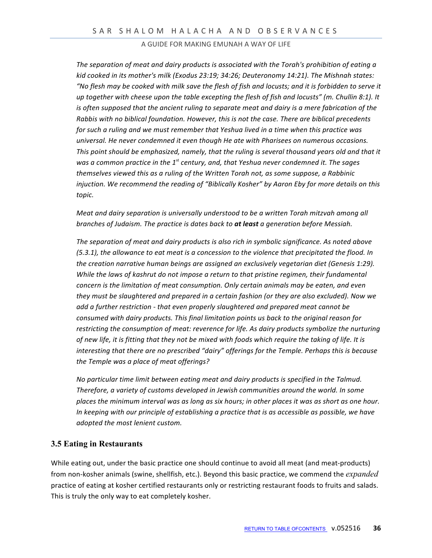The separation of meat and dairy products is associated with the Torah's prohibition of eating a kid cooked in its mother's milk (Exodus 23:19; 34:26; Deuteronomy 14:21). The Mishnah states: "No flesh may be cooked with milk save the flesh of fish and locusts; and it is forbidden to serve it *up* together with cheese upon the table excepting the flesh of fish and locusts" (m. Chullin 8:1). It *is* often supposed that the ancient ruling to separate meat and dairy is a mere fabrication of the *Rabbis* with no biblical foundation. However, this is not the case. There are biblical precedents *for such a ruling and we must remember that Yeshua lived in a time when this practice was* universal. He never condemned it even though He ate with Pharisees on numerous occasions. This point should be emphasized, namely, that the ruling is several thousand years old and that it *was a common practice in the* 1<sup>st</sup> century, and, that Yeshua never condemned it. The sages *themselves viewed this as a ruling of the Written Torah not, as some suppose, a Rabbinic injuction.* We recommend the reading of "Biblically Kosher" by Aaron Eby for more details on this *topic.* 

*Meat and dairy separation is universally understood to be a written Torah mitzvah among all branches of Judaism. The practice is dates back to at least a generation before Messiah.* 

The separation of meat and dairy products is also rich in symbolic significance. As noted above (5.3.1), the allowance to eat meat is a concession to the violence that precipitated the flood. In the creation narrative human beings are assigned an exclusively vegetarian diet (Genesis 1:29). While the laws of kashrut do not impose a return to that pristine regimen, their fundamental *concern* is the limitation of meat consumption. Only certain animals may be eaten, and even they must be slaughtered and prepared in a certain fashion (or they are also excluded). Now we add a further restriction - that even properly slaughtered and prepared meat cannot be consumed with dairy products. This final limitation points us back to the original reason for restricting the consumption of meat: reverence for life. As dairy products symbolize the nurturing of new life, it is fitting that they not be mixed with foods which require the taking of life. It is *interesting that there are no prescribed "dairy" offerings for the Temple. Perhaps this is because* the Temple was a place of meat offerings?

No particular time limit between eating meat and dairy products is specified in the Talmud. *Therefore, a variety of customs developed in Jewish communities around the world. In some* places the minimum interval was as long as six hours; in other places it was as short as one hour. In keeping with our principle of establishing a practice that is as accessible as possible, we have *adopted the most lenient custom.*

#### **3.5 Eating in Restaurants**

While eating out, under the basic practice one should continue to avoid all meat (and meat-products) from non-kosher animals (swine, shellfish, etc.). Beyond this basic practice, we commend the *expanded* practice of eating at kosher certified restaurants only or restricting restaurant foods to fruits and salads. This is truly the only way to eat completely kosher.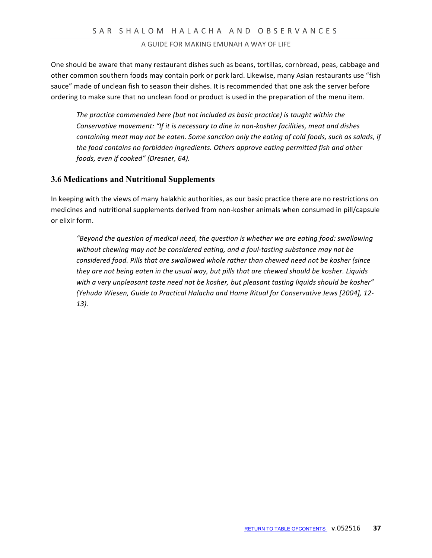One should be aware that many restaurant dishes such as beans, tortillas, cornbread, peas, cabbage and other common southern foods may contain pork or pork lard. Likewise, many Asian restaurants use "fish sauce" made of unclean fish to season their dishes. It is recommended that one ask the server before ordering to make sure that no unclean food or product is used in the preparation of the menu item.

The practice commended here (but not included as basic practice) is taught within the Conservative movement: "If it is necessary to dine in non-kosher facilities, meat and dishes containing meat may not be eaten. Some sanction only the eating of cold foods, such as salads, if the food contains no forbidden ingredients. Others approve eating permitted fish and other *foods, even if cooked" (Dresner, 64).*

#### **3.6 Medications and Nutritional Supplements**

In keeping with the views of many halakhic authorities, as our basic practice there are no restrictions on medicines and nutritional supplements derived from non-kosher animals when consumed in pill/capsule or elixir form.

*"Beyond the question of medical need, the question is whether we are eating food: swallowing* without chewing may not be considered eating, and a foul-tasting substance may not be considered food. Pills that are swallowed whole rather than chewed need not be kosher (since they are not being eaten in the usual way, but pills that are chewed should be kosher. Liquids with a very unpleasant taste need not be kosher, but pleasant tasting liquids should be kosher" *(Yehuda Wiesen, Guide to Practical Halacha and Home Ritual for Conservative Jews [2004], 12- 13).*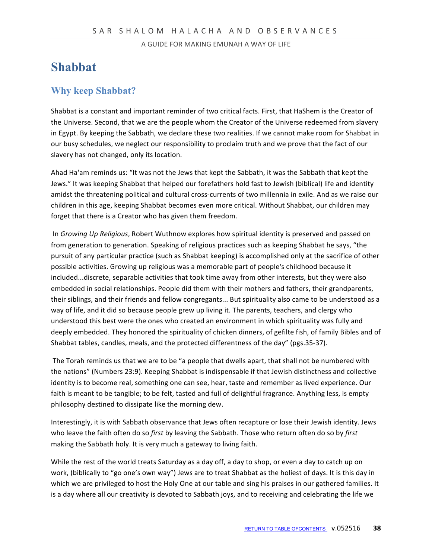# **Shabbat**

# **Why keep Shabbat?**

Shabbat is a constant and important reminder of two critical facts. First, that HaShem is the Creator of the Universe. Second, that we are the people whom the Creator of the Universe redeemed from slavery in Egypt. By keeping the Sabbath, we declare these two realities. If we cannot make room for Shabbat in our busy schedules, we neglect our responsibility to proclaim truth and we prove that the fact of our slavery has not changed, only its location.

Ahad Ha'am reminds us: "It was not the Jews that kept the Sabbath, it was the Sabbath that kept the Jews." It was keeping Shabbat that helped our forefathers hold fast to Jewish (biblical) life and identity amidst the threatening political and cultural cross-currents of two millennia in exile. And as we raise our children in this age, keeping Shabbat becomes even more critical. Without Shabbat, our children may forget that there is a Creator who has given them freedom.

In *Growing Up Religious*, Robert Wuthnow explores how spiritual identity is preserved and passed on from generation to generation. Speaking of religious practices such as keeping Shabbat he says, "the pursuit of any particular practice (such as Shabbat keeping) is accomplished only at the sacrifice of other possible activities. Growing up religious was a memorable part of people's childhood because it included...discrete, separable activities that took time away from other interests, but they were also embedded in social relationships. People did them with their mothers and fathers, their grandparents, their siblings, and their friends and fellow congregants... But spirituality also came to be understood as a way of life, and it did so because people grew up living it. The parents, teachers, and clergy who understood this best were the ones who created an environment in which spirituality was fully and deeply embedded. They honored the spirituality of chicken dinners, of gefilte fish, of family Bibles and of Shabbat tables, candles, meals, and the protected differentness of the day" (pgs.35-37).

The Torah reminds us that we are to be "a people that dwells apart, that shall not be numbered with the nations" (Numbers 23:9). Keeping Shabbat is indispensable if that Jewish distinctness and collective identity is to become real, something one can see, hear, taste and remember as lived experience. Our faith is meant to be tangible; to be felt, tasted and full of delightful fragrance. Anything less, is empty philosophy destined to dissipate like the morning dew.

Interestingly, it is with Sabbath observance that Jews often recapture or lose their Jewish identity. Jews who leave the faith often do so *first* by leaving the Sabbath. Those who return often do so by *first* making the Sabbath holy. It is very much a gateway to living faith.

While the rest of the world treats Saturday as a day off, a day to shop, or even a day to catch up on work, (biblically to "go one's own way") Jews are to treat Shabbat as the holiest of days. It is this day in which we are privileged to host the Holy One at our table and sing his praises in our gathered families. It is a day where all our creativity is devoted to Sabbath joys, and to receiving and celebrating the life we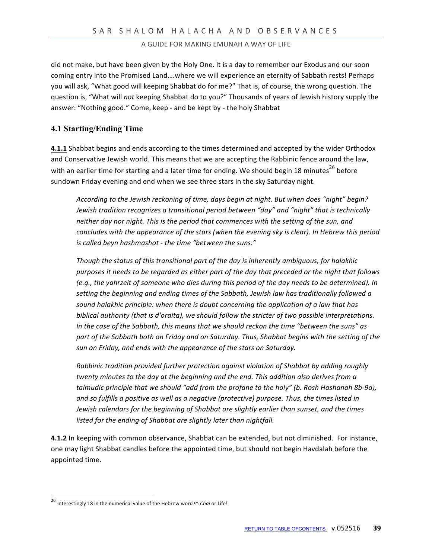did not make, but have been given by the Holy One. It is a day to remember our Exodus and our soon coming entry into the Promised Land....where we will experience an eternity of Sabbath rests! Perhaps you will ask, "What good will keeping Shabbat do for me?" That is, of course, the wrong question. The question is, "What will *not* keeping Shabbat do to you?" Thousands of years of Jewish history supply the answer: "Nothing good." Come, keep - and be kept by - the holy Shabbat

## **4.1 Starting/Ending Time**

**4.1.1** Shabbat begins and ends according to the times determined and accepted by the wider Orthodox and Conservative Jewish world. This means that we are accepting the Rabbinic fence around the law, with an earlier time for starting and a later time for ending. We should begin 18 minutes<sup>26</sup> before sundown Friday evening and end when we see three stars in the sky Saturday night.

According to the Jewish reckoning of time, days begin at night. But when does "night" begin? *Jewish tradition recognizes a transitional period between "day" and "night" that is technically* neither day nor night. This is the period that commences with the setting of the sun, and concludes with the appearance of the stars (when the evening sky is clear). In Hebrew this period *is* called beyn hashmashot - the time "between the suns."

Though the status of this transitional part of the day is inherently ambiguous, for halakhic purposes it needs to be regarded as either part of the day that preceded or the night that follows (e.g., the yahrzeit of someone who dies during this period of the day needs to be determined). In setting the beginning and ending times of the Sabbath, Jewish law has traditionally followed a sound halakhic principle: when there is doubt concerning the application of a law that has *biblical authority (that is d'oraita), we should follow the stricter of two possible interpretations.* In the case of the Sabbath, this means that we should reckon the time "between the suns" as part of the Sabbath both on Friday and on Saturday. Thus, Shabbat begins with the setting of the sun on Friday, and ends with the appearance of the stars on Saturday.

*Rabbinic tradition provided further protection against violation of Shabbat by adding roughly twenty minutes to the day at the beginning and the end. This addition also derives from a talmudic principle that we should "add from the profane to the holy"* (b. Rosh Hashanah 8b-9a), and so fulfills a positive as well as a negative (protective) purpose. Thus, the times listed in *Jewish calendars for the beginning of Shabbat are slightly earlier than sunset, and the times listed for the ending of Shabbat are slightly later than nightfall.* 

**4.1.2** In keeping with common observance, Shabbat can be extended, but not diminished. For instance, one may light Shabbat candles before the appointed time, but should not begin Havdalah before the appointed time.

<u> Andrew Maria (1989)</u>

<sup>&</sup>lt;sup>26</sup> Interestingly 18 in the numerical value of the Hebrew word 'n Chai or Life!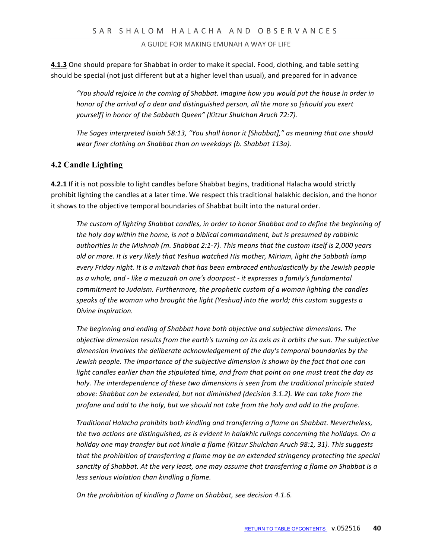**4.1.3** One should prepare for Shabbat in order to make it special. Food, clothing, and table setting should be special (not just different but at a higher level than usual), and prepared for in advance

"You should rejoice in the coming of Shabbat. Imagine how you would put the house in order in *honor* of the arrival of a dear and distinguished person, all the more so [should you exert yourself] in honor of the Sabbath Queen" (Kitzur Shulchan Aruch 72:7).

The Sages interpreted Isaiah 58:13, "You shall honor it [Shabbat]," as meaning that one should *wear finer clothing on Shabbat than on weekdays (b. Shabbat 113a).* 

## **4.2 Candle Lighting**

**4.2.1** If it is not possible to light candles before Shabbat begins, traditional Halacha would strictly prohibit lighting the candles at a later time. We respect this traditional halakhic decision, and the honor it shows to the objective temporal boundaries of Shabbat built into the natural order.

The custom of lighting Shabbat candles, in order to honor Shabbat and to define the beginning of the holy day within the home, is not a biblical commandment, but is presumed by rabbinic *authorities in the Mishnah (m. Shabbat 2:1-7). This means that the custom itself is 2,000 years* old or more. It is very likely that Yeshua watched His mother, Miriam, light the Sabbath lamp *every* Friday night. It is a mitzvah that has been embraced enthusiastically by the Jewish people as a whole, and - like a mezuzah on one's doorpost - it expresses a family's fundamental *commitment to Judaism. Furthermore, the prophetic custom of a woman lighting the candles* speaks of the woman who brought the light (Yeshua) into the world; this custom suggests a *Divine inspiration.* 

The beginning and ending of Shabbat have both objective and subjective dimensions. The *objective dimension results from the earth's turning on its axis as it orbits the sun. The subjective* dimension involves the deliberate acknowledgement of the day's temporal boundaries by the *Jewish people. The importance of the subjective dimension is shown by the fact that one can light candles earlier than the stipulated time, and from that point on one must treat the day as holy.* The interdependence of these two dimensions is seen from the traditional principle stated above: Shabbat can be extended, but not diminished (decision 3.1.2). We can take from the profane and add to the holy, but we should not take from the holy and add to the profane.

*Traditional Halacha prohibits both kindling and transferring a flame on Shabbat. Nevertheless,* the two actions are distinguished, as is evident in halakhic rulings concerning the holidays. On a *holiday* one may transfer but not kindle a flame (Kitzur Shulchan Aruch 98:1, 31). This suggests *that* the prohibition of transferring a flame may be an extended stringency protecting the special sanctity of Shabbat. At the very least, one may assume that transferring a flame on Shabbat is a *less serious violation than kindling a flame.* 

*On the prohibition of kindling a flame on Shabbat, see decision 4.1.6.*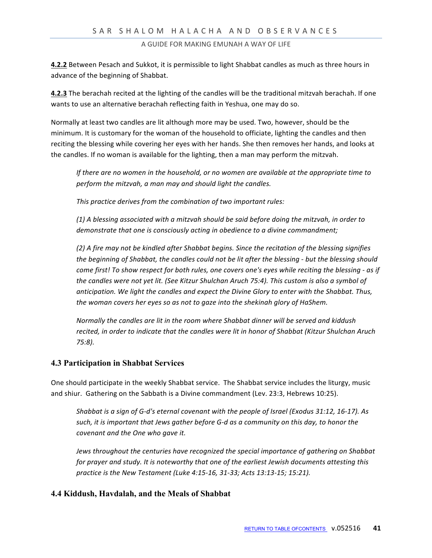**4.2.2** Between Pesach and Sukkot, it is permissible to light Shabbat candles as much as three hours in advance of the beginning of Shabbat.

**4.2.3** The berachah recited at the lighting of the candles will be the traditional mitzvah berachah. If one wants to use an alternative berachah reflecting faith in Yeshua, one may do so.

Normally at least two candles are lit although more may be used. Two, however, should be the minimum. It is customary for the woman of the household to officiate, lighting the candles and then reciting the blessing while covering her eyes with her hands. She then removes her hands, and looks at the candles. If no woman is available for the lighting, then a man may perform the mitzvah.

*If* there are no women in the household, or no women are available at the appropriate time to perform the mitzvah, a man may and should light the candles.

This practice derives from the combination of two important rules:

*(1) A blessing associated with a mitzvah should be said before doing the mitzvah, in order to*  demonstrate that one is consciously acting in obedience to a divine commandment;

(2) A fire may not be kindled after Shabbat begins. Since the recitation of the blessing signifies the beginning of Shabbat, the candles could not be lit after the blessing - but the blessing should *come first!* To show respect for both rules, one covers one's eyes while reciting the blessing - as if the candles were not yet lit. (See Kitzur Shulchan Aruch 75:4). This custom is also a symbol of anticipation. We light the candles and expect the Divine Glory to enter with the Shabbat. Thus, *the* woman covers her eyes so as not to gaze into the shekinah glory of HaShem.

*Normally the candles are lit in the room where Shabbat dinner will be served and kiddush* recited, in order to indicate that the candles were lit in honor of Shabbat (Kitzur Shulchan Aruch *75:8).*

# **4.3 Participation in Shabbat Services**

One should participate in the weekly Shabbat service. The Shabbat service includes the liturgy, music and shiur. Gathering on the Sabbath is a Divine commandment (Lev. 23:3, Hebrews 10:25).

Shabbat is a sign of G-d's eternal covenant with the people of Israel (Exodus 31:12, 16-17). As such, it is important that Jews gather before G-d as a community on this day, to honor the *covenant and the One who gave it.*

*Jews throughout the centuries have recognized the special importance of gathering on Shabbat for prayer and study. It is noteworthy that one of the earliest Jewish documents attesting this practice is the New Testament (Luke 4:15-16, 31-33; Acts 13:13-15; 15:21).* 

# **4.4 Kiddush, Havdalah, and the Meals of Shabbat**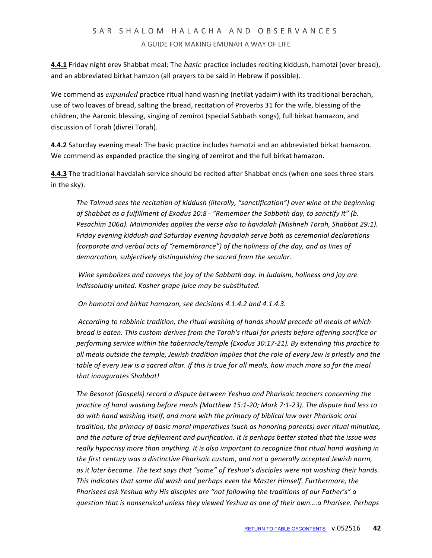**4.4.1** Friday night erev Shabbat meal: The *basic* practice includes reciting kiddush, hamotzi (over bread), and an abbreviated birkat hamzon (all prayers to be said in Hebrew if possible).

We commend as *expanded* practice ritual hand washing (netilat yadaim) with its traditional berachah, use of two loaves of bread, salting the bread, recitation of Proverbs 31 for the wife, blessing of the children, the Aaronic blessing, singing of zemirot (special Sabbath songs), full birkat hamazon, and discussion of Torah (divrei Torah).

**4.4.2** Saturday evening meal: The basic practice includes hamotzi and an abbreviated birkat hamazon. We commend as expanded practice the singing of zemirot and the full birkat hamazon.

**4.4.3** The traditional havdalah service should be recited after Shabbat ends (when one sees three stars in the sky).

The Talmud sees the recitation of kiddush (literally, "sanctification") over wine at the beginning *of* Shabbat as a fulfillment of Exodus 20:8 - "Remember the Sabbath day, to sanctify it" (b. Pesachim 106a). Maimonides applies the verse also to havdalah (Mishneh Torah, Shabbat 29:1). *Friday evening kiddush* and *Saturday evening* havdalah serve both as ceremonial declarations (corporate and verbal acts of "remembrance") of the holiness of the day, and as lines of demarcation, subjectively distinguishing the sacred from the secular.

*Wine symbolizes and conveys the joy of the Sabbath day. In Judaism, holiness and joy are indissolubly united. Kosher grape juice may be substituted.* 

*On hamotzi and birkat hamazon, see decisions 4.1.4.2 and 4.1.4.3.*

According to rabbinic tradition, the ritual washing of hands should precede all meals at which *bread is eaten. This custom derives from the Torah's ritual for priests before offering sacrifice or* performing service within the tabernacle/temple (Exodus 30:17-21). By extending this practice to all meals outside the temple, Jewish tradition implies that the role of every Jew is priestly and the table of every Jew is a sacred altar. If this is true for all meals, how much more so for the meal *that inaugurates Shabbat!*

The Besorot (Gospels) record a dispute between Yeshua and Pharisaic teachers concerning the *practice of hand washing before meals (Matthew 15:1-20; Mark 7:1-23). The dispute had less to*  do with hand washing itself, and more with the primacy of biblical law over Pharisaic oral tradition, the primacy of basic moral imperatives (such as honoring parents) over ritual minutiae, and the nature of true defilement and purification. It is perhaps better stated that the issue was really hypocrisy more than anything. It is also important to recognize that ritual hand washing in *the first century was a distinctive Pharisaic custom, and not a generally accepted Jewish norm,* as it later became. The text says that "some" of Yeshua's disciples were not washing their hands. This indicates that some did wash and perhaps even the Master Himself. Furthermore, the *Pharisees ask Yeshua why His disciples are "not following the traditions of our Father's" a question that is nonsensical unless they viewed Yeshua as one of their own....a Pharisee. Perhaps*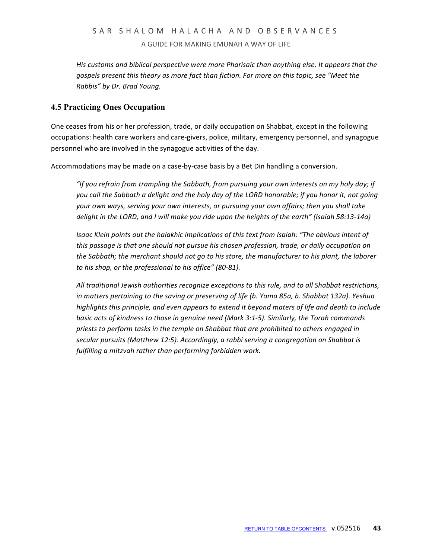*His* customs and biblical perspective were more Pharisaic than anything else. It appears that the gospels present this theory as more fact than fiction. For more on this topic, see "Meet the *Rabbis" by Dr. Brad Young.* 

## **4.5 Practicing Ones Occupation**

One ceases from his or her profession, trade, or daily occupation on Shabbat, except in the following occupations: health care workers and care-givers, police, military, emergency personnel, and synagogue personnel who are involved in the synagogue activities of the day.

Accommodations may be made on a case-by-case basis by a Bet Din handling a conversion.

"If you refrain from trampling the Sabbath, from pursuing your own interests on my holy day; if you call the Sabbath a delight and the holy day of the LORD honorable; if you honor it, not going your own ways, serving your own interests, or pursuing your own affairs; then you shall take *delight in the LORD, and I will make you ride upon the heights of the earth" (Isaiah 58:13-14a)* 

*Isaac Klein points out the halakhic implications of this text from Isaiah: "The obvious intent of* this passage is that one should not pursue his chosen profession, trade, or daily occupation on *the Sabbath;* the merchant should not go to his store, the manufacturer to his plant, the laborer *to his shop, or the professional to his office" (80-81).* 

All traditional Jewish authorities recognize exceptions to this rule, and to all Shabbat restrictions, *in* matters pertaining to the saving or preserving of life (b. Yoma 85a, b. Shabbat 132a). Yeshua highlights this principle, and even appears to extend it beyond maters of life and death to include *basic acts of kindness to those in genuine need (Mark 3:1-5). Similarly, the Torah commands* priests to perform tasks in the temple on Shabbat that are prohibited to others engaged in secular pursuits (Matthew 12:5). Accordingly, a rabbi serving a congregation on Shabbat is fulfilling a mitzvah rather than performing forbidden work.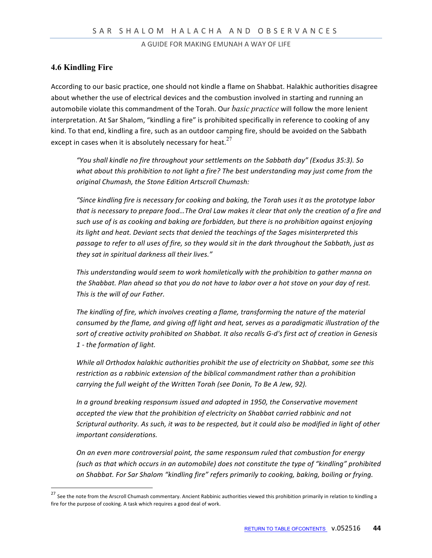## **4.6 Kindling Fire**

<u> Andrew Maria (1989)</u>

According to our basic practice, one should not kindle a flame on Shabbat. Halakhic authorities disagree about whether the use of electrical devices and the combustion involved in starting and running an automobile violate this commandment of the Torah. Our *basic practice* will follow the more lenient interpretation. At Sar Shalom, "kindling a fire" is prohibited specifically in reference to cooking of any kind. To that end, kindling a fire, such as an outdoor camping fire, should be avoided on the Sabbath except in cases when it is absolutely necessary for heat.<sup>27</sup>

*"You shall kindle no fire throughout your settlements on the Sabbath day" (Exodus 35:3). So*  what about this prohibition to not light a fire? The best understanding may just come from the *original Chumash, the Stone Edition Artscroll Chumash:*

"Since kindling fire is necessary for cooking and baking, the Torah uses it as the prototype labor that is necessary to prepare food…The Oral Law makes it clear that only the creation of a fire and such use of is as cooking and baking are forbidden, but there is no prohibition against enjoying *its light and heat. Deviant sects that denied the teachings of the Sages misinterpreted this* passage to refer to all uses of fire, so they would sit in the dark throughout the Sabbath, just as *they sat in spiritual darkness all their lives."*

This understanding would seem to work homiletically with the prohibition to gather manna on the Shabbat. Plan ahead so that you do not have to labor over a hot stove on your day of rest. This is the will of our Father.

The kindling of fire, which involves creating a flame, transforming the nature of the material *consumed by the flame, and giving off light and heat, serves as a paradigmatic illustration of the* sort of creative activity prohibited on Shabbat. It also recalls G-d's first act of creation in Genesis *1 - the formation of light.*

*While all Orthodox halakhic authorities prohibit the use of electricity on Shabbat, some see this* restriction as a rabbinic extension of the biblical commandment rather than a prohibition *carrying the full weight of the Written Torah (see Donin, To Be A Jew, 92).* 

In a ground breaking responsum issued and adopted in 1950, the Conservative movement *accepted* the view that the prohibition of electricity on Shabbat carried rabbinic and not *Scriptural authority. As such, it was to be respected, but it could also be modified in light of other important considerations.*

*On an even more controversial point, the same responsum ruled that combustion for energy (such as that which occurs in an automobile) does not constitute the type of "kindling" prohibited on Shabbat. For Sar Shalom "kindling fire" refers primarily to cooking, baking, boiling or frying.*

 $27$  See the note from the Arscroll Chumash commentary. Ancient Rabbinic authorities viewed this prohibition primarily in relation to kindling a fire for the purpose of cooking. A task which requires a good deal of work.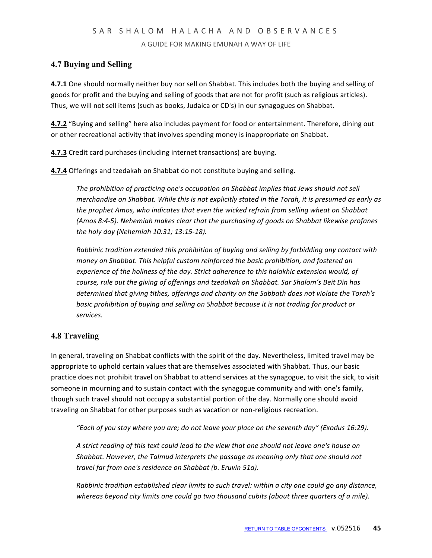#### **4.7 Buying and Selling**

**4.7.1** One should normally neither buy nor sell on Shabbat. This includes both the buying and selling of goods for profit and the buying and selling of goods that are not for profit (such as religious articles). Thus, we will not sell items (such as books, Judaica or CD's) in our synagogues on Shabbat.

**4.7.2** "Buying and selling" here also includes payment for food or entertainment. Therefore, dining out or other recreational activity that involves spending money is inappropriate on Shabbat.

**4.7.3** Credit card purchases (including internet transactions) are buying.

**4.7.4** Offerings and tzedakah on Shabbat do not constitute buying and selling.

The prohibition of practicing one's occupation on Shabbat implies that Jews should not sell *merchandise* on Shabbat. While this is not explicitly stated in the Torah, it is presumed as early as the prophet Amos, who indicates that even the wicked refrain from selling wheat on Shabbat (Amos 8:4-5). Nehemiah makes clear that the purchasing of goods on Shabbat likewise profanes *the holy day (Nehemiah 10:31; 13:15-18).* 

Rabbinic tradition extended this prohibition of buying and selling by forbidding any contact with *money* on Shabbat. This helpful custom reinforced the basic prohibition, and fostered an experience of the holiness of the day. Strict adherence to this halakhic extension would, of course, rule out the giving of offerings and tzedakah on Shabbat. Sar Shalom's Beit Din has determined that giving tithes, offerings and charity on the Sabbath does not violate the Torah's *basic prohibition of buying and selling on Shabbat because it is not trading for product or services.* 

#### **4.8 Traveling**

In general, traveling on Shabbat conflicts with the spirit of the day. Nevertheless, limited travel may be appropriate to uphold certain values that are themselves associated with Shabbat. Thus, our basic practice does not prohibit travel on Shabbat to attend services at the synagogue, to visit the sick, to visit someone in mourning and to sustain contact with the synagogue community and with one's family, though such travel should not occupy a substantial portion of the day. Normally one should avoid traveling on Shabbat for other purposes such as vacation or non-religious recreation.

*"Each of you stay where you are; do not leave your place on the seventh day" (Exodus 16:29).*

A strict reading of this text could lead to the view that one should not leave one's house on Shabbat. However, the Talmud interprets the passage as meaning only that one should not *travel far from one's residence on Shabbat (b. Eruvin 51a).* 

*Rabbinic tradition established clear limits to such travel: within a city one could go any distance,* whereas beyond city limits one could go two thousand cubits (about three quarters of a mile).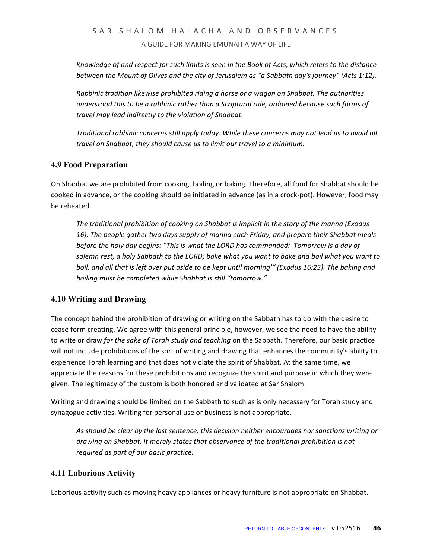Knowledge of and respect for such limits is seen in the Book of Acts, which refers to the distance *between the Mount of Olives and the city of Jerusalem as "a Sabbath day's journey" (Acts 1:12).* 

*Rabbinic tradition likewise prohibited riding a horse or a wagon on Shabbat. The authorities* understood this to be a rabbinic rather than a Scriptural rule, ordained because such forms of *travel may lead indirectly to the violation of Shabbat.* 

*Traditional rabbinic concerns still apply today. While these concerns may not lead us to avoid all travel* on Shabbat, they should cause us to limit our travel to a minimum.

#### **4.9 Food Preparation**

On Shabbat we are prohibited from cooking, boiling or baking. Therefore, all food for Shabbat should be cooked in advance, or the cooking should be initiated in advance (as in a crock-pot). However, food may be reheated.

The traditional prohibition of cooking on Shabbat is implicit in the story of the manna (Exodus 16). The people gather two days supply of manna each Friday, and prepare their Shabbat meals before the holy day begins: "This is what the LORD has commanded: 'Tomorrow is a day of solemn rest, a holy Sabbath to the LORD; bake what you want to bake and boil what you want to *boil,* and all that is left over put aside to be kept until morning'" (Exodus 16:23). The baking and boiling must be completed while Shabbat is still "tomorrow."

# **4.10 Writing and Drawing**

The concept behind the prohibition of drawing or writing on the Sabbath has to do with the desire to cease form creating. We agree with this general principle, however, we see the need to have the ability to write or draw for the sake of Torah study and teaching on the Sabbath. Therefore, our basic practice will not include prohibitions of the sort of writing and drawing that enhances the community's ability to experience Torah learning and that does not violate the spirit of Shabbat. At the same time, we appreciate the reasons for these prohibitions and recognize the spirit and purpose in which they were given. The legitimacy of the custom is both honored and validated at Sar Shalom.

Writing and drawing should be limited on the Sabbath to such as is only necessary for Torah study and synagogue activities. Writing for personal use or business is not appropriate.

As should be clear by the last sentence, this decision neither encourages nor sanctions writing or drawing on Shabbat. It merely states that observance of the traditional prohibition is not *required* as part of our basic practice.

#### **4.11 Laborious Activity**

Laborious activity such as moving heavy appliances or heavy furniture is not appropriate on Shabbat.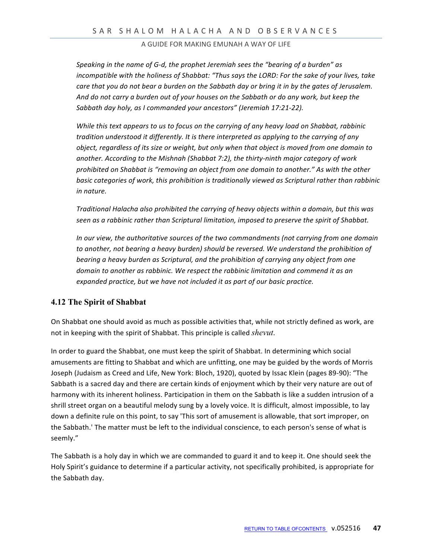*Speaking* in the name of G-d, the prophet Jeremiah sees the "bearing of a burden" as *incompatible with the holiness of Shabbat: "Thus says the LORD: For the sake of your lives, take care* that you do not bear a burden on the Sabbath day or bring it in by the gates of Jerusalem. And do not carry a burden out of your houses on the Sabbath or do any work, but keep the *Sabbath day holy, as I commanded your ancestors" (Jeremiah 17:21-22).*

*While this text appears to us to focus on the carrying of any heavy load on Shabbat, rabbinic* tradition understood it differently. It is there interpreted as applying to the carrying of any *object, regardless of its size or weight, but only when that object is moved from one domain to* another. According to the Mishnah (Shabbat 7:2), the thirty-ninth major category of work *prohibited* on Shabbat is "removing an object from one domain to another." As with the other *basic* categories of work, this prohibition is traditionally viewed as Scriptural rather than rabbinic *in nature.*

Traditional Halacha also prohibited the carrying of heavy objects within a domain, but this was seen as a rabbinic rather than Scriptural limitation, imposed to preserve the spirit of Shabbat.

In our view, the authoritative sources of the two commandments (not carrying from one domain to another, not bearing a heavy burden) should be reversed. We understand the prohibition of bearing a heavy burden as Scriptural, and the prohibition of carrying any object from one domain to another as rabbinic. We respect the rabbinic limitation and commend it as an expanded practice, but we have not included it as part of our basic practice.

### **4.12 The Spirit of Shabbat**

On Shabbat one should avoid as much as possible activities that, while not strictly defined as work, are not in keeping with the spirit of Shabbat. This principle is called *shevut*.

In order to guard the Shabbat, one must keep the spirit of Shabbat. In determining which social amusements are fitting to Shabbat and which are unfitting, one may be guided by the words of Morris Joseph (Judaism as Creed and Life, New York: Bloch, 1920), quoted by Issac Klein (pages 89-90): "The Sabbath is a sacred day and there are certain kinds of enjoyment which by their very nature are out of harmony with its inherent holiness. Participation in them on the Sabbath is like a sudden intrusion of a shrill street organ on a beautiful melody sung by a lovely voice. It is difficult, almost impossible, to lay down a definite rule on this point, to say 'This sort of amusement is allowable, that sort improper, on the Sabbath.' The matter must be left to the individual conscience, to each person's sense of what is seemly."

The Sabbath is a holy day in which we are commanded to guard it and to keep it. One should seek the Holy Spirit's guidance to determine if a particular activity, not specifically prohibited, is appropriate for the Sabbath day.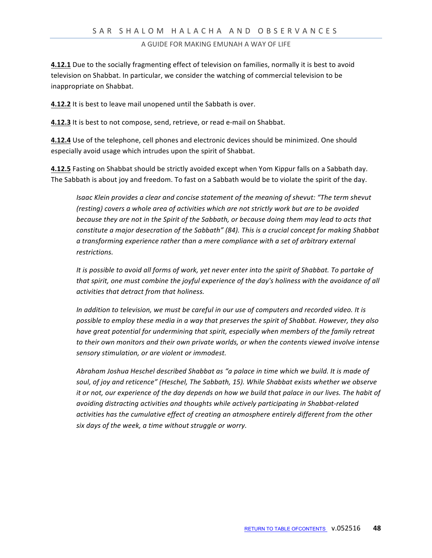**4.12.1** Due to the socially fragmenting effect of television on families, normally it is best to avoid television on Shabbat. In particular, we consider the watching of commercial television to be inappropriate on Shabbat.

**4.12.2** It is best to leave mail unopened until the Sabbath is over.

**4.12.3** It is best to not compose, send, retrieve, or read e-mail on Shabbat.

**4.12.4** Use of the telephone, cell phones and electronic devices should be minimized. One should especially avoid usage which intrudes upon the spirit of Shabbat.

**4.12.5** Fasting on Shabbat should be strictly avoided except when Yom Kippur falls on a Sabbath day. The Sabbath is about joy and freedom. To fast on a Sabbath would be to violate the spirit of the day.

*Isaac Klein provides a clear and concise statement of the meaning of shevut: "The term shevut* (resting) covers a whole area of activities which are not strictly work but are to be avoided because they are not in the Spirit of the Sabbath, or because doing them may lead to acts that *constitute a major desecration of the Sabbath"* (84). This is a crucial concept for making Shabbat a transforming experience rather than a mere compliance with a set of arbitrary external *restrictions.*

*It* is possible to avoid all forms of work, yet never enter into the spirit of Shabbat. To partake of that spirit, one must combine the joyful experience of the day's holiness with the avoidance of all *activities that detract from that holiness.*

In addition to television, we must be careful in our use of computers and recorded video. It is *possible to employ these media in a way that preserves the spirit of Shabbat. However, they also* have great potential for undermining that spirit, especially when members of the family retreat to their own monitors and their own private worlds, or when the contents viewed involve intense sensory stimulation, or are violent or immodest.

Abraham Joshua Heschel described Shabbat as "a palace in time which we build. It is made of soul, of joy and reticence" (Heschel, The Sabbath, 15). While Shabbat exists whether we observe *it* or not, our experience of the day depends on how we build that palace in our lives. The habit of avoiding distracting activities and thoughts while actively participating in Shabbat-related activities has the cumulative effect of creating an atmosphere entirely different from the other six days of the week, a time without struggle or worry.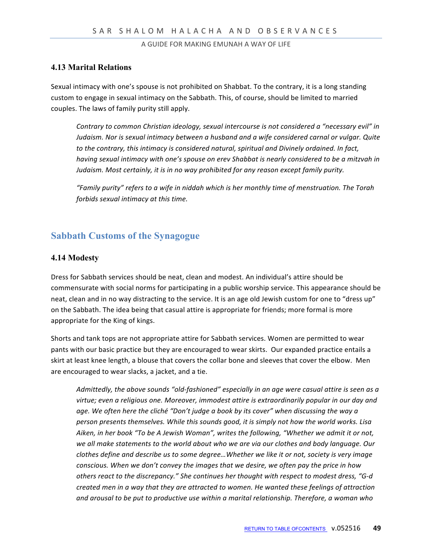#### **4.13 Marital Relations**

Sexual intimacy with one's spouse is not prohibited on Shabbat. To the contrary, it is a long standing custom to engage in sexual intimacy on the Sabbath. This, of course, should be limited to married couples. The laws of family purity still apply.

*Contrary to common Christian ideology, sexual intercourse is not considered a "necessary evil" in* Judaism. Nor is sexual intimacy between a husband and a wife considered carnal or vulgar. Quite to the contrary, this intimacy is considered natural, spiritual and Divinely ordained. In fact, *having sexual intimacy with one's spouse on erev Shabbat is nearly considered to be a mitzvah in Judaism.* Most certainly, it is in no way prohibited for any reason except family purity.

*"Family purity" refers to a wife in niddah which is her monthly time of menstruation. The Torah forbids sexual intimacy at this time.* 

# **Sabbath Customs of the Synagogue**

#### **4.14 Modesty**

Dress for Sabbath services should be neat, clean and modest. An individual's attire should be commensurate with social norms for participating in a public worship service. This appearance should be neat, clean and in no way distracting to the service. It is an age old Jewish custom for one to "dress up" on the Sabbath. The idea being that casual attire is appropriate for friends; more formal is more appropriate for the King of kings.

Shorts and tank tops are not appropriate attire for Sabbath services. Women are permitted to wear pants with our basic practice but they are encouraged to wear skirts. Our expanded practice entails a skirt at least knee length, a blouse that covers the collar bone and sleeves that cover the elbow. Men are encouraged to wear slacks, a jacket, and a tie.

Admittedly, the above sounds "old-fashioned" especially in an age were casual attire is seen as a virtue; even a religious one. Moreover, immodest attire is extraordinarily popular in our day and age. We often here the cliché "Don't judge a book by its cover" when discussing the way a person presents themselves. While this sounds good, it is simply not how the world works. Lisa Aiken, in her book "To be A Jewish Woman", writes the following, "Whether we admit it or not, we all make statements to the world about who we are via our clothes and body language. Our *clothes define and describe us to some degree...Whether we like it or not, society is very image* conscious. When we don't convey the images that we desire, we often pay the price in how *others react to the discrepancy." She continues her thought with respect to modest dress, "G-d* created men in a way that they are attracted to women. He wanted these feelings of attraction and arousal to be put to productive use within a marital relationship. Therefore, a woman who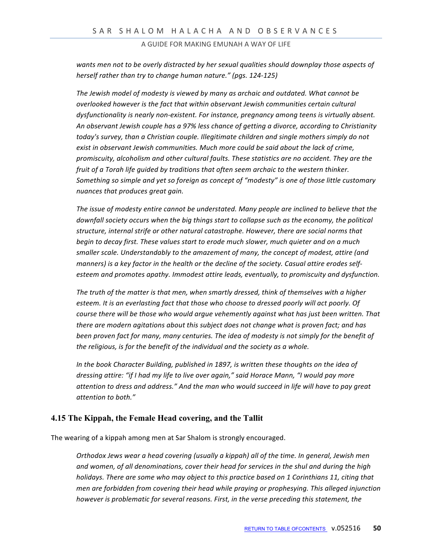wants men not to be overly distracted by her sexual qualities should downplay those aspects of *herself rather than try to change human nature." (pgs. 124-125)* 

The Jewish model of modesty is viewed by many as archaic and outdated. What cannot be *overlooked however is the fact that within observant Jewish communities certain cultural* dysfunctionality is nearly non-existent. For instance, pregnancy among teens is virtually absent. An observant Jewish couple has a 97% less chance of getting a divorce, according to Christianity today's survey, than a Christian couple. Illegitimate children and single mothers simply do not *exist in observant Jewish communities. Much more could be said about the lack of crime,* promiscuity, alcoholism and other cultural faults. These statistics are no accident. They are the *fruit* of a Torah life guided by traditions that often seem archaic to the western thinker. Something so simple and yet so foreign as concept of "modesty" is one of those little customary *nuances that produces great gain.* 

The issue of modesty entire cannot be understated. Many people are inclined to believe that the *downfall society occurs when the big things start to collapse such as the economy, the political* structure, internal strife or other natural catastrophe. However, there are social norms that *begin* to decay first. These values start to erode much slower, much quieter and on a much smaller scale. Understandably to the amazement of many, the concept of modest, attire (and *manners)* is a key factor in the health or the decline of the society. Casual attire erodes selfesteem and promotes apathy. Immodest attire leads, eventually, to promiscuity and dysfunction.

The truth of the matter is that men, when smartly dressed, think of themselves with a higher *esteem.* It is an everlasting fact that those who choose to dressed poorly will act poorly. Of *course there will be those who would argue vehemently against what has just been written. That* there are modern agitations about this subject does not change what is proven fact; and has been proven fact for many, many centuries. The idea of modesty is not simply for the benefit of the religious, is for the benefit of the individual and the society as a whole.

In the book Character Building, published in 1897, is written these thoughts on the idea of dressing attire: "if I had my life to live over again," said Horace Mann, "I would pay more attention to dress and address." And the man who would succeed in life will have to pay great *attention to both."*

#### **4.15 The Kippah, the Female Head covering, and the Tallit**

The wearing of a kippah among men at Sar Shalom is strongly encouraged.

*Orthodox Jews* wear a head covering (usually a kippah) all of the time. In general, Jewish men and women, of all denominations, cover their head for services in the shul and during the high *holidays. There are some who may object to this practice based on 1 Corinthians 11, citing that men are forbidden from covering their head while praying or prophesying. This alleged injunction however is problematic for several reasons. First, in the verse preceding this statement, the*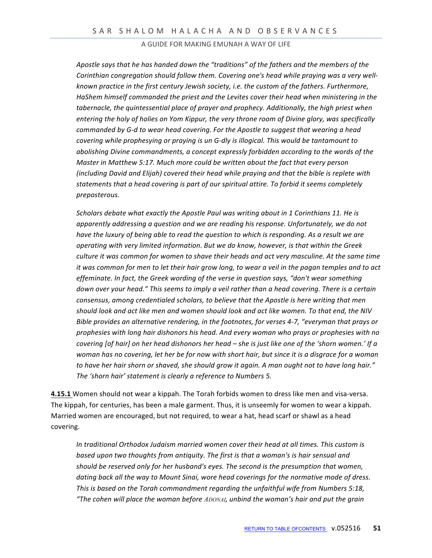Apostle says that he has handed down the "traditions" of the fathers and the members of the Corinthian congregation should follow them. Covering one's head while praying was a very wellknown practice in the first century Jewish society, i.e. the custom of the fathers. Furthermore, HaShem himself commanded the priest and the Levites cover their head when ministering in the tabernacle, the quintessential place of prayer and prophecy. Additionally, the high priest when entering the holy of holies on Yom Kippur, the very throne room of Divine glory, was specifically *commanded* by G-d to wear head covering. For the Apostle to suggest that wearing a head *covering* while prophesying or praying is un G-dly is illogical. This would be tantamount to *abolishing Divine commandments, a concept expressly forbidden according to the words of the Master in Matthew 5:17. Much more could be written about the fact that every person (including David and Elijah)* covered their head while praying and that the bible is replete with statements that a head covering is part of our spiritual attire. To forbid it seems completely *preposterous.* 

Scholars debate what exactly the Apostle Paul was writing about in 1 Corinthians 11. He is apparently addressing a question and we are reading his response. Unfortunately, we do not *have the luxury of being able to read the question to which is responding. As a result we are operating with very limited information. But we do know, however, is that within the Greek culture* it was common for women to shave their heads and act very masculine. At the same time *it* was common for men to let their hair grow long, to wear a veil in the pagan temples and to act effeminate. In fact, the Greek wording of the verse in question says, "don't wear something down over your head." This seems to imply a veil rather than a head covering. There is a certain *consensus, among credentialed scholars, to believe that the Apostle is here writing that men* should look and act like men and women should look and act like women. To that end, the NIV *Bible provides an alternative rendering, in the footnotes, for verses 4-7, "everyman that prays or prophesies with long hair dishonors his head. And every woman who prays or prophesies with no covering* [of hair] on her head dishonors her head – she is just like one of the 'shorn women.' If a woman has no covering, let her be for now with short hair, but since it is a disgrace for a woman to have her hair shorn or shaved, she should grow it again. A man ought not to have long hair." The 'shorn hair' statement is clearly a reference to Numbers 5.

**4.15.1** Women should not wear a kippah. The Torah forbids women to dress like men and visa-versa. The kippah, for centuries, has been a male garment. Thus, it is unseemly for women to wear a kippah. Married women are encouraged, but not required, to wear a hat, head scarf or shawl as a head covering. 

In traditional Orthodox Judaism married women cover their head at all times. This custom is *based* upon two thoughts from antiquity. The first is that a woman's is hair sensual and *should be reserved only for her husband's eyes. The second is the presumption that women,* dating back all the way to Mount Sinai, wore head coverings for the normative mode of dress. This is based on the Torah commandment regarding the unfaithful wife from Numbers 5:18, "The cohen will place the woman before *ADONAI*, unbind the woman's hair and put the grain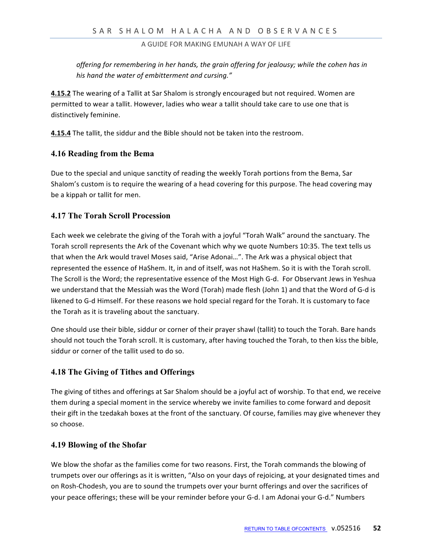offering for remembering in her hands, the grain offering for jealousy; while the cohen has in *his hand the water of embitterment and cursing."*

**4.15.2** The wearing of a Tallit at Sar Shalom is strongly encouraged but not required. Women are permitted to wear a tallit. However, ladies who wear a tallit should take care to use one that is distinctively feminine.

**4.15.4** The tallit, the siddur and the Bible should not be taken into the restroom.

# **4.16 Reading from the Bema**

Due to the special and unique sanctity of reading the weekly Torah portions from the Bema, Sar Shalom's custom is to require the wearing of a head covering for this purpose. The head covering may be a kippah or tallit for men.

# **4.17 The Torah Scroll Procession**

Each week we celebrate the giving of the Torah with a joyful "Torah Walk" around the sanctuary. The Torah scroll represents the Ark of the Covenant which why we quote Numbers 10:35. The text tells us that when the Ark would travel Moses said, "Arise Adonai...". The Ark was a physical object that represented the essence of HaShem. It, in and of itself, was not HaShem. So it is with the Torah scroll. The Scroll is the Word; the representative essence of the Most High G-d. For Observant Jews in Yeshua we understand that the Messiah was the Word (Torah) made flesh (John 1) and that the Word of G-d is likened to G-d Himself. For these reasons we hold special regard for the Torah. It is customary to face the Torah as it is traveling about the sanctuary.

One should use their bible, siddur or corner of their prayer shawl (tallit) to touch the Torah. Bare hands should not touch the Torah scroll. It is customary, after having touched the Torah, to then kiss the bible, siddur or corner of the tallit used to do so.

# **4.18 The Giving of Tithes and Offerings**

The giving of tithes and offerings at Sar Shalom should be a joyful act of worship. To that end, we receive them during a special moment in the service whereby we invite families to come forward and deposit their gift in the tzedakah boxes at the front of the sanctuary. Of course, families may give whenever they so choose.

# **4.19 Blowing of the Shofar**

We blow the shofar as the families come for two reasons. First, the Torah commands the blowing of trumpets over our offerings as it is written, "Also on your days of rejoicing, at your designated times and on Rosh-Chodesh, you are to sound the trumpets over your burnt offerings and over the sacrifices of your peace offerings; these will be your reminder before your G-d. I am Adonai your G-d." Numbers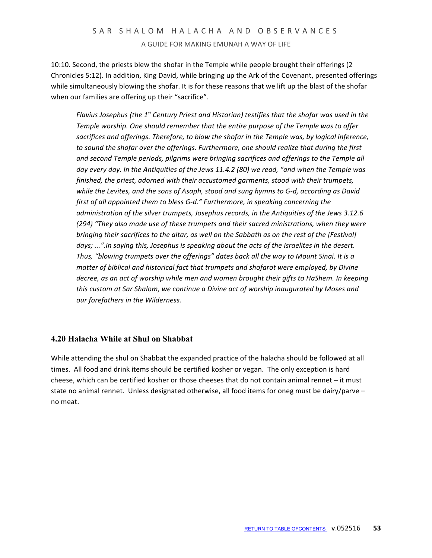10:10. Second, the priests blew the shofar in the Temple while people brought their offerings (2) Chronicles 5:12). In addition, King David, while bringing up the Ark of the Covenant, presented offerings while simultaneously blowing the shofar. It is for these reasons that we lift up the blast of the shofar when our families are offering up their "sacrifice".

*Flavius Josephus (the 1<sup>st</sup> Century Priest and Historian) testifies that the shofar was used in the* Temple worship. One should remember that the entire purpose of the Temple was to offer sacrifices and offerings. Therefore, to blow the shofar in the Temple was, by logical inference, to sound the shofar over the offerings. Furthermore, one should realize that during the first and second Temple periods, pilgrims were bringing sacrifices and offerings to the Temple all day every day. In the Antiquities of the Jews 11.4.2 (80) we read, "and when the Temple was *finished, the priest, adorned with their accustomed garments, stood with their trumpets,* while the Levites, and the sons of Asaph, stood and sung hymns to G-d, according as David *first of all appointed them to bless G-d."* Furthermore, in speaking concerning the administration of the silver trumpets, Josephus records, in the Antiquities of the Jews 3.12.6 (294) "They also made use of these trumpets and their sacred ministrations, when they were *bringing* their sacrifices to the altar, as well on the Sabbath as on the rest of the [Festival] days; ...".In saying this, Josephus is speaking about the acts of the Israelites in the desert. Thus, "blowing trumpets over the offerings" dates back all the way to Mount Sinai. It is a *matter of biblical and historical fact that trumpets and shofarot were employed, by Divine* decree, as an act of worship while men and women brought their gifts to HaShem. In keeping this custom at Sar Shalom, we continue a Divine act of worship inaugurated by Moses and *our forefathers in the Wilderness.* 

## **4.20 Halacha While at Shul on Shabbat**

While attending the shul on Shabbat the expanded practice of the halacha should be followed at all times. All food and drink items should be certified kosher or vegan. The only exception is hard cheese, which can be certified kosher or those cheeses that do not contain animal rennet - it must state no animal rennet. Unless designated otherwise, all food items for oneg must be dairy/parve  $$ no meat.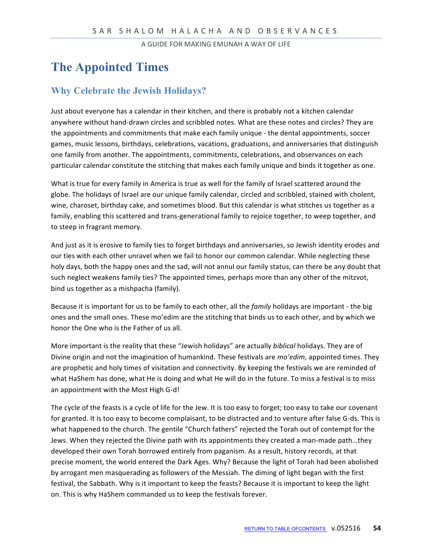# **The Appointed Times**

# **Why Celebrate the Jewish Holidays?**

Just about everyone has a calendar in their kitchen, and there is probably not a kitchen calendar anywhere without hand-drawn circles and scribbled notes. What are these notes and circles? They are the appointments and commitments that make each family unique - the dental appointments, soccer games, music lessons, birthdays, celebrations, vacations, graduations, and anniversaries that distinguish one family from another. The appointments, commitments, celebrations, and observances on each particular calendar constitute the stitching that makes each family unique and binds it together as one.

What is true for every family in America is true as well for the family of Israel scattered around the globe. The holidays of Israel are our unique family calendar, circled and scribbled, stained with cholent, wine, charoset, birthday cake, and sometimes blood. But this calendar is what stitches us together as a family, enabling this scattered and trans-generational family to rejoice together, to weep together, and to steep in fragrant memory.

And just as it is erosive to family ties to forget birthdays and anniversaries, so Jewish identity erodes and our ties with each other unravel when we fail to honor our common calendar. While neglecting these holy days, both the happy ones and the sad, will not annul our family status, can there be any doubt that such neglect weakens family ties? The appointed times, perhaps more than any other of the mitzvot, bind us together as a mishpacha (family).

Because it is important for us to be family to each other, all the *family* holidays are important - the big ones and the small ones. These mo'edim are the stitching that binds us to each other, and by which we honor the One who is the Father of us all.

More important is the reality that these "Jewish holidays" are actually *biblical* holidays. They are of Divine origin and not the imagination of humankind. These festivals are *mo'edim*, appointed times. They are prophetic and holy times of visitation and connectivity. By keeping the festivals we are reminded of what HaShem has done, what He is doing and what He will do in the future. To miss a festival is to miss an appointment with the Most High G-d!

The cycle of the feasts is a cycle of life for the Jew. It is too easy to forget; too easy to take our covenant for granted. It is too easy to become complaisant, to be distracted and to venture after false G-ds. This is what happened to the church. The gentile "Church fathers" rejected the Torah out of contempt for the Jews. When they rejected the Divine path with its appointments they created a man-made path...they developed their own Torah borrowed entirely from paganism. As a result, history records, at that precise moment, the world entered the Dark Ages. Why? Because the light of Torah had been abolished by arrogant men masquerading as followers of the Messiah. The diming of light began with the first festival, the Sabbath. Why is it important to keep the feasts? Because it is important to keep the light on. This is why HaShem commanded us to keep the festivals forever.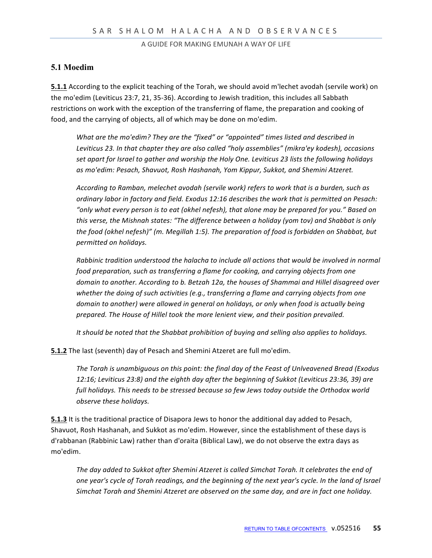# **5.1 Moedim**

**5.1.1** According to the explicit teaching of the Torah, we should avoid m'lechet avodah (servile work) on the mo'edim (Leviticus 23:7, 21, 35-36). According to Jewish tradition, this includes all Sabbath restrictions on work with the exception of the transferring of flame, the preparation and cooking of food, and the carrying of objects, all of which may be done on mo'edim.

*What are the mo'edim?* They are the "fixed" or "appointed" *times listed and described in* Leviticus 23. In that chapter they are also called "holy assemblies" (mikra'ey kodesh), occasions set apart for Israel to gather and worship the Holy One. Leviticus 23 lists the following holidays as mo'edim: Pesach, Shavuot, Rosh Hashanah, Yom Kippur, Sukkot, and Shemini Atzeret.

According to Ramban, melechet avodah (servile work) refers to work that is a burden, such as ordinary labor in factory and field. Exodus 12:16 describes the work that is permitted on Pesach: *"only what every person is to eat (okhel nefesh), that alone may be prepared for you." Based on*  this verse, the Mishnah states: "The difference between a holiday (yom tov) and Shabbat is only the food (okhel nefesh)" (m. Megillah 1:5). The preparation of food is forbidden on Shabbat, but *permitted on holidays.*

*Rabbinic tradition understood the halacha to include all actions that would be involved in normal* food preparation, such as transferring a flame for cooking, and carrying objects from one domain to another. According to b. Betzah 12a, the houses of Shammai and Hillel disagreed over whether the doing of such activities (e.g., transferring a flame and carrying objects from one domain to another) were allowed in general on holidays, or only when food is actually being prepared. The House of Hillel took the more lenient view, and their position prevailed.

It should be noted that the Shabbat prohibition of buying and selling also applies to holidays.

**5.1.2** The last (seventh) day of Pesach and Shemini Atzeret are full mo'edim.

The Torah is unambiguous on this point: the final day of the Feast of Unlveavened Bread (Exodus 12:16; Leviticus 23:8) and the eighth day after the beginning of Sukkot (Leviticus 23:36, 39) are full holidays. This needs to be stressed because so few Jews today outside the Orthodox world *observe these holidays.*

**5.1.3** It is the traditional practice of Disapora Jews to honor the additional day added to Pesach, Shavuot, Rosh Hashanah, and Sukkot as mo'edim. However, since the establishment of these days is d'rabbanan (Rabbinic Law) rather than d'oraita (Biblical Law), we do not observe the extra days as mo'edim.

The day added to Sukkot after Shemini Atzeret is called Simchat Torah. It celebrates the end of one year's cycle of Torah readings, and the beginning of the next year's cycle. In the land of Israel Simchat Torah and Shemini Atzeret are observed on the same day, and are in fact one holiday.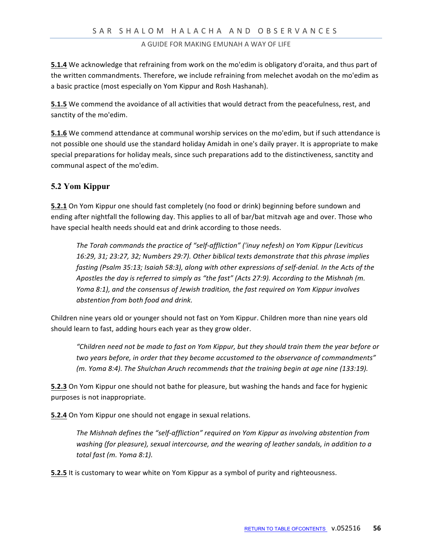**5.1.4** We acknowledge that refraining from work on the mo'edim is obligatory d'oraita, and thus part of the written commandments. Therefore, we include refraining from melechet avodah on the mo'edim as a basic practice (most especially on Yom Kippur and Rosh Hashanah).

**5.1.5** We commend the avoidance of all activities that would detract from the peacefulness, rest, and sanctity of the mo'edim.

**5.1.6** We commend attendance at communal worship services on the mo'edim, but if such attendance is not possible one should use the standard holiday Amidah in one's daily prayer. It is appropriate to make special preparations for holiday meals, since such preparations add to the distinctiveness, sanctity and communal aspect of the mo'edim.

# **5.2 Yom Kippur**

**5.2.1** On Yom Kippur one should fast completely (no food or drink) beginning before sundown and ending after nightfall the following day. This applies to all of bar/bat mitzvah age and over. Those who have special health needs should eat and drink according to those needs.

The Torah commands the practice of "self-affliction" ('inuy nefesh) on Yom Kippur (Leviticus 16:29, 31; 23:27, 32; Numbers 29:7). Other biblical texts demonstrate that this phrase implies fasting (Psalm 35:13; Isaiah 58:3), along with other expressions of self-denial. In the Acts of the Apostles the day is referred to simply as "the fast" (Acts 27:9). According to the Mishnah (m. *Yoma* 8:1), and the consensus of Jewish tradition, the fast required on Yom Kippur involves *abstention from both food and drink.*

Children nine years old or younger should not fast on Yom Kippur. Children more than nine years old should learn to fast, adding hours each year as they grow older.

*"Children need not be made to fast on Yom Kippur, but they should train them the year before or*  two years before, in order that they become accustomed to the observance of commandments" (m. Yoma 8:4). The Shulchan Aruch recommends that the training begin at age nine (133:19).

**5.2.3** On Yom Kippur one should not bathe for pleasure, but washing the hands and face for hygienic purposes is not inappropriate.

**5.2.4** On Yom Kippur one should not engage in sexual relations.

The Mishnah defines the "self-affliction" required on Yom Kippur as involving abstention from washing (for pleasure), sexual intercourse, and the wearing of leather sandals, in addition to a *total fast (m. Yoma 8:1).*

**5.2.5** It is customary to wear white on Yom Kippur as a symbol of purity and righteousness.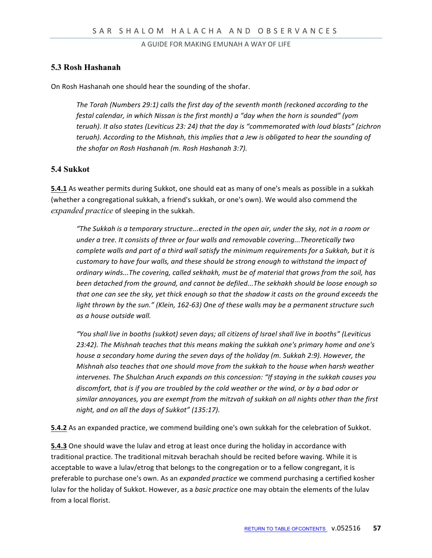## **5.3 Rosh Hashanah**

On Rosh Hashanah one should hear the sounding of the shofar.

The Torah (Numbers 29:1) calls the first day of the seventh month (reckoned according to the *festal calendar, in which Nissan is the first month) a "day when the horn is sounded" (yom teruah). It also states (Leviticus 23: 24) that the day is "commemorated with loud blasts" (zichron teruah).* According to the Mishnah, this implies that a Jew is obligated to hear the sounding of the shofar on Rosh Hashanah (m. Rosh Hashanah 3:7).

#### **5.4 Sukkot**

**5.4.1** As weather permits during Sukkot, one should eat as many of one's meals as possible in a sukkah (whether a congregational sukkah, a friend's sukkah, or one's own). We would also commend the *expanded practice* of sleeping in the sukkah.

*"The Sukkah is a temporary structure...erected in the open air, under the sky, not in a room or under a tree. It consists of three or four walls and removable covering...Theoretically two complete* walls and part of a third wall satisfy the minimum requirements for a Sukkah, but it is *customary to have four walls, and these should be strong enough to withstand the impact of* ordinary winds...The covering, called sekhakh, must be of material that grows from the soil, has been detached from the ground, and cannot be defiled...The sekhakh should be loose enough so *that* one can see the sky, yet thick enough so that the shadow it casts on the ground exceeds the light thrown by the sun." (Klein, 162-63) One of these walls may be a permanent structure such *as a house outside wall.*

*"You shall live in booths (sukkot) seven days; all citizens of Israel shall live in booths" (Leviticus*  23:42). The Mishnah teaches that this means making the sukkah one's primary home and one's *house a secondary home during the seven days of the holiday (m. Sukkah 2:9). However, the Mishnah also teaches that one should move from the sukkah to the house when harsh weather intervenes.* The Shulchan Aruch expands on this concession: "If staying in the sukkah causes you discomfort, that is if you are troubled by the cold weather or the wind, or by a bad odor or similar annoyances, you are exempt from the mitzvah of sukkah on all nights other than the first *night, and on all the days of Sukkot" (135:17).*

**5.4.2** As an expanded practice, we commend building one's own sukkah for the celebration of Sukkot.

**5.4.3** One should wave the lulav and etrog at least once during the holiday in accordance with traditional practice. The traditional mitzvah berachah should be recited before waving. While it is acceptable to wave a lulav/etrog that belongs to the congregation or to a fellow congregant, it is preferable to purchase one's own. As an *expanded practice* we commend purchasing a certified kosher lulav for the holiday of Sukkot. However, as a *basic practice* one may obtain the elements of the lulav from a local florist.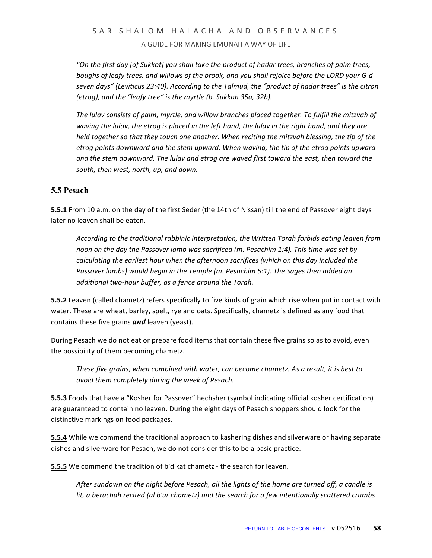*"On the first day [of Sukkot] you shall take the product of hadar trees, branches of palm trees,*  boughs of leafy trees, and willows of the brook, and you shall rejoice before the LORD your G-d *seven days" (Leviticus 23:40). According to the Talmud, the "product of hadar trees" is the citron* (etrog), and the "leafy tree" is the myrtle (b. Sukkah 35a, 32b).

The *lulav* consists of palm, myrtle, and willow branches placed together. To fulfill the mitzvah of waving the lulav, the etrog is placed in the left hand, the lulav in the right hand, and they are *held* together so that they touch one another. When reciting the mitzvah blessing, the tip of the etrog points downward and the stem upward. When waving, the tip of the etrog points upward and the stem downward. The lulav and etrog are waved first toward the east, then toward the south, then west, north, up, and down.

#### **5.5 Pesach**

**5.5.1** From 10 a.m. on the day of the first Seder (the 14th of Nissan) till the end of Passover eight days later no leaven shall be eaten.

According to the traditional rabbinic interpretation, the Written Torah forbids eating leaven from noon on the day the Passover lamb was sacrificed (m. Pesachim 1:4). This time was set by *calculating the earliest hour when the afternoon sacrifices (which on this day included the* Passover lambs) would begin in the Temple (m. Pesachim 5:1). The Sages then added an additional two-hour buffer, as a fence around the Torah.

**5.5.2** Leaven (called chametz) refers specifically to five kinds of grain which rise when put in contact with water. These are wheat, barley, spelt, rye and oats. Specifically, chametz is defined as any food that contains these five grains *and* leaven (yeast).

During Pesach we do not eat or prepare food items that contain these five grains so as to avoid, even the possibility of them becoming chametz.

These five grains, when combined with water, can become chametz. As a result, it is best to *avoid them completely during the week of Pesach.*

**5.5.3** Foods that have a "Kosher for Passover" hechsher (symbol indicating official kosher certification) are guaranteed to contain no leaven. During the eight days of Pesach shoppers should look for the distinctive markings on food packages.

**5.5.4** While we commend the traditional approach to kashering dishes and silverware or having separate dishes and silverware for Pesach, we do not consider this to be a basic practice.

**5.5.5** We commend the tradition of b'dikat chametz - the search for leaven.

After sundown on the night before Pesach, all the lights of the home are turned off, a candle is lit, a berachah recited (al b'ur chametz) and the search for a few intentionally scattered crumbs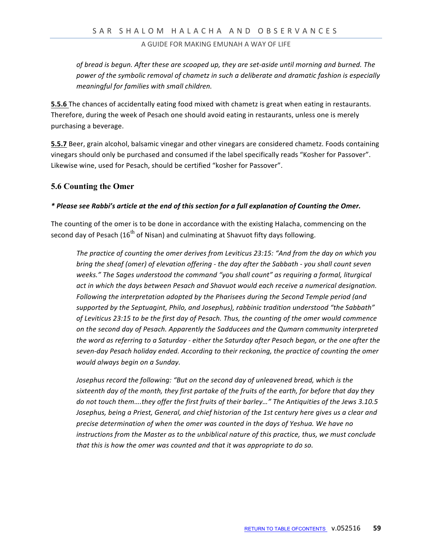of bread is begun. After these are scooped up, they are set-aside until morning and burned. The power of the symbolic removal of chametz in such a deliberate and dramatic fashion is especially *meaningful for families with small children.*

**5.5.6** The chances of accidentally eating food mixed with chametz is great when eating in restaurants. Therefore, during the week of Pesach one should avoid eating in restaurants, unless one is merely purchasing a beverage.

**5.5.7** Beer, grain alcohol, balsamic vinegar and other vinegars are considered chametz. Foods containing vinegars should only be purchased and consumed if the label specifically reads "Kosher for Passover". Likewise wine, used for Pesach, should be certified "kosher for Passover".

#### **5.6 Counting the Omer**

#### *\* Please see Rabbi's article at the end of this section for a full explanation of Counting the Omer.*

The counting of the omer is to be done in accordance with the existing Halacha, commencing on the second day of Pesach ( $16^{th}$  of Nisan) and culminating at Shavuot fifty days following.

The practice of counting the omer derives from Leviticus 23:15: "And from the day on which you *bring* the sheaf (omer) of elevation offering - the day after the Sabbath - you shall count seven weeks." The Sages understood the command "you shall count" as requiring a formal, liturgical act in which the days between Pesach and Shavuot would each receive a numerical designation. Following the interpretation adopted by the Pharisees during the Second Temple period (and supported by the Septuagint, Philo, and Josephus), rabbinic tradition understood "the Sabbath" of Leviticus 23:15 to be the first day of Pesach. Thus, the counting of the omer would commence on the second day of Pesach. Apparently the Sadducees and the Qumarn community interpreted the word as referring to a Saturday - either the Saturday after Pesach began, or the one after the seven-day Pesach holiday ended. According to their reckoning, the practice of counting the omer *would always begin on a Sunday.*

*Josephus record the following: "But on the second day of unleavened bread, which is the* sixteenth day of the month, they first partake of the fruits of the earth, for before that day they do not touch them….they offer the first fruits of their barley…" The Antiquities of the Jews 3.10.5 Josephus, being a Priest, General, and chief historian of the 1st century here gives us a clear and precise determination of when the omer was counted in the days of Yeshua. We have no *instructions from the Master as to the unbiblical nature of this practice, thus, we must conclude that this is how the omer was counted and that it was appropriate to do so.*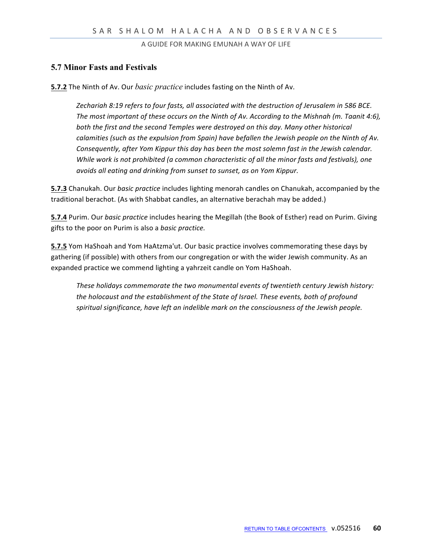# **5.7 Minor Fasts and Festivals**

**5.7.2** The Ninth of Av. Our *basic practice* includes fasting on the Ninth of Av.

Zechariah 8:19 refers to four fasts, all associated with the destruction of Jerusalem in 586 BCE. *The most important of these occurs on the Ninth of Av. According to the Mishnah (m. Taanit 4:6),* both the first and the second Temples were destroyed on this day. Many other historical *calamities* (such as the expulsion from Spain) have befallen the Jewish people on the Ninth of Av. Consequently, after Yom Kippur this day has been the most solemn fast in the Jewish calendar. *While work is not prohibited (a common characteristic of all the minor fasts and festivals), one avoids all eating and drinking from sunset to sunset, as on Yom Kippur.*

**5.7.3** Chanukah. Our *basic practice* includes lighting menorah candles on Chanukah, accompanied by the traditional berachot. (As with Shabbat candles, an alternative berachah may be added.)

**5.7.4** Purim. Our basic practice includes hearing the Megillah (the Book of Esther) read on Purim. Giving gifts to the poor on Purim is also a *basic practice*.

**5.7.5** Yom HaShoah and Yom HaAtzma'ut. Our basic practice involves commemorating these days by gathering (if possible) with others from our congregation or with the wider Jewish community. As an expanded practice we commend lighting a yahrzeit candle on Yom HaShoah.

These holidays commemorate the two monumental events of twentieth century Jewish history: the holocaust and the establishment of the State of Israel. These events, both of profound spiritual significance, have left an indelible mark on the consciousness of the Jewish people.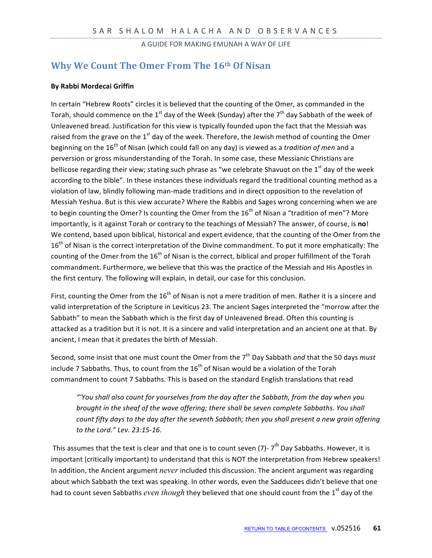# **Why We Count The Omer From The 16th Of Nisan**

#### **By Rabbi Mordecai Griffin**

In certain "Hebrew Roots" circles it is believed that the counting of the Omer, as commanded in the Torah, should commence on the 1<sup>st</sup> day of the Week (Sunday) after the 7<sup>th</sup> day Sabbath of the week of Unleavened bread. Justification for this view is typically founded upon the fact that the Messiah was raised from the grave on the  $1<sup>st</sup>$  day of the week. Therefore, the Jewish method of counting the Omer beginning on the 16<sup>th</sup> of Nisan (which could fall on any day) is viewed as a *tradition of men* and a perversion or gross misunderstanding of the Torah. In some case, these Messianic Christians are bellicose regarding their view; stating such phrase as "we celebrate Shavuot on the 1<sup>st</sup> day of the week according to the bible". In these instances these individuals regard the traditional counting method as a violation of law, blindly following man-made traditions and in direct opposition to the revelation of Messiah Yeshua. But is this view accurate? Where the Rabbis and Sages wrong concerning when we are to begin counting the Omer? Is counting the Omer from the  $16<sup>th</sup>$  of Nisan a "tradition of men"? More importantly, is it against Torah or contrary to the teachings of Messiah? The answer, of course, is no! We contend, based upon biblical, historical and expert evidence, that the counting of the Omer from the  $16<sup>th</sup>$  of Nisan is the correct interpretation of the Divine commandment. To put it more emphatically: The counting of the Omer from the  $16<sup>th</sup>$  of Nisan is the correct, biblical and proper fulfillment of the Torah commandment. Furthermore, we believe that this was the practice of the Messiah and His Apostles in the first century. The following will explain, in detail, our case for this conclusion.

First, counting the Omer from the  $16<sup>th</sup>$  of Nisan is not a mere tradition of men. Rather it is a sincere and valid interpretation of the Scripture in Leviticus 23. The ancient Sages interpreted the "morrow after the Sabbath" to mean the Sabbath which is the first day of Unleavened Bread. Often this counting is attacked as a tradition but it is not. It is a sincere and valid interpretation and an ancient one at that. By ancient, I mean that it predates the birth of Messiah.

Second, some insist that one must count the Omer from the 7<sup>th</sup> Day Sabbath *and* that the 50 days *must* include 7 Sabbaths. Thus, to count from the  $16<sup>th</sup>$  of Nisan would be a violation of the Torah commandment to count 7 Sabbaths. This is based on the standard English translations that read

"You shall also count for yourselves from the day after the Sabbath, from the day when you *brought in the sheaf of the wave offering; there shall be seven complete Sabbaths. You shall count fifty days to the day after the seventh Sabbath; then you shall present a new grain offering to the Lord." Lev. 23:15-16.*

This assumes that the text is clear and that one is to count seven (7)-  $7^{\text{th}}$  Day Sabbaths. However, it is important (critically important) to understand that this is NOT the interpretation from Hebrew speakers! In addition, the Ancient argument *never* included this discussion. The ancient argument was regarding about which Sabbath the text was speaking. In other words, even the Sadducees didn't believe that one had to count seven Sabbaths *even though* they believed that one should count from the 1<sup>st</sup> day of the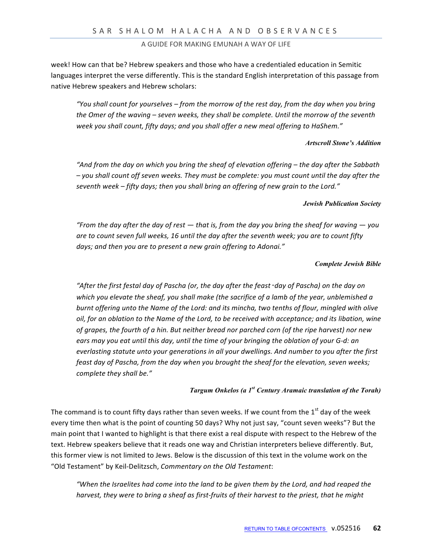week! How can that be? Hebrew speakers and those who have a credentialed education in Semitic languages interpret the verse differently. This is the standard English interpretation of this passage from native Hebrew speakers and Hebrew scholars:

*"You* shall count for yourselves – from the morrow of the rest day, from the day when you bring *the Omer of the waving* – seven weeks, they shall be complete. Until the morrow of the seventh week you shall count, fifty days; and you shall offer a new meal offering to HaShem."

#### *Artscroll Stone's Addition*

"And from the day on which you bring the sheaf of elevation offering – the day after the Sabbath *– you shall count off seven weeks. They must be complete: you must count until the day after the*  seventh week – fifty days; then you shall bring an offering of new grain to the Lord."

#### *Jewish Publication Society*

*"From the day after the day of rest — that is, from the day you bring the sheaf for waving — you*  are to count seven full weeks, 16 until the day after the seventh week; you are to count fifty days; and then you are to present a new grain offering to Adonai."

#### *Complete Jewish Bible*

*"After the first festal day of Pascha (or, the day after the feast*‑*day of Pascha) on the day on*  which you elevate the sheaf, you shall make (the sacrifice of a lamb of the year, unblemished a *burnt offering unto the Name of the Lord: and its mincha, two tenths of flour, mingled with olive* oil, for an oblation to the Name of the Lord, to be received with acceptance; and its libation, wine of grapes, the fourth of a hin. But neither bread nor parched corn (of the ripe harvest) nor new ears may you eat until this day, until the time of your bringing the oblation of your *G-d:* an everlasting statute unto your generations in all your dwellings. And number to you after the first *feast day of Pascha, from the day when you brought the sheaf for the elevation, seven weeks;* complete they shall be."

#### *Targum Onkelos (a 1st Century Aramaic translation of the Torah)*

The command is to count fifty days rather than seven weeks. If we count from the  $1<sup>st</sup>$  day of the week every time then what is the point of counting 50 days? Why not just say, "count seven weeks"? But the main point that I wanted to highlight is that there exist a real dispute with respect to the Hebrew of the text. Hebrew speakers believe that it reads one way and Christian interpreters believe differently. But, this former view is not limited to Jews. Below is the discussion of this text in the volume work on the "Old Testament" by Keil-Delitzsch, *Commentary on the Old Testament*:

"When the Israelites had come into the land to be given them by the Lord, and had reaped the harvest, they were to bring a sheaf as first-fruits of their harvest to the priest, that he might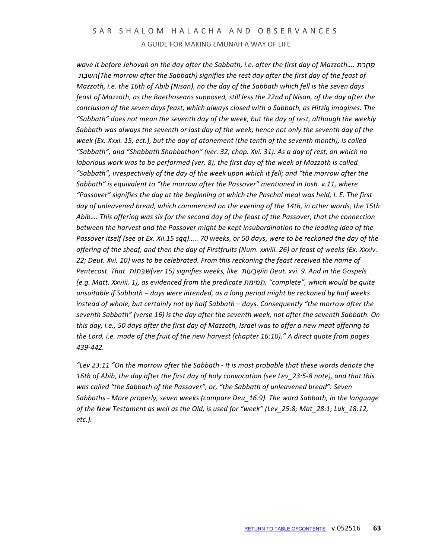*wave it before Jehovah on the day after the Sabbath, i.e. after the first day of Mazzoth…. רתַ חֳ מָ בּתָ שַ הַ) The morrow after the Sabbath) signifies the rest day after the first day of the feast of Mazzoth, i.e. the 16th of Abib (Nisan), no the day of the Sabbath which fell is the seven days feast of Mazzoth, as the Baethoseans supposed, still less the 22nd of Nisan, of the day after the* conclusion of the seven days feast, which always closed with a Sabbath, as Hitzig imagines. The "Sabbath" does not mean the seventh day of the week, but the day of rest, although the weekly Sabbath was always the seventh or last day of the week; hence not only the seventh day of the week (Ex. Xxxi. 15, ect.), but the day of atonement (the tenth of the seventh month), is called *"Sabbath", and "Shabbath Shabbathon" (ver. 32, chap. Xvi. 31). As a day of rest, on which no laborious* work was to be performed (ver. 8), the first day of the week of Mazzoth is called "Sabbath", irrespectively of the day of the week upon which it fell; and "the morrow after the Sabbath" is equivalent to "the morrow after the Passover" mentioned in Josh. v.11, where *"Passover" signifies* the day at the beginning at which the Paschal meal was held, I. E. The first day of unleavened bread, which commenced on the evening of the 14th, in other words, the 15th Abib.... This offering was six for the second day of the feast of the Passover, that the connection between the harvest and the Passover might be kept insubordination to the leading idea of the Passover itself (see at Ex. Xii.15 sqq)..... 70 weeks, or 50 days, were to be reckoned the day of the offering of the sheaf, and then the day of Firstfruits (Num. xxviii. 26) or feast of weeks (Ex. Xxxiv. 22; Deut. Xvi. 10) was to be celebrated. From this reckoning the feast received the name of *Pentecost. That בּתוֹתָ שַּ) ver 15) signifies weeks, like בעוֹתֻ שָׁ in Deut. xvi. 9. And in the Gospels (e.g. Matt. Xxviii. 1), as evidenced from the predicate <i>חֲמִימת, "complete", which would be quite unsuitable if Sabbath* – *days were intended, as a long period might be reckoned by half weeks instead* of whole, but certainly not by half Sabbath – days. Consequently "the morrow after the seventh Sabbath" (verse 16) is the day after the seventh week, not after the seventh Sabbath. On this day, i.e., 50 days after the first day of Mazzoth, Israel was to offer a new meat offering to *the Lord, i.e. made of the fruit of the new harvest (chapter 16:10)." A direct quote from pages 439-442.* 

*"Lev 23:11 "On the morrow after the Sabbath - It is most probable that these words denote the*  16th of Abib, the day after the first day of holy convocation (see Lev 23:5-8 note), and that this was called "the Sabbath of the Passover", or, "the Sabbath of unleavened bread". Seven *Sabbaths* - More properly, seven weeks (compare Deu 16:9). The word Sabbath, in the language of the New Testament as well as the Old, is used for "week" (Lev\_25:8; Mat\_28:1; Luk\_18:12, *etc.).*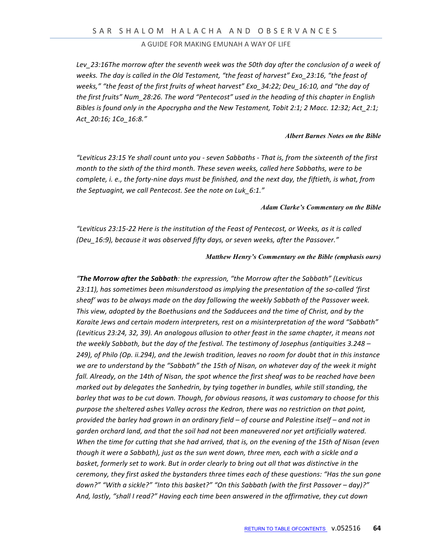Lev 23:16The morrow after the seventh week was the 50th day after the conclusion of a week of weeks. The day is called in the Old Testament, "the feast of harvest" *Exo\_23:16,* "the feast of weeks," "the feast of the first fruits of wheat harvest" Exo 34:22; Deu 16:10, and "the day of the first fruits" Num\_28:26. The word "Pentecost" used in the heading of this chapter in English *Bibles is found only in the Apocrypha and the New Testament, Tobit 2:1; 2 Macc. 12:32; Act\_2:1; Act\_20:16; 1Co\_16:8."*

#### *Albert Barnes Notes on the Bible*

*"Leviticus 23:15 Ye shall count unto you - seven Sabbaths - That is, from the sixteenth of the first month* to the sixth of the third month. These seven weeks, called here Sabbaths, were to be *complete, i. e., the forty-nine days must be finished, and the next day, the fiftieth, is what, from* the Septuagint, we call Pentecost. See the note on Luk 6:1."

#### *Adam Clarke's Commentary on the Bible*

*"Leviticus 23:15-22 Here is the institution of the Feast of Pentecost, or Weeks, as it is called*  (Deu\_16:9), because it was observed fifty days, or seven weeks, after the Passover."

#### *Matthew Henry's Commentary on the Bible (emphasis ours)*

*"The Morrow after the Sabbath: the expression, "the Morrow after the Sabbath" (Leviticus*  23:11), has sometimes been misunderstood as implying the presentation of the so-called 'first sheaf' was to be always made on the day following the weekly Sabbath of the Passover week. This view, adopted by the Boethusians and the Sadducees and the time of Christ, and by the Karaite Jews and certain modern interpreters, rest on a misinterpretation of the word "Sabbath" *(Leviticus 23:24, 32, 39). An analogous allusion to other feast in the same chapter, it means not the* weekly Sabbath, but the day of the festival. The testimony of Josephus (antiquities 3.248 – 249), of Philo (Op. ii.294), and the Jewish tradition, leaves no room for doubt that in this instance we are to understand by the "Sabbath" the 15th of Nisan, on whatever day of the week it might fall. Already, on the 14th of Nisan, the spot whence the first sheaf was to be reached have been marked out by delegates the Sanhedrin, by tying together in bundles, while still standing, the *barley* that was to be cut down. Though, for obvious reasons, it was customary to choose for this purpose the sheltered ashes Valley across the Kedron, there was no restriction on that point, *provided the barley had grown in an ordinary field – of course and Palestine itself – and not in*  garden orchard land, and that the soil had not been maneuvered nor yet artificially watered. *When* the time for cutting that she had arrived, that is, on the evening of the 15th of Nisan (even though it were a Sabbath), just as the sun went down, three men, each with a sickle and a basket, formerly set to work. But in order clearly to bring out all that was distinctive in the *ceremony, they first asked the bystanders three times each of these questions: "Has the sun gone down?" "With a sickle?" "Into this basket?" "On this Sabbath (with the first Passover – day)?"* And, lastly, "shall I read?" Having each time been answered in the affirmative, they cut down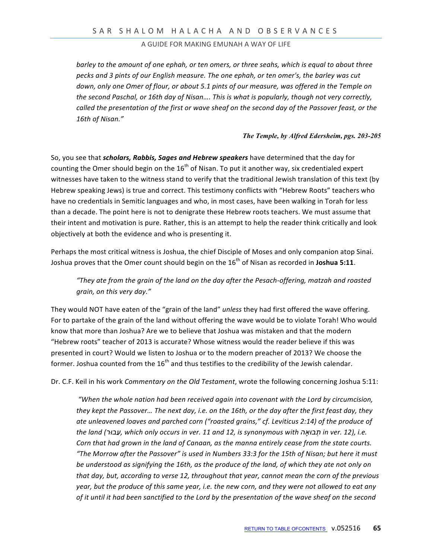*barley* to the amount of one ephah, or ten omers, or three seahs, which is equal to about three *pecks and 3 pints of our English measure. The one ephah, or ten omer's, the barley was cut* down, only one Omer of flour, or about 5.1 pints of our measure, was offered in the Temple on the second Paschal, or 16th day of Nisan.... This is what is popularly, though not very correctly, *called* the presentation of the first or wave sheaf on the second day of the Passover feast, or the *16th of Nisan."*

#### *The Temple, by Alfred Edersheim, pgs. 203-205*

So, you see that *scholars, Rabbis, Sages and Hebrew speakers* have determined that the day for counting the Omer should begin on the  $16<sup>th</sup>$  of Nisan. To put it another way, six credentialed expert witnesses have taken to the witness stand to verify that the traditional Jewish translation of this text (by Hebrew speaking Jews) is true and correct. This testimony conflicts with "Hebrew Roots" teachers who have no credentials in Semitic languages and who, in most cases, have been walking in Torah for less than a decade. The point here is not to denigrate these Hebrew roots teachers. We must assume that their intent and motivation is pure. Rather, this is an attempt to help the reader think critically and look objectively at both the evidence and who is presenting it.

Perhaps the most critical witness is Joshua, the chief Disciple of Moses and only companion atop Sinai. Joshua proves that the Omer count should begin on the 16<sup>th</sup> of Nisan as recorded in Joshua 5:11.

*"They ate from the grain of the land on the day after the Pesach-offering, matzah and roasted grain, on this very day."*

They would NOT have eaten of the "grain of the land" *unless* they had first offered the wave offering. For to partake of the grain of the land without offering the wave would be to violate Torah! Who would know that more than Joshua? Are we to believe that Joshua was mistaken and that the modern "Hebrew roots" teacher of 2013 is accurate? Whose witness would the reader believe if this was presented in court? Would we listen to Joshua or to the modern preacher of 2013? We choose the former. Joshua counted from the  $16<sup>th</sup>$  and thus testifies to the credibility of the Jewish calendar.

Dr. C.F. Keil in his work *Commentary on the Old Testament*, wrote the following concerning Joshua 5:11:

*"When* the whole nation had been received again into covenant with the Lord by circumcision, *they kept the Passover... The next day, i.e. on the 16th, or the day after the first feast day, they* ate unleavened loaves and parched corn ("roasted grains," cf. Leviticus 2:14) of the produce of *the land (עבוּרַ , which only occurs in ver. 11 and 12, is synonymous with תבוּאָהְ in ver. 12), i.e. Corn* that had grown in the land of Canaan, as the manna entirely cease from the state courts. *"The Morrow after the Passover" is used in Numbers 33:3 for the 15th of Nisan; but here it must*  be understood as signifying the 16th, as the produce of the land, of which they ate not only on *that day, but, according to verse 12, throughout that year, cannot mean the corn of the previous* year, but the produce of this same year, i.e. the new corn, and they were not allowed to eat any of it until it had been sanctified to the Lord by the presentation of the wave sheaf on the second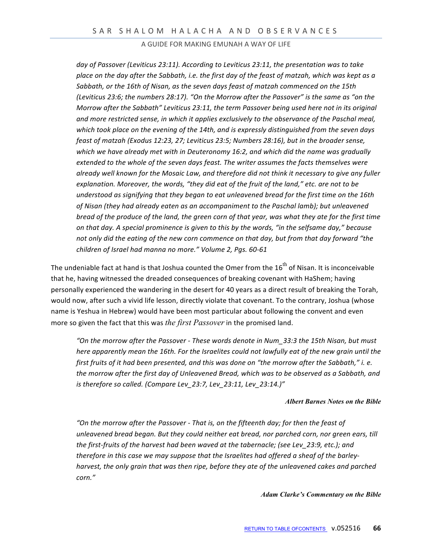day of Passover (Leviticus 23:11). According to Leviticus 23:11, the presentation was to take place on the day after the Sabbath, i.e. the first day of the feast of matzah, which was kept as a Sabbath, or the 16th of Nisan, as the seven days feast of matzah commenced on the 15th *(Leviticus 23:6; the numbers 28:17). "On the Morrow after the Passover" is the same as "on the Morrow after the Sabbath" Leviticus 23:11, the term Passover being used here not in its original* and more restricted sense, in which it applies exclusively to the observance of the Paschal meal, which took place on the evening of the 14th, and is expressly distinguished from the seven days *feast of matzah (Exodus 12:23, 27; Leviticus 23:5; Numbers 28:16), but in the broader sense,* which we have already met with in Deuteronomy 16:2, and which did the name was gradually extended to the whole of the seven days feast. The writer assumes the facts themselves were already well known for the Mosaic Law, and therefore did not think it necessary to give any fuller explanation. Moreover, the words, "they did eat of the fruit of the land," etc. are not to be *understood as signifying that they began to eat unleavened bread for the first time on the 16th* of Nisan (they had already eaten as an accompaniment to the Paschal lamb); but unleavened *bread* of the produce of the land, the green corn of that year, was what they ate for the first time *on* that day. A special prominence is given to this by the words, "in the selfsame day," because not only did the eating of the new corn commence on that day, but from that day forward "the *children of Israel had manna no more." Volume 2, Pgs. 60-61*

The undeniable fact at hand is that Joshua counted the Omer from the  $16^{th}$  of Nisan. It is inconceivable that he, having witnessed the dreaded consequences of breaking covenant with HaShem; having personally experienced the wandering in the desert for 40 years as a direct result of breaking the Torah, would now, after such a vivid life lesson, directly violate that covenant. To the contrary, Joshua (whose name is Yeshua in Hebrew) would have been most particular about following the convent and even more so given the fact that this was *the first Passover* in the promised land.

*"On the morrow after the Passover - These words denote in Num\_33:3 the 15th Nisan, but must here apparently mean the 16th. For the Israelites could not lawfully eat of the new grain until the first fruits of it had been presented, and this was done on "the morrow after the Sabbath," i. e.* the morrow after the first day of Unleavened Bread, which was to be observed as a Sabbath, and *is* therefore so called. (Compare Lev 23:7, Lev 23:11, Lev 23:14.)"

#### *Albert Barnes Notes on the Bible*

"On the morrow after the Passover - That is, on the fifteenth day; for then the feast of unleavened bread began. But they could neither eat bread, nor parched corn, nor green ears, till the first-fruits of the harvest had been waved at the tabernacle; (see Lev\_23:9, etc.); and therefore in this case we may suppose that the Israelites had offered a sheaf of the barley*harvest, the only grain that was then ripe, before they ate of the unleavened cakes and parched corn."*

#### *Adam Clarke's Commentary on the Bible*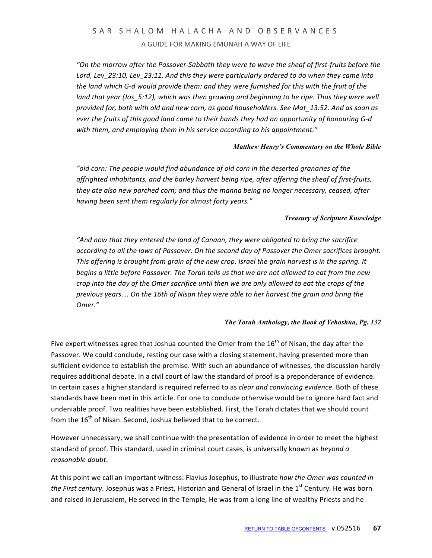"On the morrow after the Passover-Sabbath they were to wave the sheaf of first-fruits before the Lord, Lev<sub>23:10</sub>, Lev<sub>23:11</sub>. And this they were particularly ordered to do when they came into the land which G-d would provide them: and they were furnished for this with the fruit of the *land that year (Jos 5:12), which was then growing and beginning to be ripe. Thus they were well* provided for, both with old and new corn, as good householders. See Mat\_13:52. And as soon as *ever* the fruits of this good land came to their hands they had an opportunity of honouring G-d with them, and employing them in his service according to his appointment."

#### *Matthew Henry's Commentary on the Whole Bible*

"old corn: The people would find abundance of old corn in the deserted granaries of the *affrighted inhabitants, and the barley harvest being ripe, after offering the sheaf of first-fruits, they* ate also new parched corn; and thus the manna being no longer necessary, ceased, after having been sent them regularly for almost forty years."

#### *Treasury of Scripture Knowledge*

"And now that they entered the land of Canaan, they were obligated to bring the sacrifice according to all the laws of Passover. On the second day of Passover the Omer sacrifices brought. This offering is brought from grain of the new crop. Israel the grain harvest is in the spring. It begins a little before Passover. The Torah tells us that we are not allowed to eat from the new *crop* into the day of the Omer sacrifice until then we are only allowed to eat the crops of the previous years.… On the 16th of Nisan they were able to her harvest the grain and bring the *Omer."*

#### *The Torah Anthology, the Book of Yehoshua, Pg. 132*

Five expert witnesses agree that Joshua counted the Omer from the  $16<sup>th</sup>$  of Nisan, the day after the Passover. We could conclude, resting our case with a closing statement, having presented more than sufficient evidence to establish the premise. With such an abundance of witnesses, the discussion hardly requires additional debate. In a civil court of law the standard of proof is a preponderance of evidence. In certain cases a higher standard is required referred to as *clear and convincing evidence*. Both of these standards have been met in this article. For one to conclude otherwise would be to ignore hard fact and undeniable proof. Two realities have been established. First, the Torah dictates that we should count from the  $16<sup>th</sup>$  of Nisan. Second, Joshua believed that to be correct.

However unnecessary, we shall continue with the presentation of evidence in order to meet the highest standard of proof. This standard, used in criminal court cases, is universally known as *beyond a reasonable doubt*. 

At this point we call an important witness: Flavius Josephus, to illustrate *how the Omer was counted in the First century*. Josephus was a Priest, Historian and General of Israel in the 1<sup>st</sup> Century. He was born and raised in Jerusalem, He served in the Temple, He was from a long line of wealthy Priests and he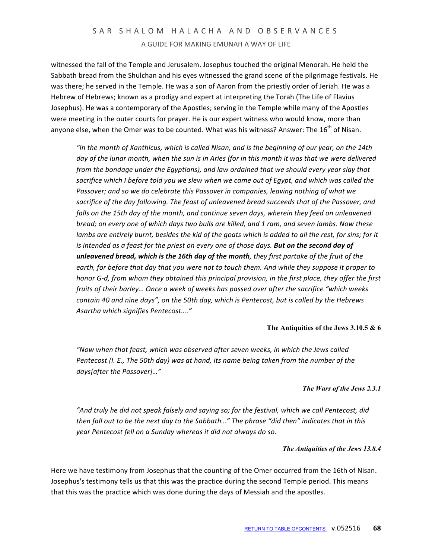witnessed the fall of the Temple and Jerusalem. Josephus touched the original Menorah. He held the Sabbath bread from the Shulchan and his eyes witnessed the grand scene of the pilgrimage festivals. He was there; he served in the Temple. He was a son of Aaron from the priestly order of Jeriah. He was a Hebrew of Hebrews; known as a prodigy and expert at interpreting the Torah (The Life of Flavius Josephus). He was a contemporary of the Apostles; serving in the Temple while many of the Apostles were meeting in the outer courts for prayer. He is our expert witness who would know, more than anyone else, when the Omer was to be counted. What was his witness? Answer: The  $16^{th}$  of Nisan.

"In the month of Xanthicus, which is called Nisan, and is the beginning of our year, on the 14th day of the lunar month, when the sun is in Aries (for in this month it was that we were delivered *from* the bondage under the Egyptians), and law ordained that we should every year slay that sacrifice which I before told you we slew when we came out of Egypt, and which was called the Passover; and so we do celebrate this Passover in companies, leaving nothing of what we sacrifice of the day following. The feast of unleavened bread succeeds that of the Passover, and falls on the 15th day of the month, and continue seven days, wherein they feed on unleavened *bread;* on every one of which days two bulls are killed, and 1 ram, and seven lambs. Now these *lambs are entirely burnt, besides the kid of the goats which is added to all the rest, for sins; for it is* intended as a feast for the priest on every one of those days. But on the second day of **unleavened bread, which is the 16th day of the month**, they first partake of the fruit of the earth, for before that day that you were not to touch them. And while they suppose it proper to *honor* G-d, from whom they obtained this principal provision, in the first place, they offer the first *fruits* of their barley... Once a week of weeks has passed over after the sacrifice "which weeks *contain* 40 and nine days", on the 50th day, which is Pentecost, but is called by the Hebrews *Asartha which signifies Pentecost…."*

#### **The Antiquities of the Jews 3.10.5 & 6**

*"Now when that feast, which was observed after seven weeks, in which the Jews called*  Pentecost (I. E., The 50th day) was at hand, its name being taken from the number of the *days[after the Passover]…"*

#### *The Wars of the Jews 2.3.1*

"And truly he did not speak falsely and saying so; for the festival, which we call Pentecost, did *then* fall out to be the next day to the Sabbath..." The phrase "did then" indicates that in this year Pentecost fell on a Sunday whereas it did not always do so.

#### *The Antiquities of the Jews 13.8.4*

Here we have testimony from Josephus that the counting of the Omer occurred from the 16th of Nisan. Josephus's testimony tells us that this was the practice during the second Temple period. This means that this was the practice which was done during the days of Messiah and the apostles.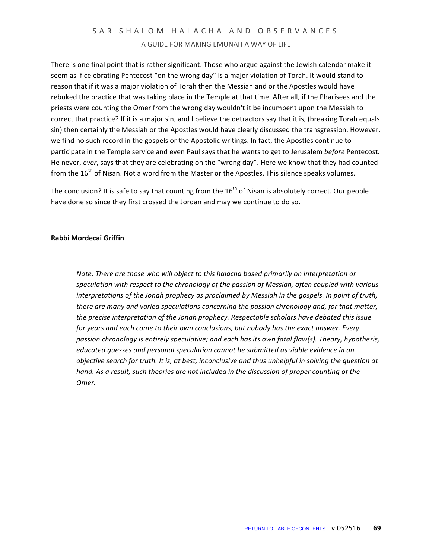There is one final point that is rather significant. Those who argue against the Jewish calendar make it seem as if celebrating Pentecost "on the wrong day" is a major violation of Torah. It would stand to reason that if it was a major violation of Torah then the Messiah and or the Apostles would have rebuked the practice that was taking place in the Temple at that time. After all, if the Pharisees and the priests were counting the Omer from the wrong day wouldn't it be incumbent upon the Messiah to correct that practice? If it is a major sin, and I believe the detractors say that it is, (breaking Torah equals sin) then certainly the Messiah or the Apostles would have clearly discussed the transgression. However, we find no such record in the gospels or the Apostolic writings. In fact, the Apostles continue to participate in the Temple service and even Paul says that he wants to get to Jerusalem *before* Pentecost. He never, *ever*, says that they are celebrating on the "wrong day". Here we know that they had counted from the 16<sup>th</sup> of Nisan. Not a word from the Master or the Apostles. This silence speaks volumes.

The conclusion? It is safe to say that counting from the  $16<sup>th</sup>$  of Nisan is absolutely correct. Our people have done so since they first crossed the Jordan and may we continue to do so.

#### **Rabbi Mordecai Griffin**

Note: There are those who will object to this halacha based primarily on interpretation or *speculation* with *respect* to the *chronology* of the passion of Messiah, often *coupled* with various *interpretations* of the Jonah prophecy as proclaimed by Messiah in the gospels. In point of truth, *there* are many and varied speculations concerning the passion chronology and, for that matter, the precise interpretation of the Jonah prophecy. Respectable scholars have debated this issue for years and each come to their own conclusions, but nobody has the exact answer. Every passion chronology is entirely speculative; and each has its own fatal flaw(s). Theory, hypothesis, *educated quesses and personal speculation cannot be submitted as viable evidence in an objective search for truth. It is, at best, inconclusive and thus unhelpful in solving the question at hand.* As a result, such theories are not included in the discussion of proper counting of the *Omer.*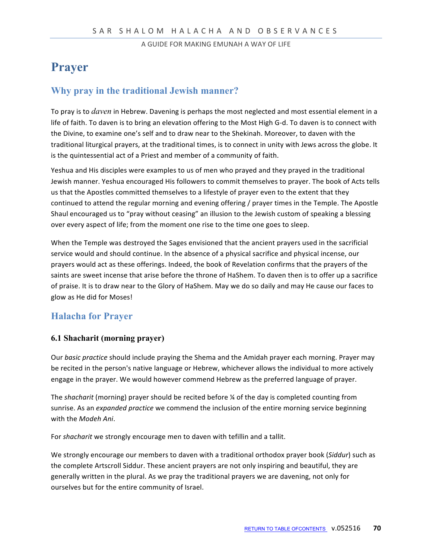# **Prayer**

# **Why pray in the traditional Jewish manner?**

To pray is to *daven* in Hebrew. Davening is perhaps the most neglected and most essential element in a life of faith. To daven is to bring an elevation offering to the Most High G-d. To daven is to connect with the Divine, to examine one's self and to draw near to the Shekinah. Moreover, to daven with the traditional liturgical prayers, at the traditional times, is to connect in unity with Jews across the globe. It is the quintessential act of a Priest and member of a community of faith.

Yeshua and His disciples were examples to us of men who prayed and they prayed in the traditional Jewish manner. Yeshua encouraged His followers to commit themselves to prayer. The book of Acts tells us that the Apostles committed themselves to a lifestyle of prayer even to the extent that they continued to attend the regular morning and evening offering / prayer times in the Temple. The Apostle Shaul encouraged us to "pray without ceasing" an illusion to the Jewish custom of speaking a blessing over every aspect of life; from the moment one rise to the time one goes to sleep.

When the Temple was destroyed the Sages envisioned that the ancient prayers used in the sacrificial service would and should continue. In the absence of a physical sacrifice and physical incense, our prayers would act as these offerings. Indeed, the book of Revelation confirms that the prayers of the saints are sweet incense that arise before the throne of HaShem. To daven then is to offer up a sacrifice of praise. It is to draw near to the Glory of HaShem. May we do so daily and may He cause our faces to glow as He did for Moses!

# **Halacha for Prayer**

# **6.1 Shacharit (morning prayer)**

Our *basic practice* should include praying the Shema and the Amidah prayer each morning. Prayer may be recited in the person's native language or Hebrew, whichever allows the individual to more actively engage in the prayer. We would however commend Hebrew as the preferred language of prayer.

The *shacharit* (morning) prayer should be recited before *X* of the day is completed counting from sunrise. As an *expanded practice* we commend the inclusion of the entire morning service beginning with the *Modeh Ani*.

For *shacharit* we strongly encourage men to daven with tefillin and a tallit.

We strongly encourage our members to daven with a traditional orthodox prayer book (Siddur) such as the complete Artscroll Siddur. These ancient prayers are not only inspiring and beautiful, they are generally written in the plural. As we pray the traditional prayers we are davening, not only for ourselves but for the entire community of Israel.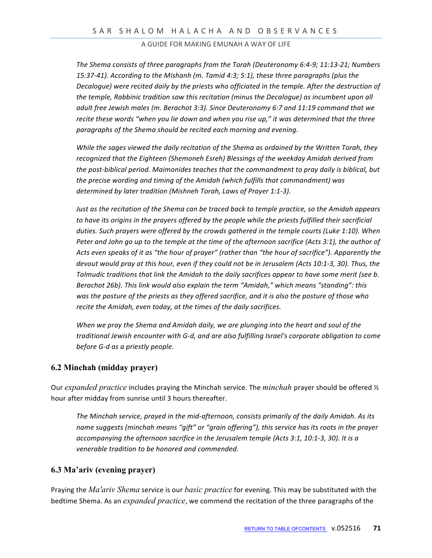The Shema consists of three paragraphs from the Torah (Deuteronomy 6:4-9; 11:13-21; Numbers 15:37-41). According to the Mishanh (m. Tamid 4:3; 5:1), these three paragraphs (plus the Decalogue) were recited daily by the priests who officiated in the temple. After the destruction of the *temple,* Rabbinic tradition saw this recitation (minus the Decalogue) as incumbent upon all adult free Jewish males (m. Berachot 3:3). Since Deuteronomy 6:7 and 11:19 command that we recite these words "when you lie down and when you rise up," it was determined that the three paragraphs of the Shema should be recited each morning and evening.

While the sages viewed the daily recitation of the Shema as ordained by the Written Torah, they recognized that the Eighteen (Shemoneh Esreh) Blessings of the weekday Amidah derived from the post-biblical period. Maimonides teaches that the commandment to pray daily is biblical, but *the precise wording and timing of the Amidah (which fulfills that commandment)* was determined by later tradition (Mishneh Torah, Laws of Prayer 1:1-3).

*Just as the recitation of the Shema can be traced back to temple practice, so the Amidah appears* to have its origins in the prayers offered by the people while the priests fulfilled their sacrificial duties. Such prayers were offered by the crowds gathered in the temple courts (Luke 1:10). When Peter and John go up to the temple at the time of the afternoon sacrifice (Acts 3:1), the author of Acts even speaks of it as "the hour of prayer" (rather than "the hour of sacrifice"). Apparently the *devout would pray at this hour, even if they could not be in Jerusalem (Acts 10:1-3, 30). Thus, the* Talmudic traditions that link the Amidah to the daily sacrifices appear to have some merit (see b. *Berachot 26b).* This link would also explain the term "Amidah," which means "standing": this was the posture of the priests as they offered sacrifice, and it is also the posture of those who recite the Amidah, even today, at the times of the daily sacrifices.

*When* we pray the Shema and Amidah daily, we are plunging into the heart and soul of the traditional Jewish encounter with G-d, and are also fulfilling Israel's corporate obligation to come *before G-d as a priestly people.*

#### **6.2 Minchah (midday prayer)**

Our *expanded practice* includes praying the Minchah service. The *minchah* prayer should be offered  $\frac{1}{2}$ hour after midday from sunrise until 3 hours thereafter.

The Minchah service, prayed in the mid-afternoon, consists primarily of the daily Amidah. As its name suggests (minchah means "gift" or "grain offering"), this service has its roots in the prayer accompanying the afternoon sacrifice in the Jerusalem temple (Acts 3:1, 10:1-3, 30). It is a venerable tradition to be honored and commended.

# **6.3 Ma'ariv (evening prayer)**

Praying the *Ma'ariv Shema* service is our *basic practice* for evening. This may be substituted with the bedtime Shema. As an *expanded practice*, we commend the recitation of the three paragraphs of the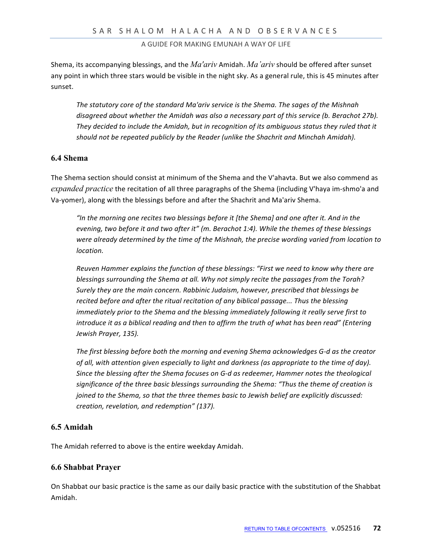Shema, its accompanying blessings, and the *Ma'ariv* Amidah. *Ma'ariv* should be offered after sunset any point in which three stars would be visible in the night sky. As a general rule, this is 45 minutes after sunset. 

The statutory core of the standard Ma'ariv service is the Shema. The sages of the Mishnah disagreed about whether the Amidah was also a necessary part of this service (b. Berachot 27b). They decided to include the Amidah, but in recognition of its ambiguous status they ruled that it should not be repeated publicly by the Reader (unlike the Shachrit and Minchah Amidah).

## **6.4 Shema**

The Shema section should consist at minimum of the Shema and the V'ahavta. But we also commend as *expanded practice* the recitation of all three paragraphs of the Shema (including V'haya im-shmo'a and Va-yomer), along with the blessings before and after the Shachrit and Ma'ariv Shema.

"In the morning one recites two blessings before it [the Shema] and one after it. And in the *evening, two before it and two after it" (m. Berachot 1:4). While the themes of these blessings* were already determined by the time of the Mishnah, the precise wording varied from location to *location.*

*Reuven Hammer explains the function of these blessings: "First we need to know why there are* blessings surrounding the Shema at all. Why not simply recite the passages from the Torah? Surely they are the main concern. Rabbinic Judaism, however, prescribed that blessings be recited before and after the ritual recitation of any biblical passage... Thus the blessing *immediately prior to the Shema and the blessing immediately following it really serve first to introduce* it as a biblical reading and then to affirm the truth of what has been read" (Entering *Jewish Prayer, 135).*

The first blessing before both the morning and evening Shema acknowledges G-d as the creator of all, with attention given especially to light and darkness (as appropriate to the time of day). Since the blessing after the Shema focuses on G-d as redeemer, Hammer notes the theological significance of the three basic blessings surrounding the Shema: "Thus the theme of creation is joined to the Shema, so that the three themes basic to Jewish belief are explicitly discussed: *creation, revelation, and redemption" (137).*

# **6.5 Amidah**

The Amidah referred to above is the entire weekday Amidah.

# **6.6 Shabbat Prayer**

On Shabbat our basic practice is the same as our daily basic practice with the substitution of the Shabbat Amidah.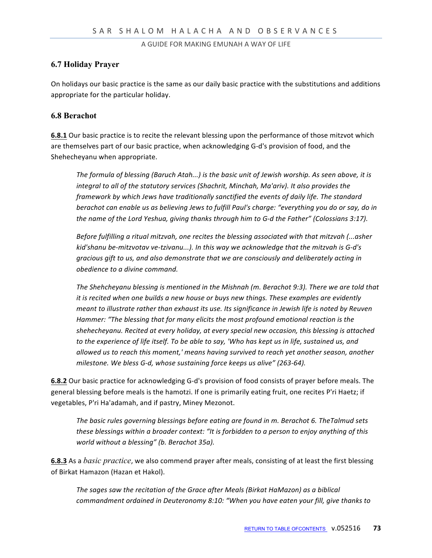# **6.7 Holiday Prayer**

On holidays our basic practice is the same as our daily basic practice with the substitutions and additions appropriate for the particular holiday.

## **6.8 Berachot**

**6.8.1** Our basic practice is to recite the relevant blessing upon the performance of those mitzvot which are themselves part of our basic practice, when acknowledging G-d's provision of food, and the Shehecheyanu when appropriate.

The formula of blessing (Baruch Atah...) is the basic unit of Jewish worship. As seen above, it is integral to all of the statutory services (Shachrit, Minchah, Ma'ariv). It also provides the *framework by which Jews have traditionally sanctified the events of daily life. The standard berachot can enable us as believing Jews to fulfill Paul's charge: "everything you do or say, do in* the name of the Lord Yeshua, giving thanks through him to G-d the Father" (Colossians 3:17).

*Before fulfilling a ritual mitzvah, one recites the blessing associated with that mitzvah (...asher* kid'shanu be-mitzvotav ve-tzivanu...). In this way we acknowledge that the mitzvah is G-d's gracious gift to us, and also demonstrate that we are consciously and deliberately acting in *obedience to a divine command.* 

The Shehcheyanu blessing is mentioned in the Mishnah (m. Berachot 9:3). There we are told that *it is recited when one builds a new house or buys new things. These examples are evidently meant to illustrate rather than exhaust its use. Its significance in Jewish life is noted by Reuven* Hammer: "The blessing that for many elicits the most profound emotional reaction is the shehecheyanu. Recited at every holiday, at every special new occasion, this blessing is attached to the experience of life itself. To be able to say, 'Who has kept us in life, sustained us, and allowed us to reach this moment,' means having survived to reach yet another season, another *milestone. We bless G-d, whose sustaining force keeps us alive" (263-64).*

**6.8.2** Our basic practice for acknowledging G-d's provision of food consists of prayer before meals. The general blessing before meals is the hamotzi. If one is primarily eating fruit, one recites P'ri Haetz; if vegetables, P'ri Ha'adamah, and if pastry, Miney Mezonot.

The basic rules governing blessings before eating are found in m. Berachot 6. TheTalmud sets these blessings within a broader context: "It is forbidden to a person to enjoy anything of this *world without a blessing" (b. Berachot 35a).*

**6.8.3** As a *basic practice*, we also commend prayer after meals, consisting of at least the first blessing of Birkat Hamazon (Hazan et Hakol).

The sages saw the recitation of the Grace after Meals (Birkat HaMazon) as a biblical commandment ordained in Deuteronomy 8:10: "When you have eaten your fill, give thanks to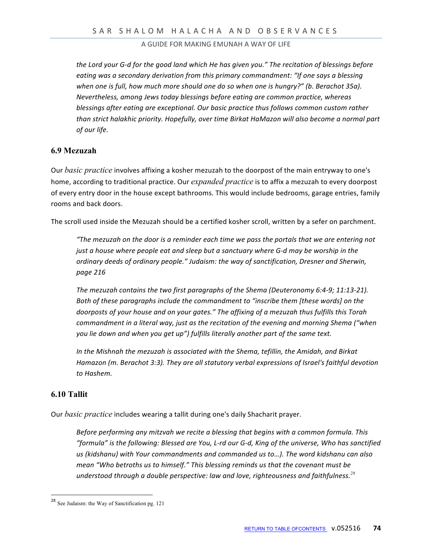the Lord your G-d for the good land which He has given you." The recitation of blessings before eating was a secondary derivation from this primary commandment: "If one says a blessing *when* one is full, how much more should one do so when one is hungry?" (b. Berachot 35a). Nevertheless, among Jews today blessings before eating are common practice, whereas blessings after eating are exceptional. Our basic practice thus follows common custom rather than strict halakhic priority. Hopefully, over time Birkat HaMazon will also become a normal part *of our life.*

# **6.9 Mezuzah**

Our *basic practice* involves affixing a kosher mezuzah to the doorpost of the main entryway to one's home, according to traditional practice. Our *expanded practice* is to affix a mezuzah to every doorpost of every entry door in the house except bathrooms. This would include bedrooms, garage entries, family rooms and back doors.

The scroll used inside the Mezuzah should be a certified kosher scroll, written by a sefer on parchment.

*"The mezuzah on the door is a reminder each time we pass the portals that we are entering not just a house where people eat and sleep but a sanctuary where G-d may be worship in the* ordinary deeds of ordinary people." Judaism: the way of sanctification, Dresner and Sherwin, *page 216*

The mezuzah contains the two first paragraphs of the Shema (Deuteronomy 6:4-9; 11:13-21). *Both* of these paragraphs include the commandment to "inscribe them [these words] on the doorposts of your house and on your gates." The affixing of a mezuzah thus fulfills this Torah *commandment in a literal way, just as the recitation of the evening and morning Shema ("when* you lie down and when you get up") fulfills literally another part of the same text.

In the Mishnah the mezuzah is associated with the Shema, tefillin, the Amidah, and Birkat *Hamazon* (m. Berachot 3:3). They are all statutory verbal expressions of Israel's faithful devotion *to Hashem.*

# **6.10 Tallit**

Our *basic practice* includes wearing a tallit during one's daily Shacharit prayer.

*Before performing any mitzvah* we recite a blessing that begins with a common formula. This "formula" is the following: Blessed are You, L-rd our G-d, King of the universe, Who has sanctified us (kidshanu) with Your commandments and commanded us to...). The word kidshanu can also *mean* "Who betroths us to himself." This blessing reminds us that the covenant must be *understood through a double perspective:* law and love, righteousness and faithfulness.<sup>28</sup>

<u> Andrew Maria (1989)</u>

<sup>28</sup> See Judaism: the Way of Sanctification pg. 121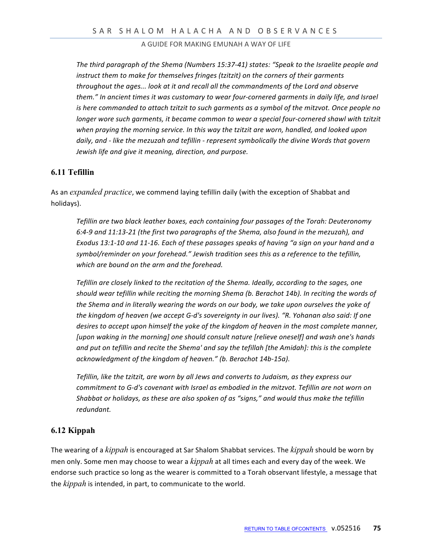The third paragraph of the Shema (Numbers 15:37-41) states: "Speak to the Israelite people and *instruct* them to make for themselves fringes (tzitzit) on the corners of their garments *throughout the ages... look at it and recall all the commandments of the Lord and observe* them." In ancient times it was customary to wear four-cornered garments in daily life, and Israel *is* here commanded to attach tzitzit to such garments as a symbol of the mitzvot. Once people no *longer* wore such garments, it became common to wear a special four-cornered shawl with tzitzit when praying the morning service. In this way the tzitzit are worn, handled, and looked upon daily, and - like the mezuzah and tefillin - represent symbolically the divine Words that govern *Jewish life and give it meaning, direction, and purpose.* 

# **6.11 Tefillin**

As an *expanded practice*, we commend laying tefillin daily (with the exception of Shabbat and holidays).

Tefillin are two black leather boxes, each containing four passages of the Torah: Deuteronomy 6:4-9 and 11:13-21 (the first two paragraphs of the Shema, also found in the mezuzah), and *Exodus* 13:1-10 and 11-16. Each of these passages speaks of having "a sign on your hand and a symbol/reminder on your forehead." Jewish tradition sees this as a reference to the tefillin, which are bound on the arm and the forehead.

Tefillin are closely linked to the recitation of the Shema. Ideally, according to the sages, one should wear tefillin while reciting the morning Shema (b. Berachot 14b). In reciting the words of the Shema and in literally wearing the words on our body, we take upon ourselves the yoke of the kingdom of heaven (we accept G-d's sovereignty in our lives). "R. Yohanan also said: If one *desires to accept upon himself the yoke of the kingdom of heaven in the most complete manner,* [upon waking in the morning] one should consult nature [relieve oneself] and wash one's hands and put on tefillin and recite the Shema' and say the tefillah [the Amidah]: this is the complete acknowledgment of the kingdom of heaven." (b. Berachot 14b-15a).

*Tefillin, like the tzitzit, are worn by all Jews and converts to Judaism, as they express our commitment to G-d's covenant with Israel as embodied in the mitzvot. Tefillin are not worn on Shabbat* or holidays, as these are also spoken of as "signs," and would thus make the tefillin *redundant.*

# **6.12 Kippah**

The wearing of a *kippah* is encouraged at Sar Shalom Shabbat services. The *kippah* should be worn by men only. Some men may choose to wear a *kippah* at all times each and every day of the week. We endorse such practice so long as the wearer is committed to a Torah observant lifestyle, a message that the *kippah* is intended, in part, to communicate to the world.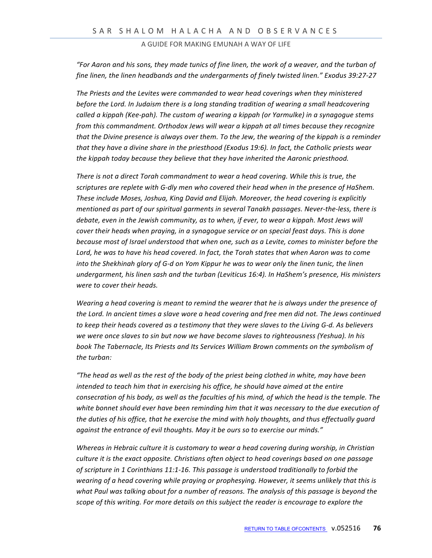*"For Aaron and his sons, they made tunics of fine linen, the work of a weaver, and the turban of fine linen, the linen headbands and the undergarments of finely twisted linen." Exodus 39:27-27* 

The Priests and the Levites were commanded to wear head coverings when they ministered *before the Lord. In Judaism there is a long standing tradition of wearing a small headcovering* called a kippah (Kee-pah). The custom of wearing a kippah (or Yarmulke) in a synagogue stems *from this commandment. Orthodox Jews will wear a kippah at all times because they recognize that the Divine presence is always over them. To the Jew, the wearing of the kippah is a reminder* that they have a divine share in the priesthood (Exodus 19:6). In fact, the Catholic priests wear the kippah today because they believe that they have *inherited* the Aaronic priesthood.

*There is not a direct Torah commandment to wear a head covering. While this is true, the* scriptures are replete with G-dly men who covered their head when in the presence of HaShem. These include Moses, Joshua, King David and Elijah. Moreover, the head covering is explicitly *mentioned as part of our spiritual garments in several Tanakh passages. Never-the-less, there is* debate, even in the Jewish community, as to when, if ever, to wear a kippah. Most Jews will *cover* their heads when praying, in a synagogue service or on special feast days. This is done because most of Israel understood that when one, such as a Levite, comes to minister before the Lord, he was to have his head covered. In fact, the Torah states that when Aaron was to come *into* the Shekhinah glory of G-d on Yom Kippur he was to wear only the linen tunic, the linen undergarment, his linen sash and the turban (Leviticus 16:4). In HaShem's presence, His ministers *were to cover their heads.* 

*Wearing a head covering is meant to remind the wearer that he is always under the presence of* the Lord. In ancient times a slave wore a head covering and free men did not. The Jews continued to keep their heads covered as a testimony that they were slaves to the Living G-d. As believers we were once slaves to sin but now we have become slaves to righteousness (Yeshua). In his book The Tabernacle, Its Priests and Its Services William Brown comments on the symbolism of *the turban:*

*"The head as well as the rest of the body of the priest being clothed in white, may have been intended* to teach him that in exercising his office, he should have aimed at the entire *consecration* of his body, as well as the faculties of his mind, of which the head is the temple. The white bonnet should ever have been reminding him that it was necessary to the due execution of the duties of his office, that he exercise the mind with holy thoughts, and thus effectually quard against the entrance of evil thoughts. May it be ours so to exercise our minds."

*Whereas in Hebraic culture it is customary to wear a head covering during worship, in Christian culture* it is the exact opposite. Christians often object to head coverings based on one passage of scripture in 1 Corinthians 11:1-16. This passage is understood traditionally to forbid the wearing of a head covering while praying or prophesying. However, it seems unlikely that this is what Paul was talking about for a number of reasons. The analysis of this passage is beyond the scope of this writing. For more details on this subject the reader is encourage to explore the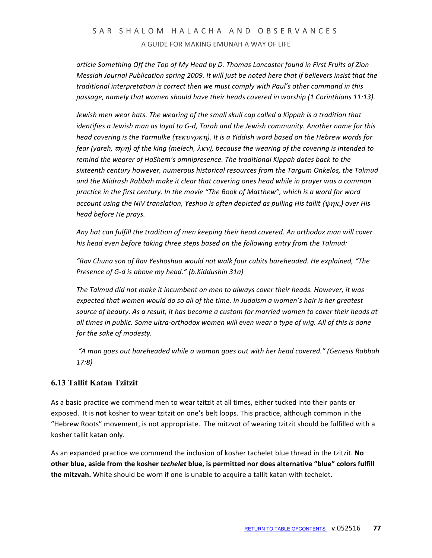article Something Off the Top of My Head by D. Thomas Lancaster found in First Fruits of Zion *Messiah Journal Publication spring 2009. It will just be noted here that if believers insist that the* traditional interpretation is correct then we must comply with Paul's other command in this passage, namely that women should have their heads covered in worship (1 Corinthians 11:13).

*Jewish men wear hats. The wearing of the small skull cap called a Kippah is a tradition that identifies a Jewish man as loyal to G-d, Torah and the Jewish community. Another name for this head covering is the Yarmulke (τεκυνρκη). It is a Yiddish word based on the Hebrew words for fear* (vareh,  $πρη)$  of the king (melech,  $λ$ κν), because the wearing of the covering is intended to *remind* the wearer of HaShem's omnipresence. The traditional Kippah dates back to the sixteenth century however, numerous historical resources from the Targum Onkelos, the Talmud and the Midrash Rabbah make it clear that covering ones head while in prayer was a common practice in the first century. In the movie "The Book of Matthew", which is a word for word *account using the NIV translation, Yeshua is often depicted as pulling His tallit (ψηκ,) over His head before He prays.*

Any hat can fulfill the tradition of men keeping their head covered. An orthodox man will cover his head even before taking three steps based on the following entry from the Talmud:

*"Rav Chuna son of Rav Yeshoshua would not walk four cubits bareheaded. He explained, "The Presence of G-d is above my head." (b.Kiddushin 31a)*

The Talmud did not make it incumbent on men to always cover their heads. However, it was expected that women would do so all of the time. In Judaism a women's hair is her greatest source of beauty. As a result, it has become a custom for married women to cover their heads at all times in public. Some ultra-orthodox women will even wear a type of wig. All of this is done *for the sake of modesty.* 

*"A man goes out bareheaded while a woman goes out with her head covered." (Genesis Rabbah 17:8)*

# **6.13 Tallit Katan Tzitzit**

As a basic practice we commend men to wear tzitzit at all times, either tucked into their pants or exposed. It is **not** kosher to wear tzitzit on one's belt loops. This practice, although common in the "Hebrew Roots" movement, is not appropriate. The mitzvot of wearing tzitzit should be fulfilled with a kosher tallit katan only.

As an expanded practice we commend the inclusion of kosher tachelet blue thread in the tzitzit. No **other blue, aside from the kosher** *techelet* **blue, is permitted nor does alternative "blue" colors fulfill the mitzvah.** White should be worn if one is unable to acquire a tallit katan with techelet.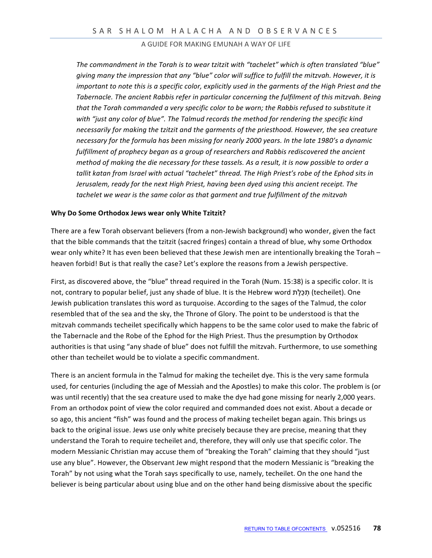The commandment in the Torah is to wear tzitzit with "tachelet" which is often translated "blue" *giving many the impression that any "blue" color will suffice to fulfill the mitzvah. However, it is important* to note this is a specific color, explicitly used in the garments of the High Priest and the Tabernacle. The ancient Rabbis refer in particular concerning the fulfilment of this mitzvah. Being *that* the Torah commanded a very specific color to be worn; the Rabbis refused to substitute it with "just any color of blue". The Talmud records the method for rendering the specific kind necessarily for making the tzitzit and the garments of the priesthood. However, the sea creature necessary for the formula has been missing for nearly 2000 years. In the late 1980's a dynamic fulfillment of prophecy began as a group of researchers and Rabbis rediscovered the ancient *method* of making the die necessary for these tassels. As a result, it is now possible to order a tallit katan from Israel with actual "tachelet" thread. The High Priest's robe of the Ephod sits in *Jerusalem, ready for the next High Priest, having been dyed using this ancient receipt. The tachelet we wear is the same color as that garment and true fulfillment of the mitzvah*

#### **Why Do Some Orthodox Jews wear only White Tzitzit?**

There are a few Torah observant believers (from a non-Jewish background) who wonder, given the fact that the bible commands that the tzitzit (sacred fringes) contain a thread of blue, why some Orthodox wear only white? It has even been believed that these Jewish men are intentionally breaking the Torah – heaven forbid! But is that really the case? Let's explore the reasons from a Jewish perspective.

First, as discovered above, the "blue" thread required in the Torah (Num. 15:38) is a specific color. It is not, contrary to popular belief, just any shade of blue. It is the Hebrew word תִכֵלֵת (techeilet). One Jewish publication translates this word as turquoise. According to the sages of the Talmud, the color resembled that of the sea and the sky, the Throne of Glory. The point to be understood is that the mitzvah commands techeilet specifically which happens to be the same color used to make the fabric of the Tabernacle and the Robe of the Ephod for the High Priest. Thus the presumption by Orthodox authorities is that using "any shade of blue" does not fulfill the mitzvah. Furthermore, to use something other than techeilet would be to violate a specific commandment.

There is an ancient formula in the Talmud for making the techeilet dye. This is the very same formula used, for centuries (including the age of Messiah and the Apostles) to make this color. The problem is (or was until recently) that the sea creature used to make the dye had gone missing for nearly 2,000 years. From an orthodox point of view the color required and commanded does not exist. About a decade or so ago, this ancient "fish" was found and the process of making techeilet began again. This brings us back to the original issue. Jews use only white precisely because they are precise, meaning that they understand the Torah to require techeilet and, therefore, they will only use that specific color. The modern Messianic Christian may accuse them of "breaking the Torah" claiming that they should "just use any blue". However, the Observant Jew might respond that the modern Messianic is "breaking the Torah" by not using what the Torah says specifically to use, namely, techeilet. On the one hand the believer is being particular about using blue and on the other hand being dismissive about the specific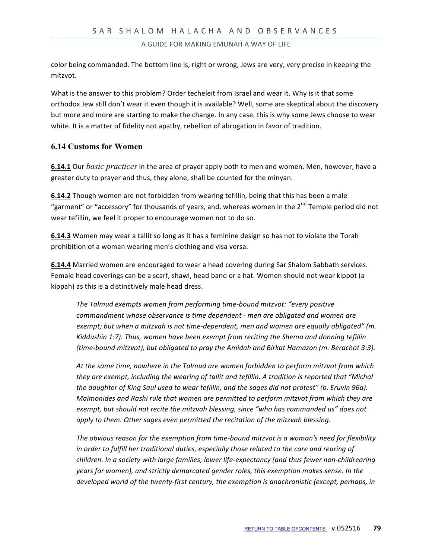color being commanded. The bottom line is, right or wrong, Jews are very, very precise in keeping the mitzvot.

What is the answer to this problem? Order techeleit from Israel and wear it. Why is it that some orthodox Jew still don't wear it even though it is available? Well, some are skeptical about the discovery but more and more are starting to make the change. In any case, this is why some Jews choose to wear white. It is a matter of fidelity not apathy, rebellion of abrogation in favor of tradition.

# **6.14 Customs for Women**

**6.14.1** Our *basic practices* in the area of prayer apply both to men and women. Men, however, have a greater duty to prayer and thus, they alone, shall be counted for the minyan.

**6.14.2** Though women are not forbidden from wearing tefillin, being that this has been a male "garment" or "accessory" for thousands of years, and, whereas women in the  $2<sup>nd</sup>$  Temple period did not wear tefillin, we feel it proper to encourage women not to do so.

**6.14.3** Women may wear a tallit so long as it has a feminine design so has not to violate the Torah prohibition of a woman wearing men's clothing and visa versa.

**6.14.4** Married women are encouraged to wear a head covering during Sar Shalom Sabbath services. Female head coverings can be a scarf, shawl, head band or a hat. Women should not wear kippot (a kippah) as this is a distinctively male head dress.

The Talmud exempts women from performing time-bound mitzvot: "every positive *commandment* whose observance is time dependent - men are obligated and women are exempt; but when a mitzvah is not time-dependent, men and women are equally obligated" (m. Kiddushin 1:7). Thus, women have been exempt from reciting the Shema and donning tefillin (time-bound mitzvot), but obligated to pray the Amidah and Birkat Hamazon (m. Berachot 3:3).

At the same time, nowhere in the Talmud are women forbidden to perform mitzvot from which they are exempt, including the wearing of tallit and tefillin. A tradition is reported that "Michal the daughter of King Saul used to wear tefillin, and the sages did not protest" (b. Eruvin 96a). *Maimonides and Rashi rule that women are permitted to perform mitzvot from which they are exempt, but should not recite the mitzvah blessing, since "who has commanded us" does not apply* to them. Other sages even permitted the recitation of the mitzvah blessing.

The obvious reason for the exemption from time-bound mitzvot is a woman's need for flexibility in order to fulfill her traditional duties, especially those related to the care and rearing of *children.* In a society with large families, lower life-expectancy (and thus fewer non-childrearing *years* for women), and strictly demarcated gender roles, this exemption makes sense. In the developed world of the twenty-first century, the exemption is anachronistic (except, perhaps, in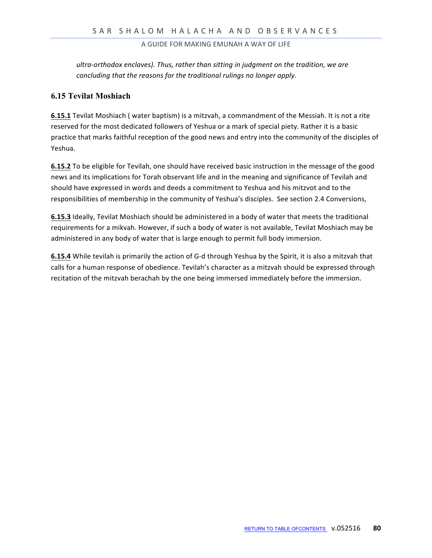*ultra-orthodox enclaves).* Thus, rather than sitting in judgment on the tradition, we are concluding that the reasons for the traditional rulings no longer apply.

# **6.15 Tevilat Moshiach**

**6.15.1** Tevilat Moshiach ( water baptism) is a mitzvah, a commandment of the Messiah. It is not a rite reserved for the most dedicated followers of Yeshua or a mark of special piety. Rather it is a basic practice that marks faithful reception of the good news and entry into the community of the disciples of Yeshua.

**6.15.2** To be eligible for Tevilah, one should have received basic instruction in the message of the good news and its implications for Torah observant life and in the meaning and significance of Tevilah and should have expressed in words and deeds a commitment to Yeshua and his mitzvot and to the responsibilities of membership in the community of Yeshua's disciples. See section 2.4 Conversions,

**6.15.3** Ideally, Tevilat Moshiach should be administered in a body of water that meets the traditional requirements for a mikvah. However, if such a body of water is not available, Tevilat Moshiach may be administered in any body of water that is large enough to permit full body immersion.

**6.15.4** While tevilah is primarily the action of G-d through Yeshua by the Spirit, it is also a mitzvah that calls for a human response of obedience. Tevilah's character as a mitzvah should be expressed through recitation of the mitzvah berachah by the one being immersed immediately before the immersion.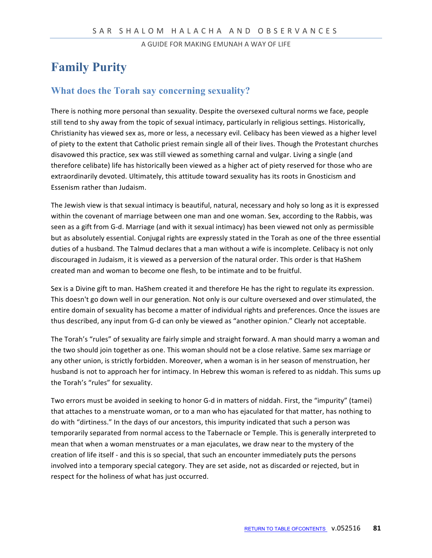# **Family Purity**

# **What does the Torah say concerning sexuality?**

There is nothing more personal than sexuality. Despite the oversexed cultural norms we face, people still tend to shy away from the topic of sexual intimacy, particularly in religious settings. Historically, Christianity has viewed sex as, more or less, a necessary evil. Celibacy has been viewed as a higher level of piety to the extent that Catholic priest remain single all of their lives. Though the Protestant churches disavowed this practice, sex was still viewed as something carnal and vulgar. Living a single (and therefore celibate) life has historically been viewed as a higher act of piety reserved for those who are extraordinarily devoted. Ultimately, this attitude toward sexuality has its roots in Gnosticism and Essenism rather than Judaism.

The Jewish view is that sexual intimacy is beautiful, natural, necessary and holy so long as it is expressed within the covenant of marriage between one man and one woman. Sex, according to the Rabbis, was seen as a gift from G-d. Marriage (and with it sexual intimacy) has been viewed not only as permissible but as absolutely essential. Conjugal rights are expressly stated in the Torah as one of the three essential duties of a husband. The Talmud declares that a man without a wife is incomplete. Celibacy is not only discouraged in Judaism, it is viewed as a perversion of the natural order. This order is that HaShem created man and woman to become one flesh, to be intimate and to be fruitful.

Sex is a Divine gift to man. HaShem created it and therefore He has the right to regulate its expression. This doesn't go down well in our generation. Not only is our culture oversexed and over stimulated, the entire domain of sexuality has become a matter of individual rights and preferences. Once the issues are thus described, any input from G-d can only be viewed as "another opinion." Clearly not acceptable.

The Torah's "rules" of sexuality are fairly simple and straight forward. A man should marry a woman and the two should join together as one. This woman should not be a close relative. Same sex marriage or any other union, is strictly forbidden. Moreover, when a woman is in her season of menstruation, her husband is not to approach her for intimacy. In Hebrew this woman is refered to as niddah. This sums up the Torah's "rules" for sexuality.

Two errors must be avoided in seeking to honor G-d in matters of niddah. First, the "impurity" (tamei) that attaches to a menstruate woman, or to a man who has ejaculated for that matter, has nothing to do with "dirtiness." In the days of our ancestors, this impurity indicated that such a person was temporarily separated from normal access to the Tabernacle or Temple. This is generally interpreted to mean that when a woman menstruates or a man ejaculates, we draw near to the mystery of the creation of life itself - and this is so special, that such an encounter immediately puts the persons involved into a temporary special category. They are set aside, not as discarded or rejected, but in respect for the holiness of what has just occurred.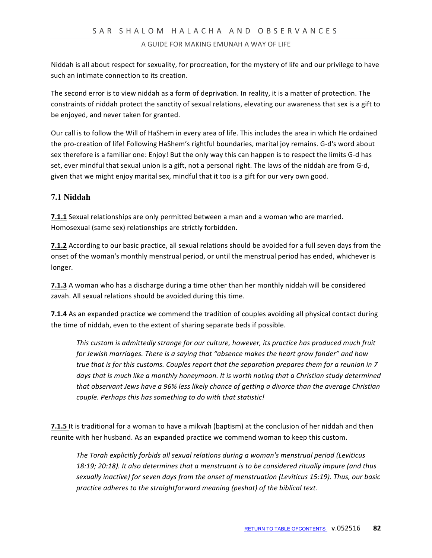Niddah is all about respect for sexuality, for procreation, for the mystery of life and our privilege to have such an intimate connection to its creation.

The second error is to view niddah as a form of deprivation. In reality, it is a matter of protection. The constraints of niddah protect the sanctity of sexual relations, elevating our awareness that sex is a gift to be enjoyed, and never taken for granted.

Our call is to follow the Will of HaShem in every area of life. This includes the area in which He ordained the pro-creation of life! Following HaShem's rightful boundaries, marital joy remains. G-d's word about sex therefore is a familiar one: Enjoy! But the only way this can happen is to respect the limits G-d has set, ever mindful that sexual union is a gift, not a personal right. The laws of the niddah are from G-d, given that we might enjoy marital sex, mindful that it too is a gift for our very own good.

# **7.1 Niddah**

**7.1.1** Sexual relationships are only permitted between a man and a woman who are married. Homosexual (same sex) relationships are strictly forbidden.

**7.1.2** According to our basic practice, all sexual relations should be avoided for a full seven days from the onset of the woman's monthly menstrual period, or until the menstrual period has ended, whichever is longer.

**7.1.3** A woman who has a discharge during a time other than her monthly niddah will be considered zavah. All sexual relations should be avoided during this time.

**7.1.4** As an expanded practice we commend the tradition of couples avoiding all physical contact during the time of niddah, even to the extent of sharing separate beds if possible.

*This* custom is admittedly strange for our culture, however, its practice has produced much fruit *for Jewish marriages. There is a saying that "absence makes the heart grow fonder" and how true* that is for this customs. Couples report that the separation prepares them for a reunion in 7 days that is much like a monthly honeymoon. It is worth noting that a Christian study determined *that* observant Jews have a 96% less likely chance of getting a divorce than the average Christian *couple. Perhaps this has something to do with that statistic!* 

**7.1.5** It is traditional for a woman to have a mikvah (baptism) at the conclusion of her niddah and then reunite with her husband. As an expanded practice we commend woman to keep this custom.

The Torah explicitly forbids all sexual relations during a woman's menstrual period (Leviticus 18:19; 20:18). It also determines that a menstruant is to be considered ritually impure (and thus sexually inactive) for seven days from the onset of menstruation (Leviticus 15:19). Thus, our basic practice adheres to the straightforward meaning (peshat) of the biblical text.